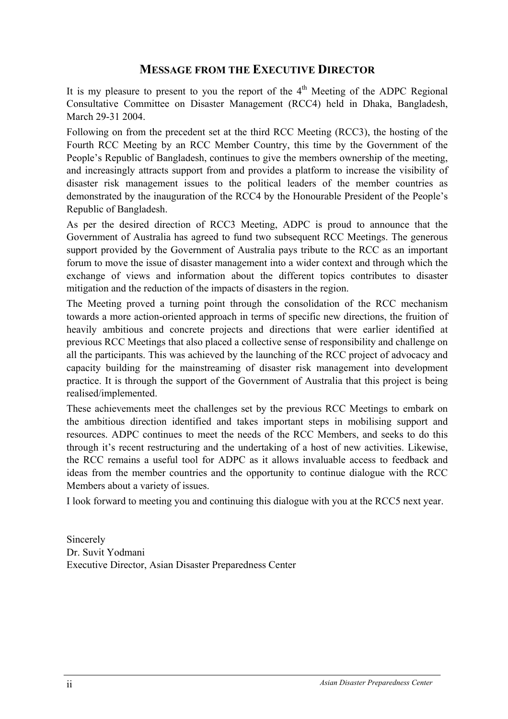## **MESSAGE FROM THE EXECUTIVE DIRECTOR**

It is my pleasure to present to you the report of the  $4<sup>th</sup>$  Meeting of the ADPC Regional Consultative Committee on Disaster Management (RCC4) held in Dhaka, Bangladesh, March 29-31 2004.

Following on from the precedent set at the third RCC Meeting (RCC3), the hosting of the Fourth RCC Meeting by an RCC Member Country, this time by the Government of the People's Republic of Bangladesh, continues to give the members ownership of the meeting, and increasingly attracts support from and provides a platform to increase the visibility of disaster risk management issues to the political leaders of the member countries as demonstrated by the inauguration of the RCC4 by the Honourable President of the People's Republic of Bangladesh.

As per the desired direction of RCC3 Meeting, ADPC is proud to announce that the Government of Australia has agreed to fund two subsequent RCC Meetings. The generous support provided by the Government of Australia pays tribute to the RCC as an important forum to move the issue of disaster management into a wider context and through which the exchange of views and information about the different topics contributes to disaster mitigation and the reduction of the impacts of disasters in the region.

The Meeting proved a turning point through the consolidation of the RCC mechanism towards a more action-oriented approach in terms of specific new directions, the fruition of heavily ambitious and concrete projects and directions that were earlier identified at previous RCC Meetings that also placed a collective sense of responsibility and challenge on all the participants. This was achieved by the launching of the RCC project of advocacy and capacity building for the mainstreaming of disaster risk management into development practice. It is through the support of the Government of Australia that this project is being realised/implemented.

These achievements meet the challenges set by the previous RCC Meetings to embark on the ambitious direction identified and takes important steps in mobilising support and resources. ADPC continues to meet the needs of the RCC Members, and seeks to do this through it's recent restructuring and the undertaking of a host of new activities. Likewise, the RCC remains a useful tool for ADPC as it allows invaluable access to feedback and ideas from the member countries and the opportunity to continue dialogue with the RCC Members about a variety of issues.

I look forward to meeting you and continuing this dialogue with you at the RCC5 next year.

Sincerely Dr. Suvit Yodmani Executive Director, Asian Disaster Preparedness Center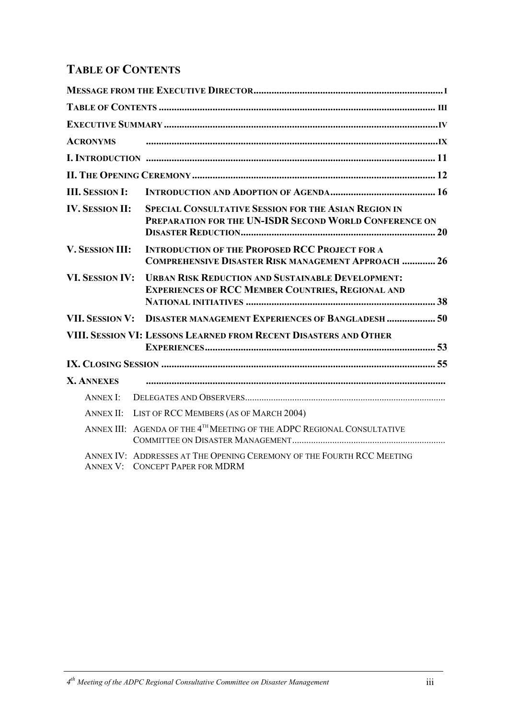# **TABLE OF CONTENTS**

| <b>ACRONYMS</b>        |                                                                                                                      |
|------------------------|----------------------------------------------------------------------------------------------------------------------|
|                        |                                                                                                                      |
|                        |                                                                                                                      |
| <b>III. SESSION I:</b> |                                                                                                                      |
| <b>IV. SESSION II:</b> | SPECIAL CONSULTATIVE SESSION FOR THE ASIAN REGION IN<br>PREPARATION FOR THE UN-ISDR SECOND WORLD CONFERENCE ON       |
| V. SESSION III:        | <b>INTRODUCTION OF THE PROPOSED RCC PROJECT FOR A</b><br><b>COMPREHENSIVE DISASTER RISK MANAGEMENT APPROACH  26</b>  |
| <b>VI. SESSION IV:</b> | <b>URBAN RISK REDUCTION AND SUSTAINABLE DEVELOPMENT:</b><br><b>EXPERIENCES OF RCC MEMBER COUNTRIES, REGIONAL AND</b> |
| <b>VII. SESSION V:</b> | <b>DISASTER MANAGEMENT EXPERIENCES OF BANGLADESH  50</b>                                                             |
|                        | VIII. SESSION VI: LESSONS LEARNED FROM RECENT DISASTERS AND OTHER                                                    |
|                        |                                                                                                                      |
| <b>X. ANNEXES</b>      |                                                                                                                      |
| <b>ANNEX I:</b>        |                                                                                                                      |
| <b>ANNEX II:</b>       | LIST OF RCC MEMBERS (AS OF MARCH 2004)                                                                               |
|                        | ANNEX III: AGENDA OF THE 4 <sup>TH</sup> MEETING OF THE ADPC REGIONAL CONSULTATIVE                                   |
|                        | ANNEX IV: ADDRESSES AT THE OPENING CEREMONY OF THE FOURTH RCC MEETING<br><b>ANNEX V: CONCEPT PAPER FOR MDRM</b>      |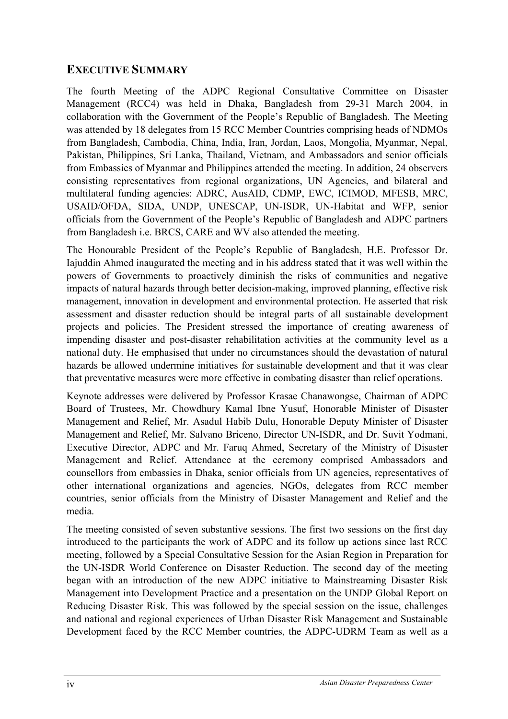## **EXECUTIVE SUMMARY**

The fourth Meeting of the ADPC Regional Consultative Committee on Disaster Management (RCC4) was held in Dhaka, Bangladesh from 29-31 March 2004, in collaboration with the Government of the People's Republic of Bangladesh. The Meeting was attended by 18 delegates from 15 RCC Member Countries comprising heads of NDMOs from Bangladesh, Cambodia, China, India, Iran, Jordan, Laos, Mongolia, Myanmar, Nepal, Pakistan, Philippines, Sri Lanka, Thailand, Vietnam, and Ambassadors and senior officials from Embassies of Myanmar and Philippines attended the meeting. In addition, 24 observers consisting representatives from regional organizations, UN Agencies, and bilateral and multilateral funding agencies: ADRC, AusAID, CDMP, EWC, ICIMOD, MFESB, MRC, USAID/OFDA, SIDA, UNDP, UNESCAP, UN-ISDR, UN-Habitat and WFP, senior officials from the Government of the People's Republic of Bangladesh and ADPC partners from Bangladesh i.e. BRCS, CARE and WV also attended the meeting.

The Honourable President of the People's Republic of Bangladesh, H.E. Professor Dr. Iajuddin Ahmed inaugurated the meeting and in his address stated that it was well within the powers of Governments to proactively diminish the risks of communities and negative impacts of natural hazards through better decision-making, improved planning, effective risk management, innovation in development and environmental protection. He asserted that risk assessment and disaster reduction should be integral parts of all sustainable development projects and policies. The President stressed the importance of creating awareness of impending disaster and post-disaster rehabilitation activities at the community level as a national duty. He emphasised that under no circumstances should the devastation of natural hazards be allowed undermine initiatives for sustainable development and that it was clear that preventative measures were more effective in combating disaster than relief operations.

Keynote addresses were delivered by Professor Krasae Chanawongse, Chairman of ADPC Board of Trustees, Mr. Chowdhury Kamal Ibne Yusuf, Honorable Minister of Disaster Management and Relief, Mr. Asadul Habib Dulu, Honorable Deputy Minister of Disaster Management and Relief, Mr. Salvano Briceno, Director UN-ISDR, and Dr. Suvit Yodmani, Executive Director, ADPC and Mr. Faruq Ahmed, Secretary of the Ministry of Disaster Management and Relief. Attendance at the ceremony comprised Ambassadors and counsellors from embassies in Dhaka, senior officials from UN agencies, representatives of other international organizations and agencies, NGOs, delegates from RCC member countries, senior officials from the Ministry of Disaster Management and Relief and the media.

The meeting consisted of seven substantive sessions. The first two sessions on the first day introduced to the participants the work of ADPC and its follow up actions since last RCC meeting, followed by a Special Consultative Session for the Asian Region in Preparation for the UN-ISDR World Conference on Disaster Reduction. The second day of the meeting began with an introduction of the new ADPC initiative to Mainstreaming Disaster Risk Management into Development Practice and a presentation on the UNDP Global Report on Reducing Disaster Risk. This was followed by the special session on the issue, challenges and national and regional experiences of Urban Disaster Risk Management and Sustainable Development faced by the RCC Member countries, the ADPC-UDRM Team as well as a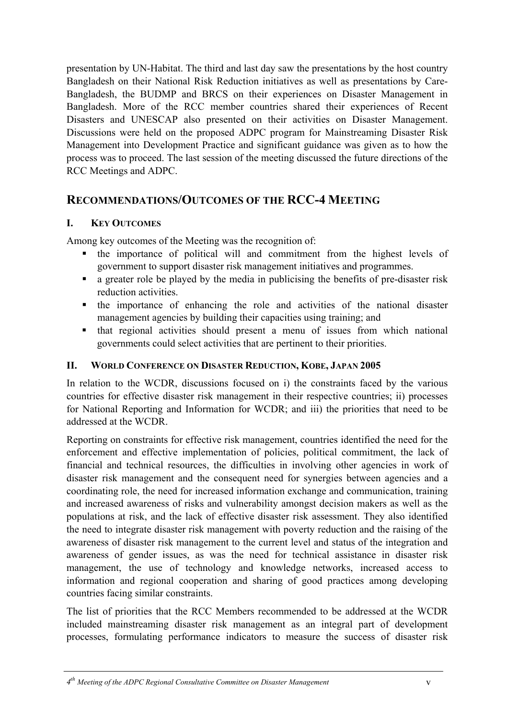presentation by UN-Habitat. The third and last day saw the presentations by the host country Bangladesh on their National Risk Reduction initiatives as well as presentations by Care-Bangladesh, the BUDMP and BRCS on their experiences on Disaster Management in Bangladesh. More of the RCC member countries shared their experiences of Recent Disasters and UNESCAP also presented on their activities on Disaster Management. Discussions were held on the proposed ADPC program for Mainstreaming Disaster Risk Management into Development Practice and significant guidance was given as to how the process was to proceed. The last session of the meeting discussed the future directions of the RCC Meetings and ADPC.

## **RECOMMENDATIONS/OUTCOMES OF THE RCC-4 MEETING**

## **I. KEY OUTCOMES**

Among key outcomes of the Meeting was the recognition of:

- the importance of political will and commitment from the highest levels of government to support disaster risk management initiatives and programmes.
- a greater role be played by the media in publicising the benefits of pre-disaster risk reduction activities.
- the importance of enhancing the role and activities of the national disaster management agencies by building their capacities using training; and
- that regional activities should present a menu of issues from which national governments could select activities that are pertinent to their priorities.

### **II. WORLD CONFERENCE ON DISASTER REDUCTION, KOBE, JAPAN 2005**

In relation to the WCDR, discussions focused on i) the constraints faced by the various countries for effective disaster risk management in their respective countries; ii) processes for National Reporting and Information for WCDR; and iii) the priorities that need to be addressed at the WCDR.

Reporting on constraints for effective risk management, countries identified the need for the enforcement and effective implementation of policies, political commitment, the lack of financial and technical resources, the difficulties in involving other agencies in work of disaster risk management and the consequent need for synergies between agencies and a coordinating role, the need for increased information exchange and communication, training and increased awareness of risks and vulnerability amongst decision makers as well as the populations at risk, and the lack of effective disaster risk assessment. They also identified the need to integrate disaster risk management with poverty reduction and the raising of the awareness of disaster risk management to the current level and status of the integration and awareness of gender issues, as was the need for technical assistance in disaster risk management, the use of technology and knowledge networks, increased access to information and regional cooperation and sharing of good practices among developing countries facing similar constraints.

The list of priorities that the RCC Members recommended to be addressed at the WCDR included mainstreaming disaster risk management as an integral part of development processes, formulating performance indicators to measure the success of disaster risk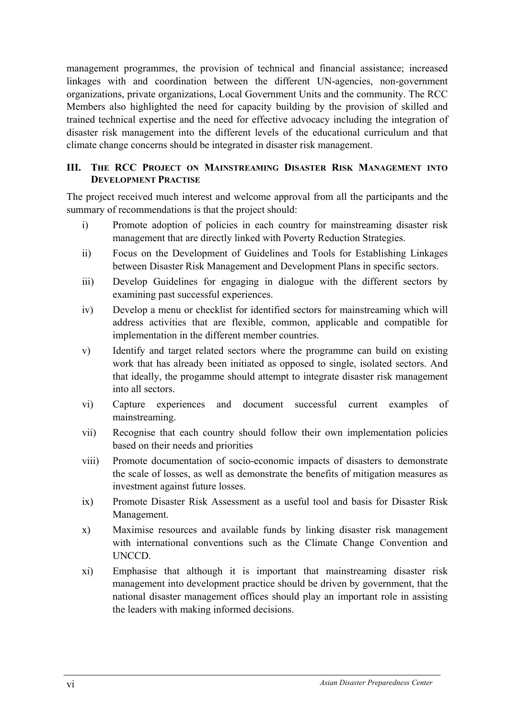management programmes, the provision of technical and financial assistance; increased linkages with and coordination between the different UN-agencies, non-government organizations, private organizations, Local Government Units and the community. The RCC Members also highlighted the need for capacity building by the provision of skilled and trained technical expertise and the need for effective advocacy including the integration of disaster risk management into the different levels of the educational curriculum and that climate change concerns should be integrated in disaster risk management.

## **III. THE RCC PROJECT ON MAINSTREAMING DISASTER RISK MANAGEMENT INTO DEVELOPMENT PRACTISE**

The project received much interest and welcome approval from all the participants and the summary of recommendations is that the project should:

- i) Promote adoption of policies in each country for mainstreaming disaster risk management that are directly linked with Poverty Reduction Strategies.
- ii) Focus on the Development of Guidelines and Tools for Establishing Linkages between Disaster Risk Management and Development Plans in specific sectors.
- iii) Develop Guidelines for engaging in dialogue with the different sectors by examining past successful experiences.
- iv) Develop a menu or checklist for identified sectors for mainstreaming which will address activities that are flexible, common, applicable and compatible for implementation in the different member countries.
- v) Identify and target related sectors where the programme can build on existing work that has already been initiated as opposed to single, isolated sectors. And that ideally, the progamme should attempt to integrate disaster risk management into all sectors.
- vi) Capture experiences and document successful current examples of mainstreaming.
- vii) Recognise that each country should follow their own implementation policies based on their needs and priorities
- viii) Promote documentation of socio-economic impacts of disasters to demonstrate the scale of losses, as well as demonstrate the benefits of mitigation measures as investment against future losses.
- ix) Promote Disaster Risk Assessment as a useful tool and basis for Disaster Risk Management.
- x) Maximise resources and available funds by linking disaster risk management with international conventions such as the Climate Change Convention and UNCCD.
- xi) Emphasise that although it is important that mainstreaming disaster risk management into development practice should be driven by government, that the national disaster management offices should play an important role in assisting the leaders with making informed decisions.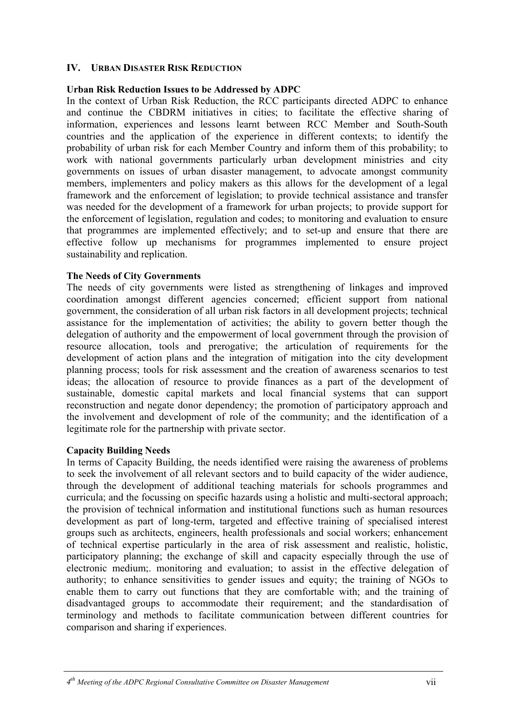#### **IV. URBAN DISASTER RISK REDUCTION**

#### **Urban Risk Reduction Issues to be Addressed by ADPC**

In the context of Urban Risk Reduction, the RCC participants directed ADPC to enhance and continue the CBDRM initiatives in cities; to facilitate the effective sharing of information, experiences and lessons learnt between RCC Member and South-South countries and the application of the experience in different contexts; to identify the probability of urban risk for each Member Country and inform them of this probability; to work with national governments particularly urban development ministries and city governments on issues of urban disaster management, to advocate amongst community members, implementers and policy makers as this allows for the development of a legal framework and the enforcement of legislation; to provide technical assistance and transfer was needed for the development of a framework for urban projects; to provide support for the enforcement of legislation, regulation and codes; to monitoring and evaluation to ensure that programmes are implemented effectively; and to set-up and ensure that there are effective follow up mechanisms for programmes implemented to ensure project sustainability and replication.

#### **The Needs of City Governments**

The needs of city governments were listed as strengthening of linkages and improved coordination amongst different agencies concerned; efficient support from national government, the consideration of all urban risk factors in all development projects; technical assistance for the implementation of activities; the ability to govern better though the delegation of authority and the empowerment of local government through the provision of resource allocation, tools and prerogative; the articulation of requirements for the development of action plans and the integration of mitigation into the city development planning process; tools for risk assessment and the creation of awareness scenarios to test ideas; the allocation of resource to provide finances as a part of the development of sustainable, domestic capital markets and local financial systems that can support reconstruction and negate donor dependency; the promotion of participatory approach and the involvement and development of role of the community; and the identification of a legitimate role for the partnership with private sector.

#### **Capacity Building Needs**

In terms of Capacity Building, the needs identified were raising the awareness of problems to seek the involvement of all relevant sectors and to build capacity of the wider audience, through the development of additional teaching materials for schools programmes and curricula; and the focussing on specific hazards using a holistic and multi-sectoral approach; the provision of technical information and institutional functions such as human resources development as part of long-term, targeted and effective training of specialised interest groups such as architects, engineers, health professionals and social workers; enhancement of technical expertise particularly in the area of risk assessment and realistic, holistic, participatory planning; the exchange of skill and capacity especially through the use of electronic medium;. monitoring and evaluation; to assist in the effective delegation of authority; to enhance sensitivities to gender issues and equity; the training of NGOs to enable them to carry out functions that they are comfortable with; and the training of disadvantaged groups to accommodate their requirement; and the standardisation of terminology and methods to facilitate communication between different countries for comparison and sharing if experiences.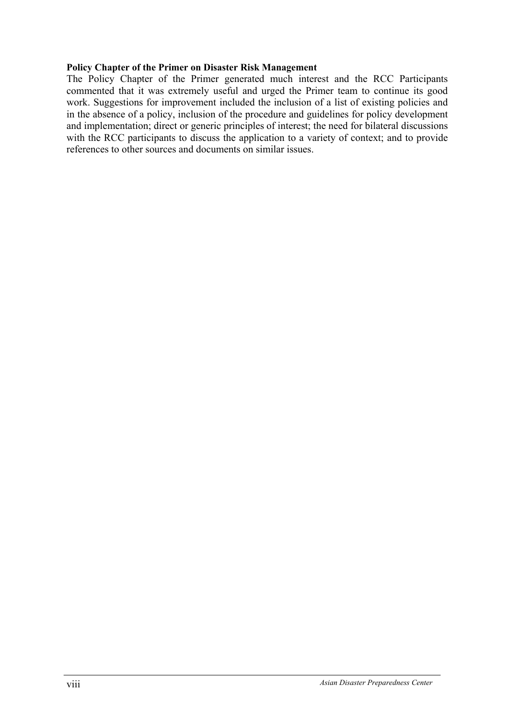#### **Policy Chapter of the Primer on Disaster Risk Management**

The Policy Chapter of the Primer generated much interest and the RCC Participants commented that it was extremely useful and urged the Primer team to continue its good work. Suggestions for improvement included the inclusion of a list of existing policies and in the absence of a policy, inclusion of the procedure and guidelines for policy development and implementation; direct or generic principles of interest; the need for bilateral discussions with the RCC participants to discuss the application to a variety of context; and to provide references to other sources and documents on similar issues.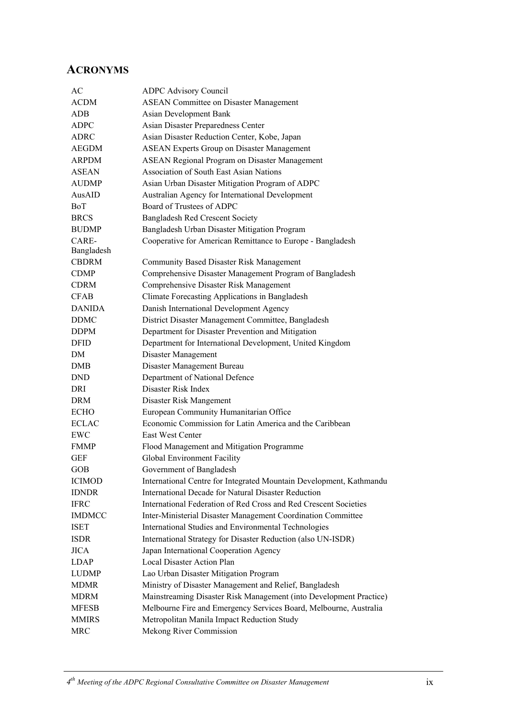## **ACRONYMS**

| AC            | <b>ADPC Advisory Council</b>                                        |
|---------------|---------------------------------------------------------------------|
| <b>ACDM</b>   | <b>ASEAN Committee on Disaster Management</b>                       |
| ADB           | <b>Asian Development Bank</b>                                       |
| <b>ADPC</b>   | Asian Disaster Preparedness Center                                  |
| ADRC          | Asian Disaster Reduction Center, Kobe, Japan                        |
| AEGDM         | <b>ASEAN Experts Group on Disaster Management</b>                   |
| <b>ARPDM</b>  | ASEAN Regional Program on Disaster Management                       |
| <b>ASEAN</b>  | <b>Association of South East Asian Nations</b>                      |
| <b>AUDMP</b>  | Asian Urban Disaster Mitigation Program of ADPC                     |
| AusAID        | Australian Agency for International Development                     |
| BoT           | Board of Trustees of ADPC                                           |
| <b>BRCS</b>   | <b>Bangladesh Red Crescent Society</b>                              |
| <b>BUDMP</b>  | Bangladesh Urban Disaster Mitigation Program                        |
| CARE-         | Cooperative for American Remittance to Europe - Bangladesh          |
| Bangladesh    |                                                                     |
| <b>CBDRM</b>  | Community Based Disaster Risk Management                            |
| <b>CDMP</b>   | Comprehensive Disaster Management Program of Bangladesh             |
| <b>CDRM</b>   | Comprehensive Disaster Risk Management                              |
| <b>CFAB</b>   | Climate Forecasting Applications in Bangladesh                      |
| <b>DANIDA</b> | Danish International Development Agency                             |
| <b>DDMC</b>   | District Disaster Management Committee, Bangladesh                  |
| <b>DDPM</b>   | Department for Disaster Prevention and Mitigation                   |
| <b>DFID</b>   | Department for International Development, United Kingdom            |
| DM            | Disaster Management                                                 |
| DMB           | Disaster Management Bureau                                          |
| <b>DND</b>    | Department of National Defence                                      |
| DRI           | Disaster Risk Index                                                 |
| <b>DRM</b>    | Disaster Risk Mangement                                             |
| <b>ECHO</b>   | European Community Humanitarian Office                              |
| <b>ECLAC</b>  | Economic Commission for Latin America and the Caribbean             |
| EWC           | East West Center                                                    |
| <b>FMMP</b>   | Flood Management and Mitigation Programme                           |
| <b>GEF</b>    | Global Environment Facility                                         |
| <b>GOB</b>    | Government of Bangladesh                                            |
| <b>ICIMOD</b> | International Centre for Integrated Mountain Development, Kathmandu |
| <b>IDNDR</b>  | <b>International Decade for Natural Disaster Reduction</b>          |
| <b>IFRC</b>   | International Federation of Red Cross and Red Crescent Societies    |
| <b>IMDMCC</b> | Inter-Ministerial Disaster Management Coordination Committee        |
| <b>ISET</b>   | International Studies and Environmental Technologies                |
| <b>ISDR</b>   | International Strategy for Disaster Reduction (also UN-ISDR)        |
| <b>JICA</b>   | Japan International Cooperation Agency                              |
| <b>LDAP</b>   | Local Disaster Action Plan                                          |
| <b>LUDMP</b>  | Lao Urban Disaster Mitigation Program                               |
| <b>MDMR</b>   | Ministry of Disaster Management and Relief, Bangladesh              |
| <b>MDRM</b>   | Mainstreaming Disaster Risk Management (into Development Practice)  |
| <b>MFESB</b>  | Melbourne Fire and Emergency Services Board, Melbourne, Australia   |
| <b>MMIRS</b>  | Metropolitan Manila Impact Reduction Study                          |
| <b>MRC</b>    | Mekong River Commission                                             |
|               |                                                                     |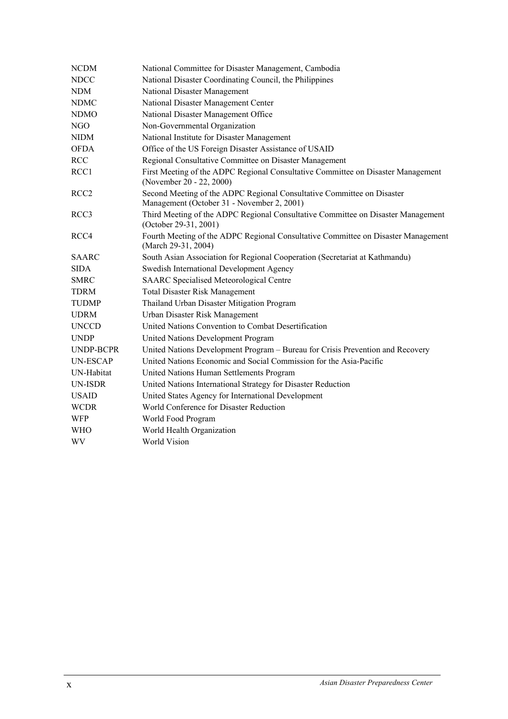| <b>NCDM</b>      | National Committee for Disaster Management, Cambodia                                                                 |
|------------------|----------------------------------------------------------------------------------------------------------------------|
| <b>NDCC</b>      | National Disaster Coordinating Council, the Philippines                                                              |
| <b>NDM</b>       | National Disaster Management                                                                                         |
| <b>NDMC</b>      | National Disaster Management Center                                                                                  |
| <b>NDMO</b>      | National Disaster Management Office                                                                                  |
| NGO              | Non-Governmental Organization                                                                                        |
| <b>NIDM</b>      | National Institute for Disaster Management                                                                           |
| <b>OFDA</b>      | Office of the US Foreign Disaster Assistance of USAID                                                                |
| <b>RCC</b>       | Regional Consultative Committee on Disaster Management                                                               |
| RCC1             | First Meeting of the ADPC Regional Consultative Committee on Disaster Management<br>(November 20 - 22, 2000)         |
| RCC <sub>2</sub> | Second Meeting of the ADPC Regional Consultative Committee on Disaster<br>Management (October 31 - November 2, 2001) |
| RCC <sub>3</sub> | Third Meeting of the ADPC Regional Consultative Committee on Disaster Management<br>(October 29-31, 2001)            |
| RCC4             | Fourth Meeting of the ADPC Regional Consultative Committee on Disaster Management<br>(March 29-31, 2004)             |
| <b>SAARC</b>     | South Asian Association for Regional Cooperation (Secretariat at Kathmandu)                                          |
| <b>SIDA</b>      | Swedish International Development Agency                                                                             |
| <b>SMRC</b>      | <b>SAARC</b> Specialised Meteorological Centre                                                                       |
| <b>TDRM</b>      | <b>Total Disaster Risk Management</b>                                                                                |
| <b>TUDMP</b>     | Thailand Urban Disaster Mitigation Program                                                                           |
| <b>UDRM</b>      | Urban Disaster Risk Management                                                                                       |
| <b>UNCCD</b>     | United Nations Convention to Combat Desertification                                                                  |
| <b>UNDP</b>      | United Nations Development Program                                                                                   |
| UNDP-BCPR        | United Nations Development Program - Bureau for Crisis Prevention and Recovery                                       |
| <b>UN-ESCAP</b>  | United Nations Economic and Social Commission for the Asia-Pacific                                                   |
| UN-Habitat       | United Nations Human Settlements Program                                                                             |
| <b>UN-ISDR</b>   | United Nations International Strategy for Disaster Reduction                                                         |
| <b>USAID</b>     | United States Agency for International Development                                                                   |
| <b>WCDR</b>      | World Conference for Disaster Reduction                                                                              |
| <b>WFP</b>       | World Food Program                                                                                                   |
| <b>WHO</b>       | World Health Organization                                                                                            |
| WV               | <b>World Vision</b>                                                                                                  |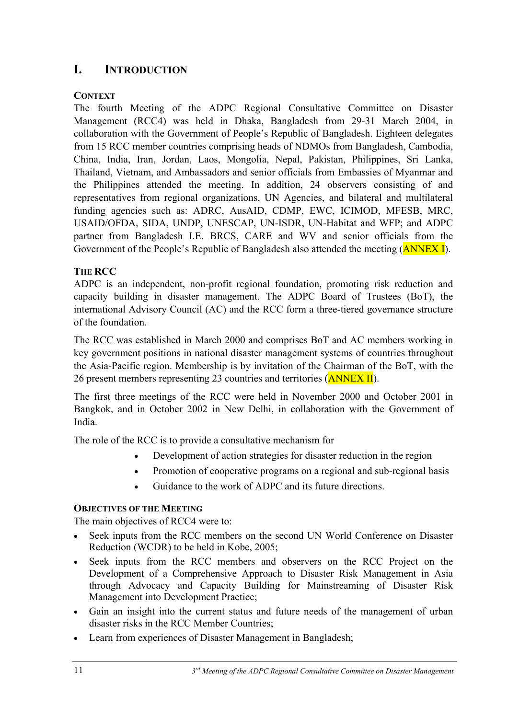## **I. INTRODUCTION**

## **CONTEXT**

The fourth Meeting of the ADPC Regional Consultative Committee on Disaster Management (RCC4) was held in Dhaka, Bangladesh from 29-31 March 2004, in collaboration with the Government of People's Republic of Bangladesh. Eighteen delegates from 15 RCC member countries comprising heads of NDMOs from Bangladesh, Cambodia, China, India, Iran, Jordan, Laos, Mongolia, Nepal, Pakistan, Philippines, Sri Lanka, Thailand, Vietnam, and Ambassadors and senior officials from Embassies of Myanmar and the Philippines attended the meeting. In addition, 24 observers consisting of and representatives from regional organizations, UN Agencies, and bilateral and multilateral funding agencies such as: ADRC, AusAID, CDMP, EWC, ICIMOD, MFESB, MRC, USAID/OFDA, SIDA, UNDP, UNESCAP, UN-ISDR, UN-Habitat and WFP; and ADPC partner from Bangladesh I.E. BRCS, CARE and WV and senior officials from the Government of the People's Republic of Bangladesh also attended the meeting (**ANNEX I**).

## **THE RCC**

ADPC is an independent, non-profit regional foundation, promoting risk reduction and capacity building in disaster management. The ADPC Board of Trustees (BoT), the international Advisory Council (AC) and the RCC form a three-tiered governance structure of the foundation.

The RCC was established in March 2000 and comprises BoT and AC members working in key government positions in national disaster management systems of countries throughout the Asia-Pacific region. Membership is by invitation of the Chairman of the BoT, with the 26 present members representing 23 countries and territories (ANNEX II).

The first three meetings of the RCC were held in November 2000 and October 2001 in Bangkok, and in October 2002 in New Delhi, in collaboration with the Government of India.

The role of the RCC is to provide a consultative mechanism for

- Development of action strategies for disaster reduction in the region
- Promotion of cooperative programs on a regional and sub-regional basis
- Guidance to the work of ADPC and its future directions.

## **OBJECTIVES OF THE MEETING**

The main objectives of RCC4 were to:

- Seek inputs from the RCC members on the second UN World Conference on Disaster Reduction (WCDR) to be held in Kobe, 2005;
- Seek inputs from the RCC members and observers on the RCC Project on the Development of a Comprehensive Approach to Disaster Risk Management in Asia through Advocacy and Capacity Building for Mainstreaming of Disaster Risk Management into Development Practice;
- Gain an insight into the current status and future needs of the management of urban disaster risks in the RCC Member Countries;
- Learn from experiences of Disaster Management in Bangladesh;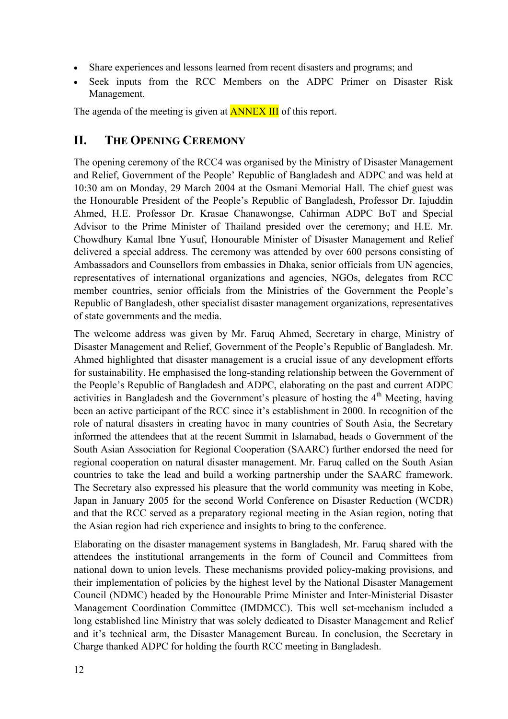- Share experiences and lessons learned from recent disasters and programs; and
- Seek inputs from the RCC Members on the ADPC Primer on Disaster Risk Management.

The agenda of the meeting is given at **ANNEX III** of this report.

## **II. THE OPENING CEREMONY**

The opening ceremony of the RCC4 was organised by the Ministry of Disaster Management and Relief, Government of the People' Republic of Bangladesh and ADPC and was held at 10:30 am on Monday, 29 March 2004 at the Osmani Memorial Hall. The chief guest was the Honourable President of the People's Republic of Bangladesh, Professor Dr. Iajuddin Ahmed, H.E. Professor Dr. Krasae Chanawongse, Cahirman ADPC BoT and Special Advisor to the Prime Minister of Thailand presided over the ceremony; and H.E. Mr. Chowdhury Kamal Ibne Yusuf, Honourable Minister of Disaster Management and Relief delivered a special address. The ceremony was attended by over 600 persons consisting of Ambassadors and Counsellors from embassies in Dhaka, senior officials from UN agencies, representatives of international organizations and agencies, NGOs, delegates from RCC member countries, senior officials from the Ministries of the Government the People's Republic of Bangladesh, other specialist disaster management organizations, representatives of state governments and the media.

The welcome address was given by Mr. Faruq Ahmed, Secretary in charge, Ministry of Disaster Management and Relief, Government of the People's Republic of Bangladesh. Mr. Ahmed highlighted that disaster management is a crucial issue of any development efforts for sustainability. He emphasised the long-standing relationship between the Government of the People's Republic of Bangladesh and ADPC, elaborating on the past and current ADPC activities in Bangladesh and the Government's pleasure of hosting the  $4<sup>th</sup>$  Meeting, having been an active participant of the RCC since it's establishment in 2000. In recognition of the role of natural disasters in creating havoc in many countries of South Asia, the Secretary informed the attendees that at the recent Summit in Islamabad, heads o Government of the South Asian Association for Regional Cooperation (SAARC) further endorsed the need for regional cooperation on natural disaster management. Mr. Faruq called on the South Asian countries to take the lead and build a working partnership under the SAARC framework. The Secretary also expressed his pleasure that the world community was meeting in Kobe, Japan in January 2005 for the second World Conference on Disaster Reduction (WCDR) and that the RCC served as a preparatory regional meeting in the Asian region, noting that the Asian region had rich experience and insights to bring to the conference.

Elaborating on the disaster management systems in Bangladesh, Mr. Faruq shared with the attendees the institutional arrangements in the form of Council and Committees from national down to union levels. These mechanisms provided policy-making provisions, and their implementation of policies by the highest level by the National Disaster Management Council (NDMC) headed by the Honourable Prime Minister and Inter-Ministerial Disaster Management Coordination Committee (IMDMCC). This well set-mechanism included a long established line Ministry that was solely dedicated to Disaster Management and Relief and it's technical arm, the Disaster Management Bureau. In conclusion, the Secretary in Charge thanked ADPC for holding the fourth RCC meeting in Bangladesh.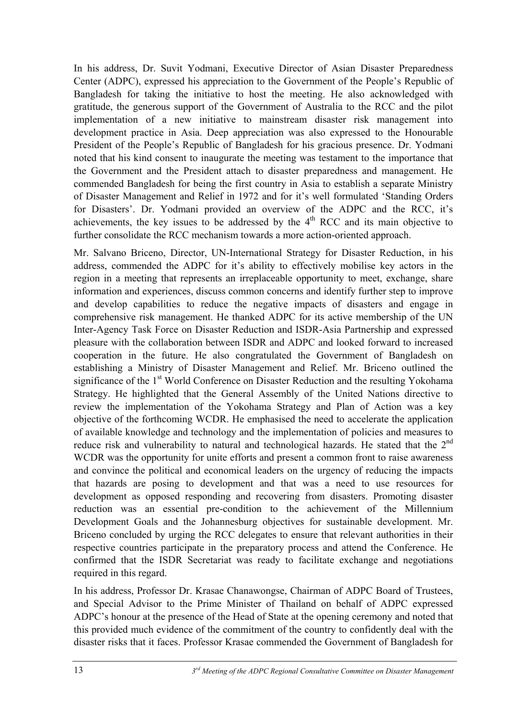In his address, Dr. Suvit Yodmani, Executive Director of Asian Disaster Preparedness Center (ADPC), expressed his appreciation to the Government of the People's Republic of Bangladesh for taking the initiative to host the meeting. He also acknowledged with gratitude, the generous support of the Government of Australia to the RCC and the pilot implementation of a new initiative to mainstream disaster risk management into development practice in Asia. Deep appreciation was also expressed to the Honourable President of the People's Republic of Bangladesh for his gracious presence. Dr. Yodmani noted that his kind consent to inaugurate the meeting was testament to the importance that the Government and the President attach to disaster preparedness and management. He commended Bangladesh for being the first country in Asia to establish a separate Ministry of Disaster Management and Relief in 1972 and for it's well formulated 'Standing Orders for Disasters'. Dr. Yodmani provided an overview of the ADPC and the RCC, it's achievements, the key issues to be addressed by the  $4<sup>th</sup>$  RCC and its main objective to further consolidate the RCC mechanism towards a more action-oriented approach.

Mr. Salvano Briceno, Director, UN-International Strategy for Disaster Reduction, in his address, commended the ADPC for it's ability to effectively mobilise key actors in the region in a meeting that represents an irreplaceable opportunity to meet, exchange, share information and experiences, discuss common concerns and identify further step to improve and develop capabilities to reduce the negative impacts of disasters and engage in comprehensive risk management. He thanked ADPC for its active membership of the UN Inter-Agency Task Force on Disaster Reduction and ISDR-Asia Partnership and expressed pleasure with the collaboration between ISDR and ADPC and looked forward to increased cooperation in the future. He also congratulated the Government of Bangladesh on establishing a Ministry of Disaster Management and Relief. Mr. Briceno outlined the significance of the 1<sup>st</sup> World Conference on Disaster Reduction and the resulting Yokohama Strategy. He highlighted that the General Assembly of the United Nations directive to review the implementation of the Yokohama Strategy and Plan of Action was a key objective of the forthcoming WCDR. He emphasised the need to accelerate the application of available knowledge and technology and the implementation of policies and measures to reduce risk and vulnerability to natural and technological hazards. He stated that the 2<sup>nd</sup> WCDR was the opportunity for unite efforts and present a common front to raise awareness and convince the political and economical leaders on the urgency of reducing the impacts that hazards are posing to development and that was a need to use resources for development as opposed responding and recovering from disasters. Promoting disaster reduction was an essential pre-condition to the achievement of the Millennium Development Goals and the Johannesburg objectives for sustainable development. Mr. Briceno concluded by urging the RCC delegates to ensure that relevant authorities in their respective countries participate in the preparatory process and attend the Conference. He confirmed that the ISDR Secretariat was ready to facilitate exchange and negotiations required in this regard.

In his address, Professor Dr. Krasae Chanawongse, Chairman of ADPC Board of Trustees, and Special Advisor to the Prime Minister of Thailand on behalf of ADPC expressed ADPC's honour at the presence of the Head of State at the opening ceremony and noted that this provided much evidence of the commitment of the country to confidently deal with the disaster risks that it faces. Professor Krasae commended the Government of Bangladesh for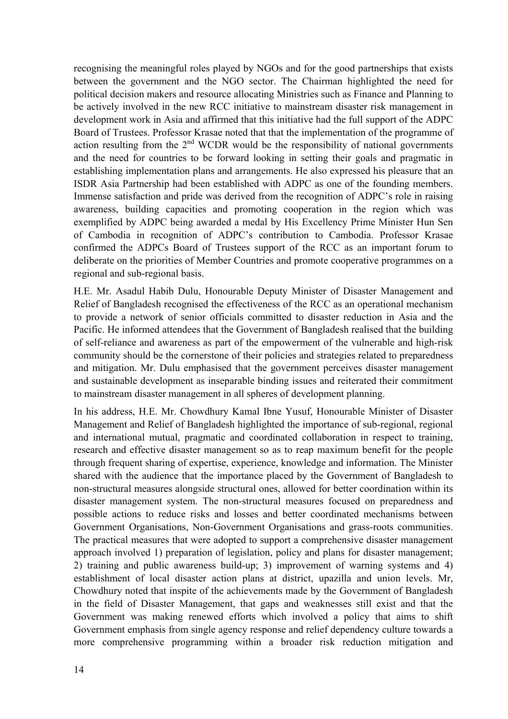recognising the meaningful roles played by NGOs and for the good partnerships that exists between the government and the NGO sector. The Chairman highlighted the need for political decision makers and resource allocating Ministries such as Finance and Planning to be actively involved in the new RCC initiative to mainstream disaster risk management in development work in Asia and affirmed that this initiative had the full support of the ADPC Board of Trustees. Professor Krasae noted that that the implementation of the programme of action resulting from the  $2<sup>nd</sup>$  WCDR would be the responsibility of national governments and the need for countries to be forward looking in setting their goals and pragmatic in establishing implementation plans and arrangements. He also expressed his pleasure that an ISDR Asia Partnership had been established with ADPC as one of the founding members. Immense satisfaction and pride was derived from the recognition of ADPC's role in raising awareness, building capacities and promoting cooperation in the region which was exemplified by ADPC being awarded a medal by His Excellency Prime Minister Hun Sen of Cambodia in recognition of ADPC's contribution to Cambodia. Professor Krasae confirmed the ADPCs Board of Trustees support of the RCC as an important forum to deliberate on the priorities of Member Countries and promote cooperative programmes on a regional and sub-regional basis.

H.E. Mr. Asadul Habib Dulu, Honourable Deputy Minister of Disaster Management and Relief of Bangladesh recognised the effectiveness of the RCC as an operational mechanism to provide a network of senior officials committed to disaster reduction in Asia and the Pacific. He informed attendees that the Government of Bangladesh realised that the building of self-reliance and awareness as part of the empowerment of the vulnerable and high-risk community should be the cornerstone of their policies and strategies related to preparedness and mitigation. Mr. Dulu emphasised that the government perceives disaster management and sustainable development as inseparable binding issues and reiterated their commitment to mainstream disaster management in all spheres of development planning.

In his address, H.E. Mr. Chowdhury Kamal Ibne Yusuf, Honourable Minister of Disaster Management and Relief of Bangladesh highlighted the importance of sub-regional, regional and international mutual, pragmatic and coordinated collaboration in respect to training, research and effective disaster management so as to reap maximum benefit for the people through frequent sharing of expertise, experience, knowledge and information. The Minister shared with the audience that the importance placed by the Government of Bangladesh to non-structural measures alongside structural ones, allowed for better coordination within its disaster management system. The non-structural measures focused on preparedness and possible actions to reduce risks and losses and better coordinated mechanisms between Government Organisations, Non-Government Organisations and grass-roots communities. The practical measures that were adopted to support a comprehensive disaster management approach involved 1) preparation of legislation, policy and plans for disaster management; 2) training and public awareness build-up; 3) improvement of warning systems and 4) establishment of local disaster action plans at district, upazilla and union levels. Mr, Chowdhury noted that inspite of the achievements made by the Government of Bangladesh in the field of Disaster Management, that gaps and weaknesses still exist and that the Government was making renewed efforts which involved a policy that aims to shift Government emphasis from single agency response and relief dependency culture towards a more comprehensive programming within a broader risk reduction mitigation and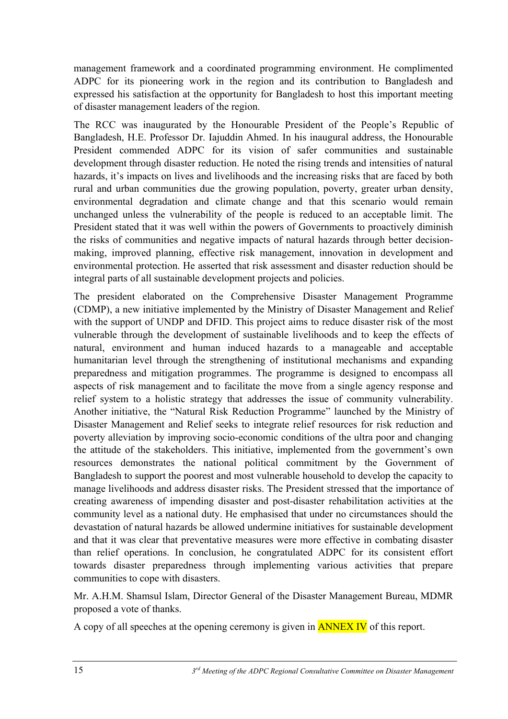management framework and a coordinated programming environment. He complimented ADPC for its pioneering work in the region and its contribution to Bangladesh and expressed his satisfaction at the opportunity for Bangladesh to host this important meeting of disaster management leaders of the region.

The RCC was inaugurated by the Honourable President of the People's Republic of Bangladesh, H.E. Professor Dr. Iajuddin Ahmed. In his inaugural address, the Honourable President commended ADPC for its vision of safer communities and sustainable development through disaster reduction. He noted the rising trends and intensities of natural hazards, it's impacts on lives and livelihoods and the increasing risks that are faced by both rural and urban communities due the growing population, poverty, greater urban density, environmental degradation and climate change and that this scenario would remain unchanged unless the vulnerability of the people is reduced to an acceptable limit. The President stated that it was well within the powers of Governments to proactively diminish the risks of communities and negative impacts of natural hazards through better decisionmaking, improved planning, effective risk management, innovation in development and environmental protection. He asserted that risk assessment and disaster reduction should be integral parts of all sustainable development projects and policies.

The president elaborated on the Comprehensive Disaster Management Programme (CDMP), a new initiative implemented by the Ministry of Disaster Management and Relief with the support of UNDP and DFID. This project aims to reduce disaster risk of the most vulnerable through the development of sustainable livelihoods and to keep the effects of natural, environment and human induced hazards to a manageable and acceptable humanitarian level through the strengthening of institutional mechanisms and expanding preparedness and mitigation programmes. The programme is designed to encompass all aspects of risk management and to facilitate the move from a single agency response and relief system to a holistic strategy that addresses the issue of community vulnerability. Another initiative, the "Natural Risk Reduction Programme" launched by the Ministry of Disaster Management and Relief seeks to integrate relief resources for risk reduction and poverty alleviation by improving socio-economic conditions of the ultra poor and changing the attitude of the stakeholders. This initiative, implemented from the government's own resources demonstrates the national political commitment by the Government of Bangladesh to support the poorest and most vulnerable household to develop the capacity to manage livelihoods and address disaster risks. The President stressed that the importance of creating awareness of impending disaster and post-disaster rehabilitation activities at the community level as a national duty. He emphasised that under no circumstances should the devastation of natural hazards be allowed undermine initiatives for sustainable development and that it was clear that preventative measures were more effective in combating disaster than relief operations. In conclusion, he congratulated ADPC for its consistent effort towards disaster preparedness through implementing various activities that prepare communities to cope with disasters.

Mr. A.H.M. Shamsul Islam, Director General of the Disaster Management Bureau, MDMR proposed a vote of thanks.

A copy of all speeches at the opening ceremony is given in ANNEX IV of this report.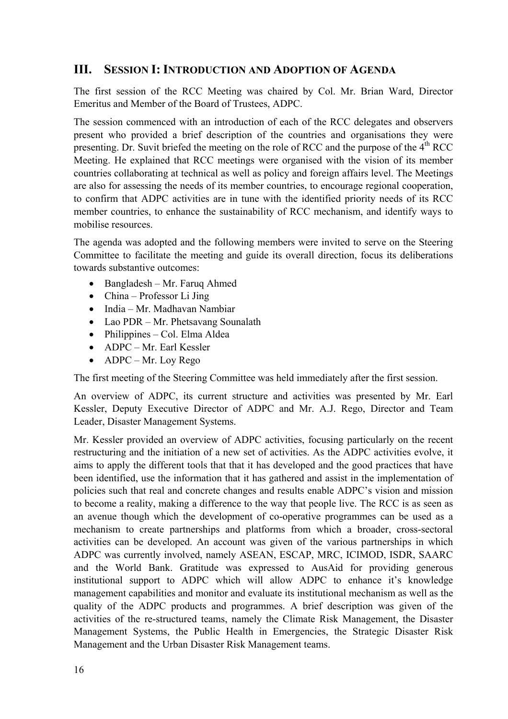## **III. SESSION I: INTRODUCTION AND ADOPTION OF AGENDA**

The first session of the RCC Meeting was chaired by Col. Mr. Brian Ward, Director Emeritus and Member of the Board of Trustees, ADPC.

The session commenced with an introduction of each of the RCC delegates and observers present who provided a brief description of the countries and organisations they were presenting. Dr. Suvit briefed the meeting on the role of RCC and the purpose of the  $4<sup>th</sup> RCC$ Meeting. He explained that RCC meetings were organised with the vision of its member countries collaborating at technical as well as policy and foreign affairs level. The Meetings are also for assessing the needs of its member countries, to encourage regional cooperation, to confirm that ADPC activities are in tune with the identified priority needs of its RCC member countries, to enhance the sustainability of RCC mechanism, and identify ways to mobilise resources.

The agenda was adopted and the following members were invited to serve on the Steering Committee to facilitate the meeting and guide its overall direction, focus its deliberations towards substantive outcomes:

- Bangladesh Mr. Faruq Ahmed
- China Professor Li Jing
- India Mr. Madhavan Nambiar
- Lao PDR Mr. Phetsavang Sounalath
- Philippines Col. Elma Aldea
- ADPC Mr. Earl Kessler
- ADPC Mr. Loy Rego

The first meeting of the Steering Committee was held immediately after the first session.

An overview of ADPC, its current structure and activities was presented by Mr. Earl Kessler, Deputy Executive Director of ADPC and Mr. A.J. Rego, Director and Team Leader, Disaster Management Systems.

Mr. Kessler provided an overview of ADPC activities, focusing particularly on the recent restructuring and the initiation of a new set of activities. As the ADPC activities evolve, it aims to apply the different tools that that it has developed and the good practices that have been identified, use the information that it has gathered and assist in the implementation of policies such that real and concrete changes and results enable ADPC's vision and mission to become a reality, making a difference to the way that people live. The RCC is as seen as an avenue though which the development of co-operative programmes can be used as a mechanism to create partnerships and platforms from which a broader, cross-sectoral activities can be developed. An account was given of the various partnerships in which ADPC was currently involved, namely ASEAN, ESCAP, MRC, ICIMOD, ISDR, SAARC and the World Bank. Gratitude was expressed to AusAid for providing generous institutional support to ADPC which will allow ADPC to enhance it's knowledge management capabilities and monitor and evaluate its institutional mechanism as well as the quality of the ADPC products and programmes. A brief description was given of the activities of the re-structured teams, namely the Climate Risk Management, the Disaster Management Systems, the Public Health in Emergencies, the Strategic Disaster Risk Management and the Urban Disaster Risk Management teams.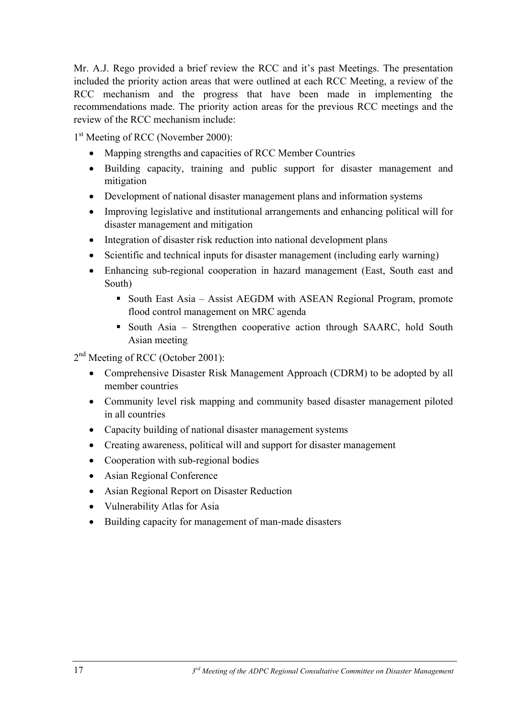Mr. A.J. Rego provided a brief review the RCC and it's past Meetings. The presentation included the priority action areas that were outlined at each RCC Meeting, a review of the RCC mechanism and the progress that have been made in implementing the recommendations made. The priority action areas for the previous RCC meetings and the review of the RCC mechanism include:

1<sup>st</sup> Meeting of RCC (November 2000):

- Mapping strengths and capacities of RCC Member Countries
- Building capacity, training and public support for disaster management and mitigation
- Development of national disaster management plans and information systems
- Improving legislative and institutional arrangements and enhancing political will for disaster management and mitigation
- Integration of disaster risk reduction into national development plans
- Scientific and technical inputs for disaster management (including early warning)
- Enhancing sub-regional cooperation in hazard management (East, South east and South)
	- South East Asia Assist AEGDM with ASEAN Regional Program, promote flood control management on MRC agenda
	- South Asia Strengthen cooperative action through SAARC, hold South Asian meeting

2<sup>nd</sup> Meeting of RCC (October 2001):

- Comprehensive Disaster Risk Management Approach (CDRM) to be adopted by all member countries
- Community level risk mapping and community based disaster management piloted in all countries
- Capacity building of national disaster management systems
- Creating awareness, political will and support for disaster management
- Cooperation with sub-regional bodies
- Asian Regional Conference
- Asian Regional Report on Disaster Reduction
- Vulnerability Atlas for Asia
- Building capacity for management of man-made disasters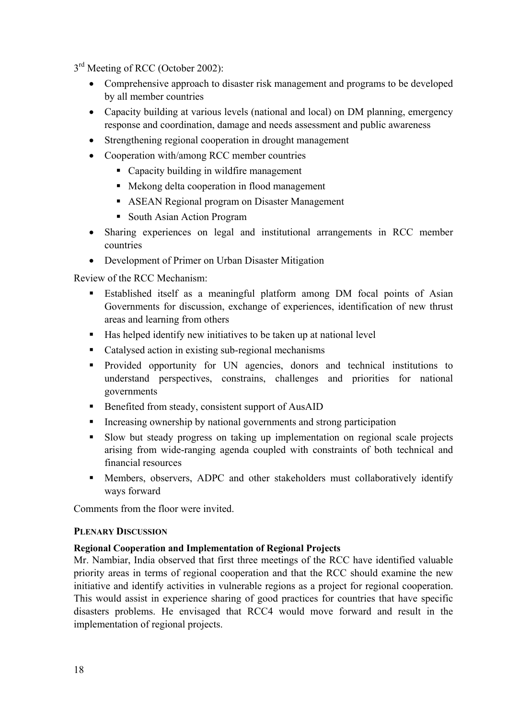3<sup>rd</sup> Meeting of RCC (October 2002):

- Comprehensive approach to disaster risk management and programs to be developed by all member countries
- Capacity building at various levels (national and local) on DM planning, emergency response and coordination, damage and needs assessment and public awareness
- Strengthening regional cooperation in drought management
- Cooperation with/among RCC member countries
	- Capacity building in wildfire management
	- Mekong delta cooperation in flood management
	- ASEAN Regional program on Disaster Management
	- South Asian Action Program
- Sharing experiences on legal and institutional arrangements in RCC member countries
- Development of Primer on Urban Disaster Mitigation

Review of the RCC Mechanism:

- Established itself as a meaningful platform among DM focal points of Asian Governments for discussion, exchange of experiences, identification of new thrust areas and learning from others
- $\blacksquare$  Has helped identify new initiatives to be taken up at national level
- Catalysed action in existing sub-regional mechanisms
- **Provided opportunity for UN agencies, donors and technical institutions to** understand perspectives, constrains, challenges and priorities for national governments
- Benefited from steady, consistent support of AusAID
- Increasing ownership by national governments and strong participation
- Slow but steady progress on taking up implementation on regional scale projects arising from wide-ranging agenda coupled with constraints of both technical and financial resources
- Members, observers, ADPC and other stakeholders must collaboratively identify ways forward

Comments from the floor were invited.

#### **PLENARY DISCUSSION**

#### **Regional Cooperation and Implementation of Regional Projects**

Mr. Nambiar, India observed that first three meetings of the RCC have identified valuable priority areas in terms of regional cooperation and that the RCC should examine the new initiative and identify activities in vulnerable regions as a project for regional cooperation. This would assist in experience sharing of good practices for countries that have specific disasters problems. He envisaged that RCC4 would move forward and result in the implementation of regional projects.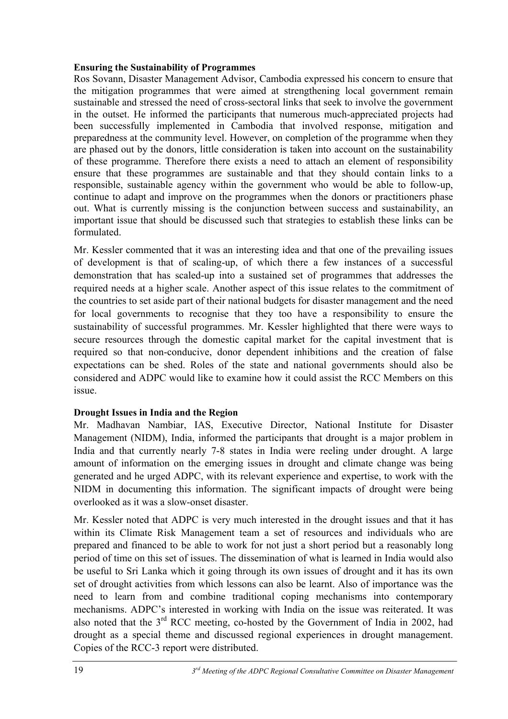#### **Ensuring the Sustainability of Programmes**

Ros Sovann, Disaster Management Advisor, Cambodia expressed his concern to ensure that the mitigation programmes that were aimed at strengthening local government remain sustainable and stressed the need of cross-sectoral links that seek to involve the government in the outset. He informed the participants that numerous much-appreciated projects had been successfully implemented in Cambodia that involved response, mitigation and preparedness at the community level. However, on completion of the programme when they are phased out by the donors, little consideration is taken into account on the sustainability of these programme. Therefore there exists a need to attach an element of responsibility ensure that these programmes are sustainable and that they should contain links to a responsible, sustainable agency within the government who would be able to follow-up, continue to adapt and improve on the programmes when the donors or practitioners phase out. What is currently missing is the conjunction between success and sustainability, an important issue that should be discussed such that strategies to establish these links can be formulated.

Mr. Kessler commented that it was an interesting idea and that one of the prevailing issues of development is that of scaling-up, of which there a few instances of a successful demonstration that has scaled-up into a sustained set of programmes that addresses the required needs at a higher scale. Another aspect of this issue relates to the commitment of the countries to set aside part of their national budgets for disaster management and the need for local governments to recognise that they too have a responsibility to ensure the sustainability of successful programmes. Mr. Kessler highlighted that there were ways to secure resources through the domestic capital market for the capital investment that is required so that non-conducive, donor dependent inhibitions and the creation of false expectations can be shed. Roles of the state and national governments should also be considered and ADPC would like to examine how it could assist the RCC Members on this issue.

#### **Drought Issues in India and the Region**

Mr. Madhavan Nambiar, IAS, Executive Director, National Institute for Disaster Management (NIDM), India, informed the participants that drought is a major problem in India and that currently nearly 7-8 states in India were reeling under drought. A large amount of information on the emerging issues in drought and climate change was being generated and he urged ADPC, with its relevant experience and expertise, to work with the NIDM in documenting this information. The significant impacts of drought were being overlooked as it was a slow-onset disaster.

Mr. Kessler noted that ADPC is very much interested in the drought issues and that it has within its Climate Risk Management team a set of resources and individuals who are prepared and financed to be able to work for not just a short period but a reasonably long period of time on this set of issues. The dissemination of what is learned in India would also be useful to Sri Lanka which it going through its own issues of drought and it has its own set of drought activities from which lessons can also be learnt. Also of importance was the need to learn from and combine traditional coping mechanisms into contemporary mechanisms. ADPC's interested in working with India on the issue was reiterated. It was also noted that the 3<sup>rd</sup> RCC meeting, co-hosted by the Government of India in 2002, had drought as a special theme and discussed regional experiences in drought management. Copies of the RCC-3 report were distributed.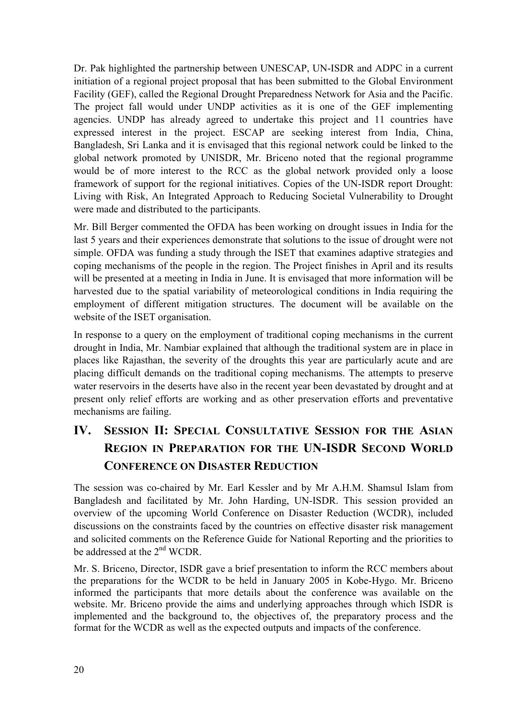Dr. Pak highlighted the partnership between UNESCAP, UN-ISDR and ADPC in a current initiation of a regional project proposal that has been submitted to the Global Environment Facility (GEF), called the Regional Drought Preparedness Network for Asia and the Pacific. The project fall would under UNDP activities as it is one of the GEF implementing agencies. UNDP has already agreed to undertake this project and 11 countries have expressed interest in the project. ESCAP are seeking interest from India, China, Bangladesh, Sri Lanka and it is envisaged that this regional network could be linked to the global network promoted by UNISDR, Mr. Briceno noted that the regional programme would be of more interest to the RCC as the global network provided only a loose framework of support for the regional initiatives. Copies of the UN-ISDR report Drought: Living with Risk, An Integrated Approach to Reducing Societal Vulnerability to Drought were made and distributed to the participants.

Mr. Bill Berger commented the OFDA has been working on drought issues in India for the last 5 years and their experiences demonstrate that solutions to the issue of drought were not simple. OFDA was funding a study through the ISET that examines adaptive strategies and coping mechanisms of the people in the region. The Project finishes in April and its results will be presented at a meeting in India in June. It is envisaged that more information will be harvested due to the spatial variability of meteorological conditions in India requiring the employment of different mitigation structures. The document will be available on the website of the ISET organisation.

In response to a query on the employment of traditional coping mechanisms in the current drought in India, Mr. Nambiar explained that although the traditional system are in place in places like Rajasthan, the severity of the droughts this year are particularly acute and are placing difficult demands on the traditional coping mechanisms. The attempts to preserve water reservoirs in the deserts have also in the recent year been devastated by drought and at present only relief efforts are working and as other preservation efforts and preventative mechanisms are failing.

# **IV. SESSION II: SPECIAL CONSULTATIVE SESSION FOR THE ASIAN REGION IN PREPARATION FOR THE UN-ISDR SECOND WORLD CONFERENCE ON DISASTER REDUCTION**

The session was co-chaired by Mr. Earl Kessler and by Mr A.H.M. Shamsul Islam from Bangladesh and facilitated by Mr. John Harding, UN-ISDR. This session provided an overview of the upcoming World Conference on Disaster Reduction (WCDR), included discussions on the constraints faced by the countries on effective disaster risk management and solicited comments on the Reference Guide for National Reporting and the priorities to be addressed at the 2nd WCDR.

Mr. S. Briceno, Director, ISDR gave a brief presentation to inform the RCC members about the preparations for the WCDR to be held in January 2005 in Kobe-Hygo. Mr. Briceno informed the participants that more details about the conference was available on the website. Mr. Briceno provide the aims and underlying approaches through which ISDR is implemented and the background to, the objectives of, the preparatory process and the format for the WCDR as well as the expected outputs and impacts of the conference.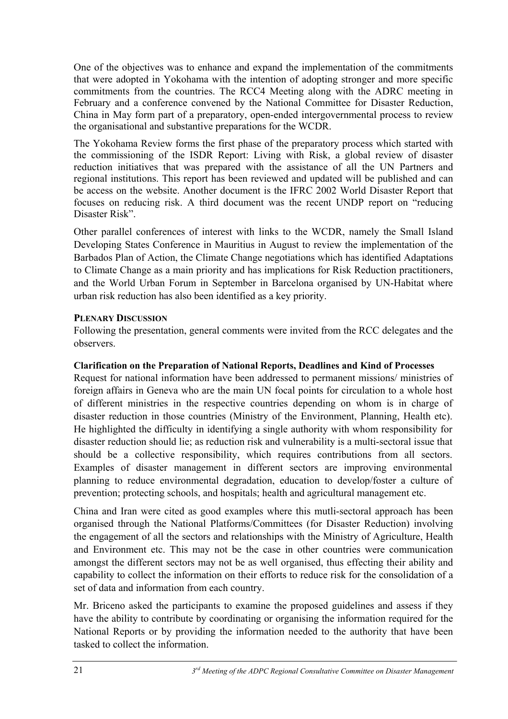One of the objectives was to enhance and expand the implementation of the commitments that were adopted in Yokohama with the intention of adopting stronger and more specific commitments from the countries. The RCC4 Meeting along with the ADRC meeting in February and a conference convened by the National Committee for Disaster Reduction, China in May form part of a preparatory, open-ended intergovernmental process to review the organisational and substantive preparations for the WCDR.

The Yokohama Review forms the first phase of the preparatory process which started with the commissioning of the ISDR Report: Living with Risk, a global review of disaster reduction initiatives that was prepared with the assistance of all the UN Partners and regional institutions. This report has been reviewed and updated will be published and can be access on the website. Another document is the IFRC 2002 World Disaster Report that focuses on reducing risk. A third document was the recent UNDP report on "reducing Disaster Risk".

Other parallel conferences of interest with links to the WCDR, namely the Small Island Developing States Conference in Mauritius in August to review the implementation of the Barbados Plan of Action, the Climate Change negotiations which has identified Adaptations to Climate Change as a main priority and has implications for Risk Reduction practitioners, and the World Urban Forum in September in Barcelona organised by UN-Habitat where urban risk reduction has also been identified as a key priority.

#### **PLENARY DISCUSSION**

Following the presentation, general comments were invited from the RCC delegates and the observers.

## **Clarification on the Preparation of National Reports, Deadlines and Kind of Processes**

Request for national information have been addressed to permanent missions/ ministries of foreign affairs in Geneva who are the main UN focal points for circulation to a whole host of different ministries in the respective countries depending on whom is in charge of disaster reduction in those countries (Ministry of the Environment, Planning, Health etc). He highlighted the difficulty in identifying a single authority with whom responsibility for disaster reduction should lie; as reduction risk and vulnerability is a multi-sectoral issue that should be a collective responsibility, which requires contributions from all sectors. Examples of disaster management in different sectors are improving environmental planning to reduce environmental degradation, education to develop/foster a culture of prevention; protecting schools, and hospitals; health and agricultural management etc.

China and Iran were cited as good examples where this mutli-sectoral approach has been organised through the National Platforms/Committees (for Disaster Reduction) involving the engagement of all the sectors and relationships with the Ministry of Agriculture, Health and Environment etc. This may not be the case in other countries were communication amongst the different sectors may not be as well organised, thus effecting their ability and capability to collect the information on their efforts to reduce risk for the consolidation of a set of data and information from each country.

Mr. Briceno asked the participants to examine the proposed guidelines and assess if they have the ability to contribute by coordinating or organising the information required for the National Reports or by providing the information needed to the authority that have been tasked to collect the information.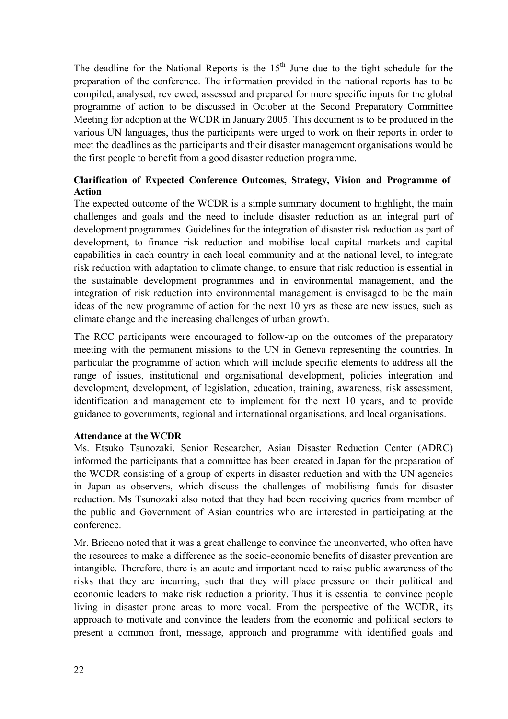The deadline for the National Reports is the  $15<sup>th</sup>$  June due to the tight schedule for the preparation of the conference. The information provided in the national reports has to be compiled, analysed, reviewed, assessed and prepared for more specific inputs for the global programme of action to be discussed in October at the Second Preparatory Committee Meeting for adoption at the WCDR in January 2005. This document is to be produced in the various UN languages, thus the participants were urged to work on their reports in order to meet the deadlines as the participants and their disaster management organisations would be the first people to benefit from a good disaster reduction programme.

### **Clarification of Expected Conference Outcomes, Strategy, Vision and Programme of Action**

The expected outcome of the WCDR is a simple summary document to highlight, the main challenges and goals and the need to include disaster reduction as an integral part of development programmes. Guidelines for the integration of disaster risk reduction as part of development, to finance risk reduction and mobilise local capital markets and capital capabilities in each country in each local community and at the national level, to integrate risk reduction with adaptation to climate change, to ensure that risk reduction is essential in the sustainable development programmes and in environmental management, and the integration of risk reduction into environmental management is envisaged to be the main ideas of the new programme of action for the next 10 yrs as these are new issues, such as climate change and the increasing challenges of urban growth.

The RCC participants were encouraged to follow-up on the outcomes of the preparatory meeting with the permanent missions to the UN in Geneva representing the countries. In particular the programme of action which will include specific elements to address all the range of issues, institutional and organisational development, policies integration and development, development, of legislation, education, training, awareness, risk assessment, identification and management etc to implement for the next 10 years, and to provide guidance to governments, regional and international organisations, and local organisations.

#### **Attendance at the WCDR**

Ms. Etsuko Tsunozaki, Senior Researcher, Asian Disaster Reduction Center (ADRC) informed the participants that a committee has been created in Japan for the preparation of the WCDR consisting of a group of experts in disaster reduction and with the UN agencies in Japan as observers, which discuss the challenges of mobilising funds for disaster reduction. Ms Tsunozaki also noted that they had been receiving queries from member of the public and Government of Asian countries who are interested in participating at the conference.

Mr. Briceno noted that it was a great challenge to convince the unconverted, who often have the resources to make a difference as the socio-economic benefits of disaster prevention are intangible. Therefore, there is an acute and important need to raise public awareness of the risks that they are incurring, such that they will place pressure on their political and economic leaders to make risk reduction a priority. Thus it is essential to convince people living in disaster prone areas to more vocal. From the perspective of the WCDR, its approach to motivate and convince the leaders from the economic and political sectors to present a common front, message, approach and programme with identified goals and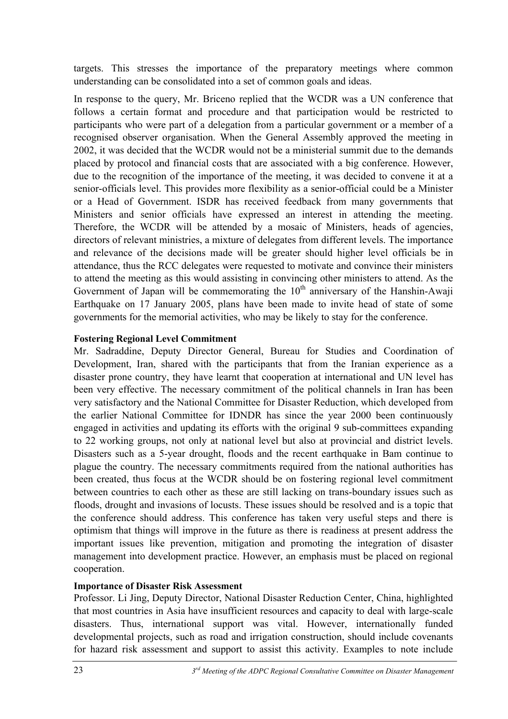targets. This stresses the importance of the preparatory meetings where common understanding can be consolidated into a set of common goals and ideas.

In response to the query, Mr. Briceno replied that the WCDR was a UN conference that follows a certain format and procedure and that participation would be restricted to participants who were part of a delegation from a particular government or a member of a recognised observer organisation. When the General Assembly approved the meeting in 2002, it was decided that the WCDR would not be a ministerial summit due to the demands placed by protocol and financial costs that are associated with a big conference. However, due to the recognition of the importance of the meeting, it was decided to convene it at a senior-officials level. This provides more flexibility as a senior-official could be a Minister or a Head of Government. ISDR has received feedback from many governments that Ministers and senior officials have expressed an interest in attending the meeting. Therefore, the WCDR will be attended by a mosaic of Ministers, heads of agencies, directors of relevant ministries, a mixture of delegates from different levels. The importance and relevance of the decisions made will be greater should higher level officials be in attendance, thus the RCC delegates were requested to motivate and convince their ministers to attend the meeting as this would assisting in convincing other ministers to attend. As the Government of Japan will be commemorating the  $10<sup>th</sup>$  anniversary of the Hanshin-Awaji Earthquake on 17 January 2005, plans have been made to invite head of state of some governments for the memorial activities, who may be likely to stay for the conference.

#### **Fostering Regional Level Commitment**

Mr. Sadraddine, Deputy Director General, Bureau for Studies and Coordination of Development, Iran, shared with the participants that from the Iranian experience as a disaster prone country, they have learnt that cooperation at international and UN level has been very effective. The necessary commitment of the political channels in Iran has been very satisfactory and the National Committee for Disaster Reduction, which developed from the earlier National Committee for IDNDR has since the year 2000 been continuously engaged in activities and updating its efforts with the original 9 sub-committees expanding to 22 working groups, not only at national level but also at provincial and district levels. Disasters such as a 5-year drought, floods and the recent earthquake in Bam continue to plague the country. The necessary commitments required from the national authorities has been created, thus focus at the WCDR should be on fostering regional level commitment between countries to each other as these are still lacking on trans-boundary issues such as floods, drought and invasions of locusts. These issues should be resolved and is a topic that the conference should address. This conference has taken very useful steps and there is optimism that things will improve in the future as there is readiness at present address the important issues like prevention, mitigation and promoting the integration of disaster management into development practice. However, an emphasis must be placed on regional cooperation.

#### **Importance of Disaster Risk Assessment**

Professor. Li Jing, Deputy Director, National Disaster Reduction Center, China, highlighted that most countries in Asia have insufficient resources and capacity to deal with large-scale disasters. Thus, international support was vital. However, internationally funded developmental projects, such as road and irrigation construction, should include covenants for hazard risk assessment and support to assist this activity. Examples to note include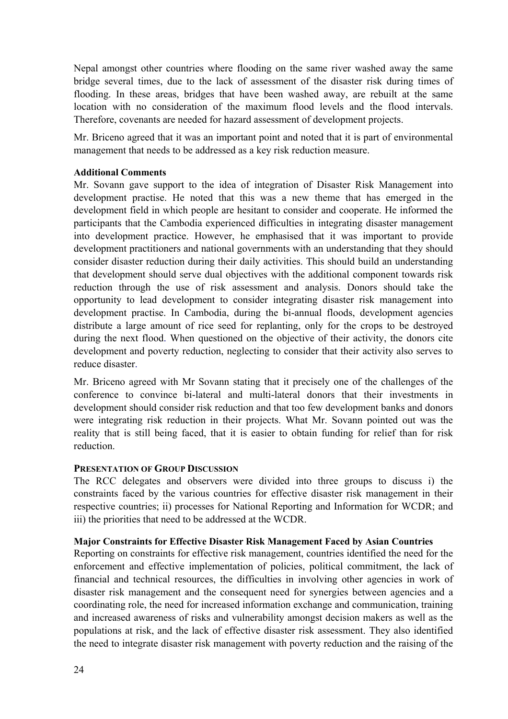Nepal amongst other countries where flooding on the same river washed away the same bridge several times, due to the lack of assessment of the disaster risk during times of flooding. In these areas, bridges that have been washed away, are rebuilt at the same location with no consideration of the maximum flood levels and the flood intervals. Therefore, covenants are needed for hazard assessment of development projects.

Mr. Briceno agreed that it was an important point and noted that it is part of environmental management that needs to be addressed as a key risk reduction measure.

#### **Additional Comments**

Mr. Sovann gave support to the idea of integration of Disaster Risk Management into development practise. He noted that this was a new theme that has emerged in the development field in which people are hesitant to consider and cooperate. He informed the participants that the Cambodia experienced difficulties in integrating disaster management into development practice. However, he emphasised that it was important to provide development practitioners and national governments with an understanding that they should consider disaster reduction during their daily activities. This should build an understanding that development should serve dual objectives with the additional component towards risk reduction through the use of risk assessment and analysis. Donors should take the opportunity to lead development to consider integrating disaster risk management into development practise. In Cambodia, during the bi-annual floods, development agencies distribute a large amount of rice seed for replanting, only for the crops to be destroyed during the next flood. When questioned on the objective of their activity, the donors cite development and poverty reduction, neglecting to consider that their activity also serves to reduce disaster.

Mr. Briceno agreed with Mr Sovann stating that it precisely one of the challenges of the conference to convince bi-lateral and multi-lateral donors that their investments in development should consider risk reduction and that too few development banks and donors were integrating risk reduction in their projects. What Mr. Sovann pointed out was the reality that is still being faced, that it is easier to obtain funding for relief than for risk reduction.

#### **PRESENTATION OF GROUP DISCUSSION**

The RCC delegates and observers were divided into three groups to discuss i) the constraints faced by the various countries for effective disaster risk management in their respective countries; ii) processes for National Reporting and Information for WCDR; and iii) the priorities that need to be addressed at the WCDR.

#### **Major Constraints for Effective Disaster Risk Management Faced by Asian Countries**

Reporting on constraints for effective risk management, countries identified the need for the enforcement and effective implementation of policies, political commitment, the lack of financial and technical resources, the difficulties in involving other agencies in work of disaster risk management and the consequent need for synergies between agencies and a coordinating role, the need for increased information exchange and communication, training and increased awareness of risks and vulnerability amongst decision makers as well as the populations at risk, and the lack of effective disaster risk assessment. They also identified the need to integrate disaster risk management with poverty reduction and the raising of the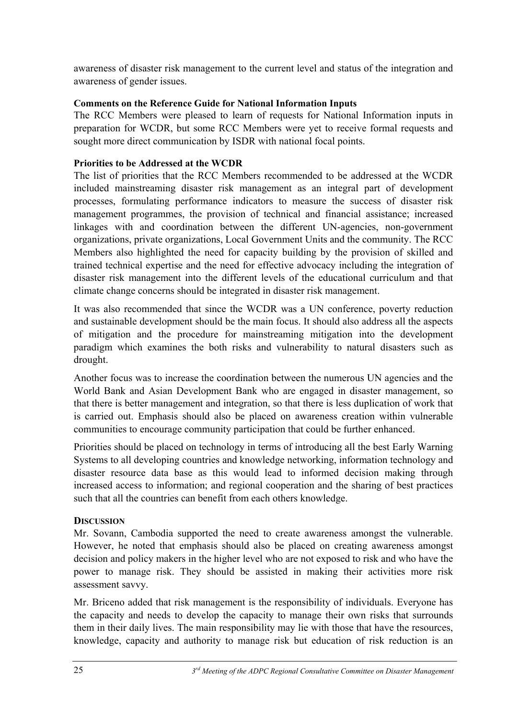awareness of disaster risk management to the current level and status of the integration and awareness of gender issues.

## **Comments on the Reference Guide for National Information Inputs**

The RCC Members were pleased to learn of requests for National Information inputs in preparation for WCDR, but some RCC Members were yet to receive formal requests and sought more direct communication by ISDR with national focal points.

## **Priorities to be Addressed at the WCDR**

The list of priorities that the RCC Members recommended to be addressed at the WCDR included mainstreaming disaster risk management as an integral part of development processes, formulating performance indicators to measure the success of disaster risk management programmes, the provision of technical and financial assistance; increased linkages with and coordination between the different UN-agencies, non-government organizations, private organizations, Local Government Units and the community. The RCC Members also highlighted the need for capacity building by the provision of skilled and trained technical expertise and the need for effective advocacy including the integration of disaster risk management into the different levels of the educational curriculum and that climate change concerns should be integrated in disaster risk management.

It was also recommended that since the WCDR was a UN conference, poverty reduction and sustainable development should be the main focus. It should also address all the aspects of mitigation and the procedure for mainstreaming mitigation into the development paradigm which examines the both risks and vulnerability to natural disasters such as drought.

Another focus was to increase the coordination between the numerous UN agencies and the World Bank and Asian Development Bank who are engaged in disaster management, so that there is better management and integration, so that there is less duplication of work that is carried out. Emphasis should also be placed on awareness creation within vulnerable communities to encourage community participation that could be further enhanced.

Priorities should be placed on technology in terms of introducing all the best Early Warning Systems to all developing countries and knowledge networking, information technology and disaster resource data base as this would lead to informed decision making through increased access to information; and regional cooperation and the sharing of best practices such that all the countries can benefit from each others knowledge.

#### **DISCUSSION**

Mr. Sovann, Cambodia supported the need to create awareness amongst the vulnerable. However, he noted that emphasis should also be placed on creating awareness amongst decision and policy makers in the higher level who are not exposed to risk and who have the power to manage risk. They should be assisted in making their activities more risk assessment savvy.

Mr. Briceno added that risk management is the responsibility of individuals. Everyone has the capacity and needs to develop the capacity to manage their own risks that surrounds them in their daily lives. The main responsibility may lie with those that have the resources, knowledge, capacity and authority to manage risk but education of risk reduction is an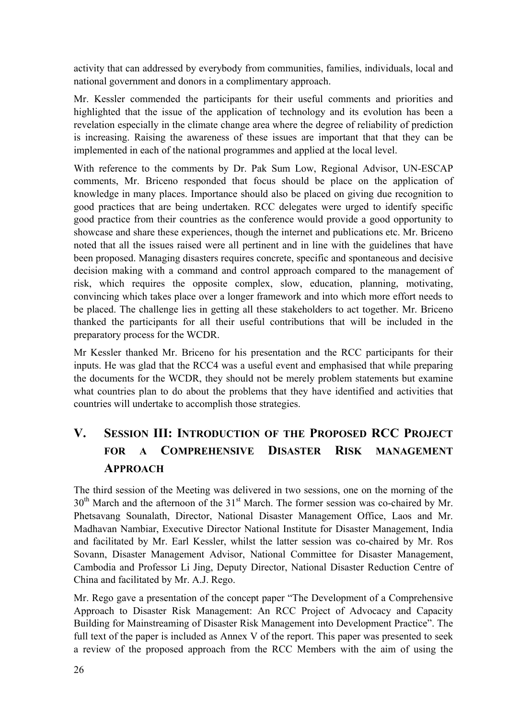activity that can addressed by everybody from communities, families, individuals, local and national government and donors in a complimentary approach.

Mr. Kessler commended the participants for their useful comments and priorities and highlighted that the issue of the application of technology and its evolution has been a revelation especially in the climate change area where the degree of reliability of prediction is increasing. Raising the awareness of these issues are important that that they can be implemented in each of the national programmes and applied at the local level.

With reference to the comments by Dr. Pak Sum Low, Regional Advisor, UN-ESCAP comments, Mr. Briceno responded that focus should be place on the application of knowledge in many places. Importance should also be placed on giving due recognition to good practices that are being undertaken. RCC delegates were urged to identify specific good practice from their countries as the conference would provide a good opportunity to showcase and share these experiences, though the internet and publications etc. Mr. Briceno noted that all the issues raised were all pertinent and in line with the guidelines that have been proposed. Managing disasters requires concrete, specific and spontaneous and decisive decision making with a command and control approach compared to the management of risk, which requires the opposite complex, slow, education, planning, motivating, convincing which takes place over a longer framework and into which more effort needs to be placed. The challenge lies in getting all these stakeholders to act together. Mr. Briceno thanked the participants for all their useful contributions that will be included in the preparatory process for the WCDR.

Mr Kessler thanked Mr. Briceno for his presentation and the RCC participants for their inputs. He was glad that the RCC4 was a useful event and emphasised that while preparing the documents for the WCDR, they should not be merely problem statements but examine what countries plan to do about the problems that they have identified and activities that countries will undertake to accomplish those strategies.

# **V. SESSION III: INTRODUCTION OF THE PROPOSED RCC PROJECT FOR A COMPREHENSIVE DISASTER RISK MANAGEMENT APPROACH**

The third session of the Meeting was delivered in two sessions, one on the morning of the 30<sup>th</sup> March and the afternoon of the 31<sup>st</sup> March. The former session was co-chaired by Mr. Phetsavang Sounalath, Director, National Disaster Management Office, Laos and Mr. Madhavan Nambiar, Executive Director National Institute for Disaster Management, India and facilitated by Mr. Earl Kessler, whilst the latter session was co-chaired by Mr. Ros Sovann, Disaster Management Advisor, National Committee for Disaster Management, Cambodia and Professor Li Jing, Deputy Director, National Disaster Reduction Centre of China and facilitated by Mr. A.J. Rego.

Mr. Rego gave a presentation of the concept paper "The Development of a Comprehensive Approach to Disaster Risk Management: An RCC Project of Advocacy and Capacity Building for Mainstreaming of Disaster Risk Management into Development Practice". The full text of the paper is included as Annex V of the report. This paper was presented to seek a review of the proposed approach from the RCC Members with the aim of using the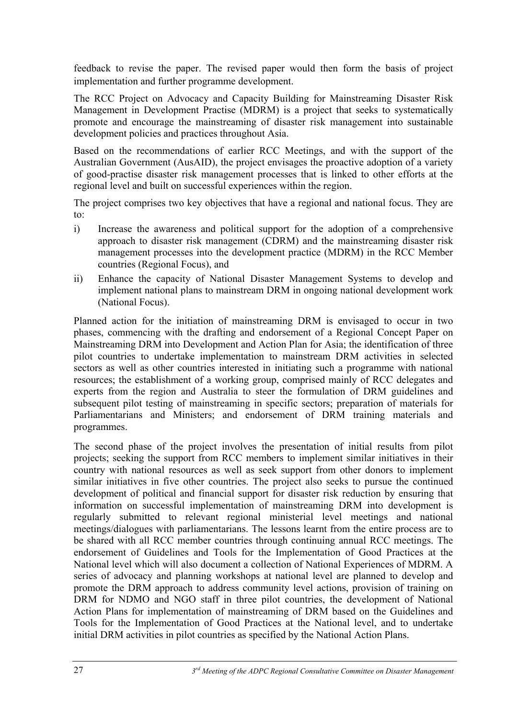feedback to revise the paper. The revised paper would then form the basis of project implementation and further programme development.

The RCC Project on Advocacy and Capacity Building for Mainstreaming Disaster Risk Management in Development Practise (MDRM) is a project that seeks to systematically promote and encourage the mainstreaming of disaster risk management into sustainable development policies and practices throughout Asia.

Based on the recommendations of earlier RCC Meetings, and with the support of the Australian Government (AusAID), the project envisages the proactive adoption of a variety of good-practise disaster risk management processes that is linked to other efforts at the regional level and built on successful experiences within the region.

The project comprises two key objectives that have a regional and national focus. They are to:

- i) Increase the awareness and political support for the adoption of a comprehensive approach to disaster risk management (CDRM) and the mainstreaming disaster risk management processes into the development practice (MDRM) in the RCC Member countries (Regional Focus), and
- ii) Enhance the capacity of National Disaster Management Systems to develop and implement national plans to mainstream DRM in ongoing national development work (National Focus).

Planned action for the initiation of mainstreaming DRM is envisaged to occur in two phases, commencing with the drafting and endorsement of a Regional Concept Paper on Mainstreaming DRM into Development and Action Plan for Asia; the identification of three pilot countries to undertake implementation to mainstream DRM activities in selected sectors as well as other countries interested in initiating such a programme with national resources; the establishment of a working group, comprised mainly of RCC delegates and experts from the region and Australia to steer the formulation of DRM guidelines and subsequent pilot testing of mainstreaming in specific sectors; preparation of materials for Parliamentarians and Ministers; and endorsement of DRM training materials and programmes.

The second phase of the project involves the presentation of initial results from pilot projects; seeking the support from RCC members to implement similar initiatives in their country with national resources as well as seek support from other donors to implement similar initiatives in five other countries. The project also seeks to pursue the continued development of political and financial support for disaster risk reduction by ensuring that information on successful implementation of mainstreaming DRM into development is regularly submitted to relevant regional ministerial level meetings and national meetings/dialogues with parliamentarians. The lessons learnt from the entire process are to be shared with all RCC member countries through continuing annual RCC meetings. The endorsement of Guidelines and Tools for the Implementation of Good Practices at the National level which will also document a collection of National Experiences of MDRM. A series of advocacy and planning workshops at national level are planned to develop and promote the DRM approach to address community level actions, provision of training on DRM for NDMO and NGO staff in three pilot countries, the development of National Action Plans for implementation of mainstreaming of DRM based on the Guidelines and Tools for the Implementation of Good Practices at the National level, and to undertake initial DRM activities in pilot countries as specified by the National Action Plans.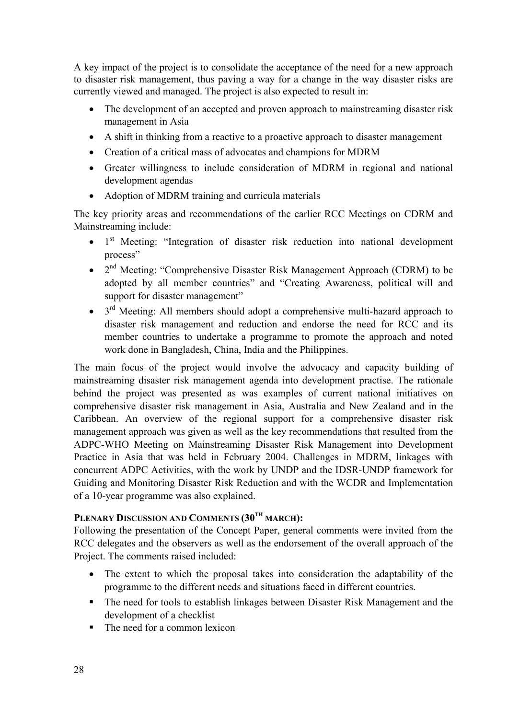A key impact of the project is to consolidate the acceptance of the need for a new approach to disaster risk management, thus paving a way for a change in the way disaster risks are currently viewed and managed. The project is also expected to result in:

- The development of an accepted and proven approach to mainstreaming disaster risk management in Asia
- A shift in thinking from a reactive to a proactive approach to disaster management
- Creation of a critical mass of advocates and champions for MDRM
- Greater willingness to include consideration of MDRM in regional and national development agendas
- Adoption of MDRM training and curricula materials

The key priority areas and recommendations of the earlier RCC Meetings on CDRM and Mainstreaming include:

- 1<sup>st</sup> Meeting: "Integration of disaster risk reduction into national development process"
- 2<sup>nd</sup> Meeting: "Comprehensive Disaster Risk Management Approach (CDRM) to be adopted by all member countries" and "Creating Awareness, political will and support for disaster management"
- $\bullet$  3<sup>rd</sup> Meeting: All members should adopt a comprehensive multi-hazard approach to disaster risk management and reduction and endorse the need for RCC and its member countries to undertake a programme to promote the approach and noted work done in Bangladesh, China, India and the Philippines.

The main focus of the project would involve the advocacy and capacity building of mainstreaming disaster risk management agenda into development practise. The rationale behind the project was presented as was examples of current national initiatives on comprehensive disaster risk management in Asia, Australia and New Zealand and in the Caribbean. An overview of the regional support for a comprehensive disaster risk management approach was given as well as the key recommendations that resulted from the ADPC-WHO Meeting on Mainstreaming Disaster Risk Management into Development Practice in Asia that was held in February 2004. Challenges in MDRM, linkages with concurrent ADPC Activities, with the work by UNDP and the IDSR-UNDP framework for Guiding and Monitoring Disaster Risk Reduction and with the WCDR and Implementation of a 10-year programme was also explained.

## PLENARY DISCUSSION AND COMMENTS (30<sup>TH</sup> MARCH):

Following the presentation of the Concept Paper, general comments were invited from the RCC delegates and the observers as well as the endorsement of the overall approach of the Project. The comments raised included:

- The extent to which the proposal takes into consideration the adaptability of the programme to the different needs and situations faced in different countries.
- The need for tools to establish linkages between Disaster Risk Management and the development of a checklist
- The need for a common lexicon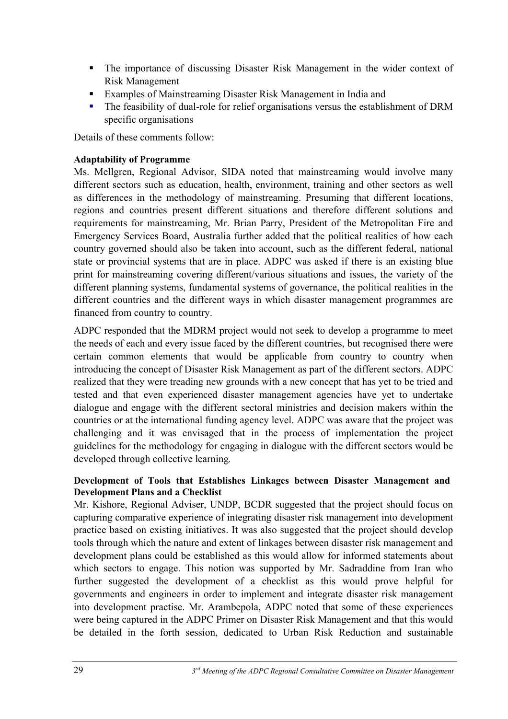- The importance of discussing Disaster Risk Management in the wider context of Risk Management
- Examples of Mainstreaming Disaster Risk Management in India and
- The feasibility of dual-role for relief organisations versus the establishment of DRM specific organisations

Details of these comments follow:

## **Adaptability of Programme**

Ms. Mellgren, Regional Advisor, SIDA noted that mainstreaming would involve many different sectors such as education, health, environment, training and other sectors as well as differences in the methodology of mainstreaming. Presuming that different locations, regions and countries present different situations and therefore different solutions and requirements for mainstreaming, Mr. Brian Parry, President of the Metropolitan Fire and Emergency Services Board, Australia further added that the political realities of how each country governed should also be taken into account, such as the different federal, national state or provincial systems that are in place. ADPC was asked if there is an existing blue print for mainstreaming covering different/various situations and issues, the variety of the different planning systems, fundamental systems of governance, the political realities in the different countries and the different ways in which disaster management programmes are financed from country to country.

ADPC responded that the MDRM project would not seek to develop a programme to meet the needs of each and every issue faced by the different countries, but recognised there were certain common elements that would be applicable from country to country when introducing the concept of Disaster Risk Management as part of the different sectors. ADPC realized that they were treading new grounds with a new concept that has yet to be tried and tested and that even experienced disaster management agencies have yet to undertake dialogue and engage with the different sectoral ministries and decision makers within the countries or at the international funding agency level. ADPC was aware that the project was challenging and it was envisaged that in the process of implementation the project guidelines for the methodology for engaging in dialogue with the different sectors would be developed through collective learning*.* 

## **Development of Tools that Establishes Linkages between Disaster Management and Development Plans and a Checklist**

Mr. Kishore, Regional Adviser, UNDP, BCDR suggested that the project should focus on capturing comparative experience of integrating disaster risk management into development practice based on existing initiatives. It was also suggested that the project should develop tools through which the nature and extent of linkages between disaster risk management and development plans could be established as this would allow for informed statements about which sectors to engage. This notion was supported by Mr. Sadraddine from Iran who further suggested the development of a checklist as this would prove helpful for governments and engineers in order to implement and integrate disaster risk management into development practise. Mr. Arambepola, ADPC noted that some of these experiences were being captured in the ADPC Primer on Disaster Risk Management and that this would be detailed in the forth session, dedicated to Urban Risk Reduction and sustainable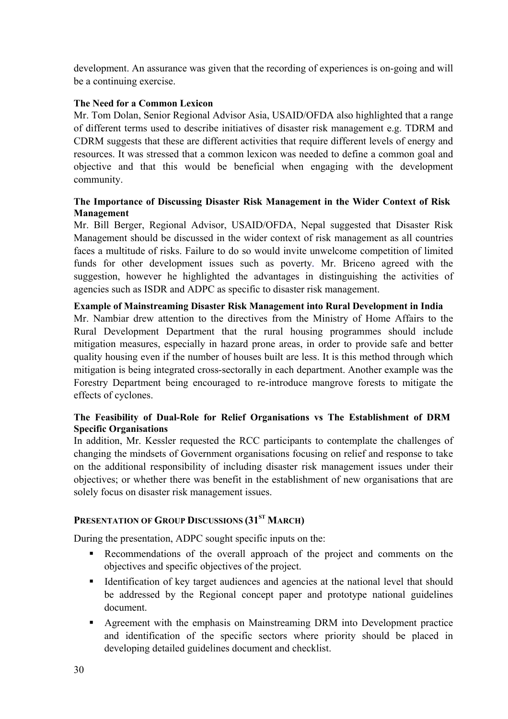development. An assurance was given that the recording of experiences is on-going and will be a continuing exercise.

#### **The Need for a Common Lexicon**

Mr. Tom Dolan, Senior Regional Advisor Asia, USAID/OFDA also highlighted that a range of different terms used to describe initiatives of disaster risk management e.g. TDRM and CDRM suggests that these are different activities that require different levels of energy and resources. It was stressed that a common lexicon was needed to define a common goal and objective and that this would be beneficial when engaging with the development community.

#### **The Importance of Discussing Disaster Risk Management in the Wider Context of Risk Management**

Mr. Bill Berger, Regional Advisor, USAID/OFDA, Nepal suggested that Disaster Risk Management should be discussed in the wider context of risk management as all countries faces a multitude of risks. Failure to do so would invite unwelcome competition of limited funds for other development issues such as poverty. Mr. Briceno agreed with the suggestion, however he highlighted the advantages in distinguishing the activities of agencies such as ISDR and ADPC as specific to disaster risk management.

#### **Example of Mainstreaming Disaster Risk Management into Rural Development in India**

Mr. Nambiar drew attention to the directives from the Ministry of Home Affairs to the Rural Development Department that the rural housing programmes should include mitigation measures, especially in hazard prone areas, in order to provide safe and better quality housing even if the number of houses built are less. It is this method through which mitigation is being integrated cross-sectorally in each department. Another example was the Forestry Department being encouraged to re-introduce mangrove forests to mitigate the effects of cyclones.

#### **The Feasibility of Dual-Role for Relief Organisations vs The Establishment of DRM Specific Organisations**

In addition, Mr. Kessler requested the RCC participants to contemplate the challenges of changing the mindsets of Government organisations focusing on relief and response to take on the additional responsibility of including disaster risk management issues under their objectives; or whether there was benefit in the establishment of new organisations that are solely focus on disaster risk management issues.

### **PRESENTATION OF GROUP DISCUSSIONS (31<sup>ST</sup> MARCH)**

During the presentation, ADPC sought specific inputs on the:

- Recommendations of the overall approach of the project and comments on the objectives and specific objectives of the project.
- Intertual Identification of key target audiences and agencies at the national level that should be addressed by the Regional concept paper and prototype national guidelines document.
- Agreement with the emphasis on Mainstreaming DRM into Development practice and identification of the specific sectors where priority should be placed in developing detailed guidelines document and checklist.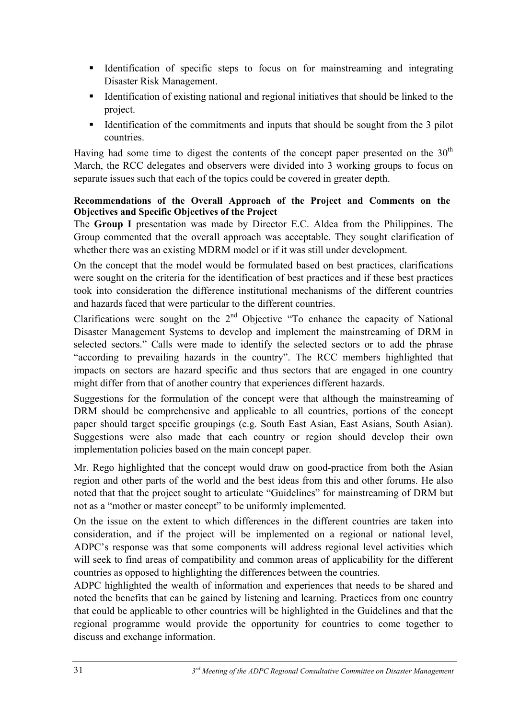- Identification of specific steps to focus on for mainstreaming and integrating Disaster Risk Management.
- Identification of existing national and regional initiatives that should be linked to the project.
- Identification of the commitments and inputs that should be sought from the 3 pilot countries.

Having had some time to digest the contents of the concept paper presented on the  $30<sup>th</sup>$ March, the RCC delegates and observers were divided into 3 working groups to focus on separate issues such that each of the topics could be covered in greater depth.

## **Recommendations of the Overall Approach of the Project and Comments on the Objectives and Specific Objectives of the Project**

The **Group I** presentation was made by Director E.C. Aldea from the Philippines. The Group commented that the overall approach was acceptable. They sought clarification of whether there was an existing MDRM model or if it was still under development.

On the concept that the model would be formulated based on best practices, clarifications were sought on the criteria for the identification of best practices and if these best practices took into consideration the difference institutional mechanisms of the different countries and hazards faced that were particular to the different countries.

Clarifications were sought on the  $2<sup>nd</sup>$  Objective "To enhance the capacity of National Disaster Management Systems to develop and implement the mainstreaming of DRM in selected sectors." Calls were made to identify the selected sectors or to add the phrase "according to prevailing hazards in the country". The RCC members highlighted that impacts on sectors are hazard specific and thus sectors that are engaged in one country might differ from that of another country that experiences different hazards.

Suggestions for the formulation of the concept were that although the mainstreaming of DRM should be comprehensive and applicable to all countries, portions of the concept paper should target specific groupings (e.g. South East Asian, East Asians, South Asian). Suggestions were also made that each country or region should develop their own implementation policies based on the main concept paper*.*

Mr. Rego highlighted that the concept would draw on good-practice from both the Asian region and other parts of the world and the best ideas from this and other forums. He also noted that that the project sought to articulate "Guidelines" for mainstreaming of DRM but not as a "mother or master concept" to be uniformly implemented.

On the issue on the extent to which differences in the different countries are taken into consideration, and if the project will be implemented on a regional or national level, ADPC's response was that some components will address regional level activities which will seek to find areas of compatibility and common areas of applicability for the different countries as opposed to highlighting the differences between the countries.

ADPC highlighted the wealth of information and experiences that needs to be shared and noted the benefits that can be gained by listening and learning. Practices from one country that could be applicable to other countries will be highlighted in the Guidelines and that the regional programme would provide the opportunity for countries to come together to discuss and exchange information.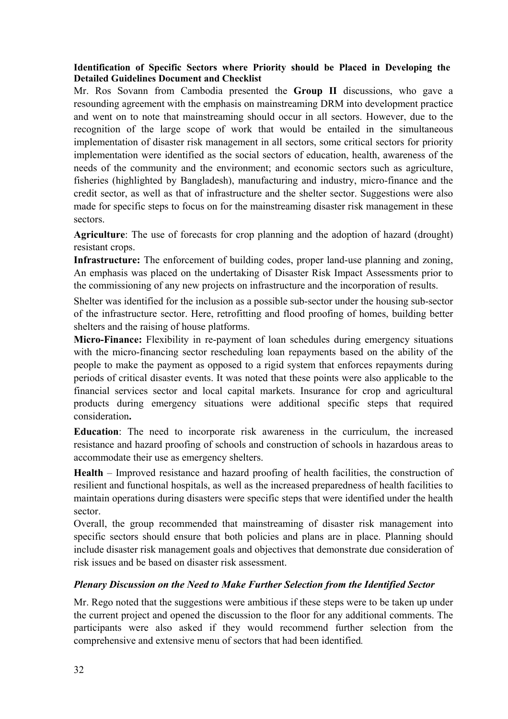#### **Identification of Specific Sectors where Priority should be Placed in Developing the Detailed Guidelines Document and Checklist**

Mr. Ros Sovann from Cambodia presented the **Group II** discussions, who gave a resounding agreement with the emphasis on mainstreaming DRM into development practice and went on to note that mainstreaming should occur in all sectors. However, due to the recognition of the large scope of work that would be entailed in the simultaneous implementation of disaster risk management in all sectors, some critical sectors for priority implementation were identified as the social sectors of education, health, awareness of the needs of the community and the environment; and economic sectors such as agriculture, fisheries (highlighted by Bangladesh), manufacturing and industry, micro-finance and the credit sector, as well as that of infrastructure and the shelter sector. Suggestions were also made for specific steps to focus on for the mainstreaming disaster risk management in these sectors.

**Agriculture**: The use of forecasts for crop planning and the adoption of hazard (drought) resistant crops.

**Infrastructure:** The enforcement of building codes, proper land-use planning and zoning, An emphasis was placed on the undertaking of Disaster Risk Impact Assessments prior to the commissioning of any new projects on infrastructure and the incorporation of results.

Shelter was identified for the inclusion as a possible sub-sector under the housing sub-sector of the infrastructure sector. Here, retrofitting and flood proofing of homes, building better shelters and the raising of house platforms.

**Micro-Finance:** Flexibility in re-payment of loan schedules during emergency situations with the micro-financing sector rescheduling loan repayments based on the ability of the people to make the payment as opposed to a rigid system that enforces repayments during periods of critical disaster events. It was noted that these points were also applicable to the financial services sector and local capital markets. Insurance for crop and agricultural products during emergency situations were additional specific steps that required consideration**.** 

**Education**: The need to incorporate risk awareness in the curriculum, the increased resistance and hazard proofing of schools and construction of schools in hazardous areas to accommodate their use as emergency shelters.

**Health** – Improved resistance and hazard proofing of health facilities, the construction of resilient and functional hospitals, as well as the increased preparedness of health facilities to maintain operations during disasters were specific steps that were identified under the health sector.

Overall, the group recommended that mainstreaming of disaster risk management into specific sectors should ensure that both policies and plans are in place. Planning should include disaster risk management goals and objectives that demonstrate due consideration of risk issues and be based on disaster risk assessment.

#### *Plenary Discussion on the Need to Make Further Selection from the Identified Sector*

Mr. Rego noted that the suggestions were ambitious if these steps were to be taken up under the current project and opened the discussion to the floor for any additional comments. The participants were also asked if they would recommend further selection from the comprehensive and extensive menu of sectors that had been identified*.*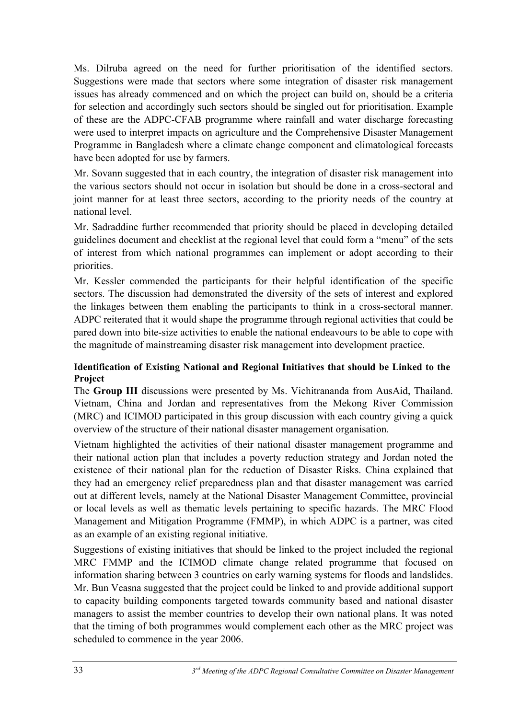Ms. Dilruba agreed on the need for further prioritisation of the identified sectors. Suggestions were made that sectors where some integration of disaster risk management issues has already commenced and on which the project can build on, should be a criteria for selection and accordingly such sectors should be singled out for prioritisation. Example of these are the ADPC-CFAB programme where rainfall and water discharge forecasting were used to interpret impacts on agriculture and the Comprehensive Disaster Management Programme in Bangladesh where a climate change component and climatological forecasts have been adopted for use by farmers.

Mr. Sovann suggested that in each country, the integration of disaster risk management into the various sectors should not occur in isolation but should be done in a cross-sectoral and joint manner for at least three sectors, according to the priority needs of the country at national level.

Mr. Sadraddine further recommended that priority should be placed in developing detailed guidelines document and checklist at the regional level that could form a "menu" of the sets of interest from which national programmes can implement or adopt according to their priorities.

Mr. Kessler commended the participants for their helpful identification of the specific sectors. The discussion had demonstrated the diversity of the sets of interest and explored the linkages between them enabling the participants to think in a cross-sectoral manner. ADPC reiterated that it would shape the programme through regional activities that could be pared down into bite-size activities to enable the national endeavours to be able to cope with the magnitude of mainstreaming disaster risk management into development practice.

## **Identification of Existing National and Regional Initiatives that should be Linked to the Project**

The **Group III** discussions were presented by Ms. Vichitrananda from AusAid, Thailand. Vietnam, China and Jordan and representatives from the Mekong River Commission (MRC) and ICIMOD participated in this group discussion with each country giving a quick overview of the structure of their national disaster management organisation.

Vietnam highlighted the activities of their national disaster management programme and their national action plan that includes a poverty reduction strategy and Jordan noted the existence of their national plan for the reduction of Disaster Risks. China explained that they had an emergency relief preparedness plan and that disaster management was carried out at different levels, namely at the National Disaster Management Committee, provincial or local levels as well as thematic levels pertaining to specific hazards. The MRC Flood Management and Mitigation Programme (FMMP), in which ADPC is a partner, was cited as an example of an existing regional initiative.

Suggestions of existing initiatives that should be linked to the project included the regional MRC FMMP and the ICIMOD climate change related programme that focused on information sharing between 3 countries on early warning systems for floods and landslides. Mr. Bun Veasna suggested that the project could be linked to and provide additional support to capacity building components targeted towards community based and national disaster managers to assist the member countries to develop their own national plans. It was noted that the timing of both programmes would complement each other as the MRC project was scheduled to commence in the year 2006.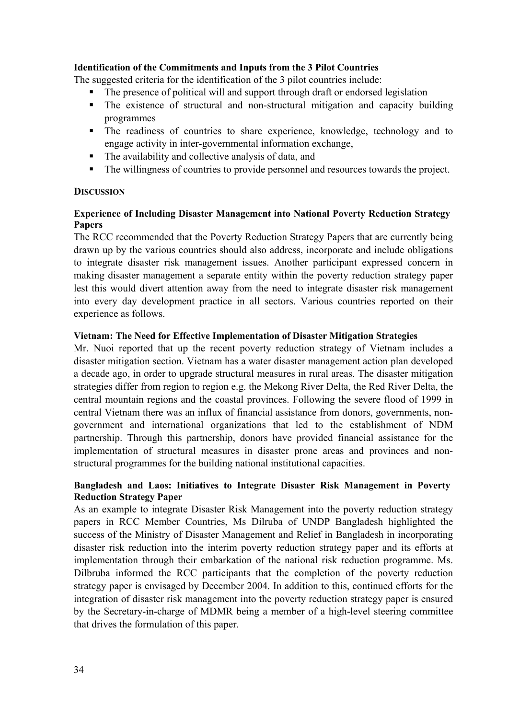#### **Identification of the Commitments and Inputs from the 3 Pilot Countries**

The suggested criteria for the identification of the 3 pilot countries include:

- The presence of political will and support through draft or endorsed legislation
- The existence of structural and non-structural mitigation and capacity building programmes
- The readiness of countries to share experience, knowledge, technology and to engage activity in inter-governmental information exchange,
- The availability and collective analysis of data, and
- The willingness of countries to provide personnel and resources towards the project.

#### **DISCUSSION**

#### **Experience of Including Disaster Management into National Poverty Reduction Strategy Papers**

The RCC recommended that the Poverty Reduction Strategy Papers that are currently being drawn up by the various countries should also address, incorporate and include obligations to integrate disaster risk management issues. Another participant expressed concern in making disaster management a separate entity within the poverty reduction strategy paper lest this would divert attention away from the need to integrate disaster risk management into every day development practice in all sectors. Various countries reported on their experience as follows.

#### **Vietnam: The Need for Effective Implementation of Disaster Mitigation Strategies**

Mr. Nuoi reported that up the recent poverty reduction strategy of Vietnam includes a disaster mitigation section. Vietnam has a water disaster management action plan developed a decade ago, in order to upgrade structural measures in rural areas. The disaster mitigation strategies differ from region to region e.g. the Mekong River Delta, the Red River Delta, the central mountain regions and the coastal provinces. Following the severe flood of 1999 in central Vietnam there was an influx of financial assistance from donors, governments, nongovernment and international organizations that led to the establishment of NDM partnership. Through this partnership, donors have provided financial assistance for the implementation of structural measures in disaster prone areas and provinces and nonstructural programmes for the building national institutional capacities.

#### **Bangladesh and Laos: Initiatives to Integrate Disaster Risk Management in Poverty Reduction Strategy Paper**

As an example to integrate Disaster Risk Management into the poverty reduction strategy papers in RCC Member Countries, Ms Dilruba of UNDP Bangladesh highlighted the success of the Ministry of Disaster Management and Relief in Bangladesh in incorporating disaster risk reduction into the interim poverty reduction strategy paper and its efforts at implementation through their embarkation of the national risk reduction programme. Ms. Dilbruba informed the RCC participants that the completion of the poverty reduction strategy paper is envisaged by December 2004. In addition to this, continued efforts for the integration of disaster risk management into the poverty reduction strategy paper is ensured by the Secretary-in-charge of MDMR being a member of a high-level steering committee that drives the formulation of this paper.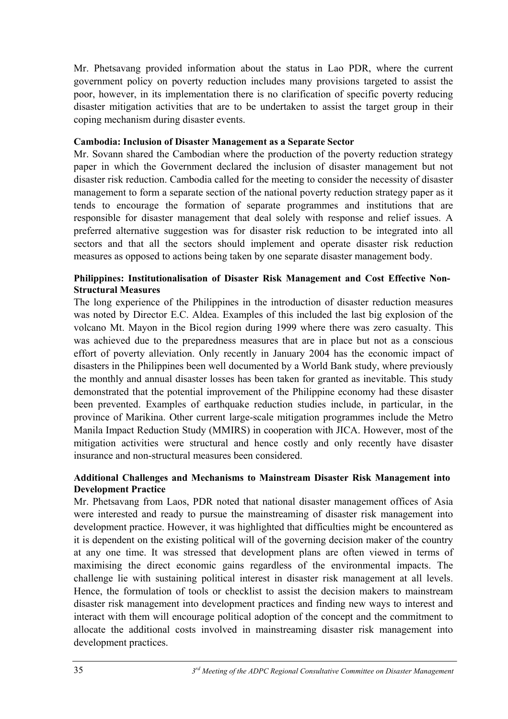Mr. Phetsavang provided information about the status in Lao PDR, where the current government policy on poverty reduction includes many provisions targeted to assist the poor, however, in its implementation there is no clarification of specific poverty reducing disaster mitigation activities that are to be undertaken to assist the target group in their coping mechanism during disaster events.

#### **Cambodia: Inclusion of Disaster Management as a Separate Sector**

Mr. Sovann shared the Cambodian where the production of the poverty reduction strategy paper in which the Government declared the inclusion of disaster management but not disaster risk reduction. Cambodia called for the meeting to consider the necessity of disaster management to form a separate section of the national poverty reduction strategy paper as it tends to encourage the formation of separate programmes and institutions that are responsible for disaster management that deal solely with response and relief issues. A preferred alternative suggestion was for disaster risk reduction to be integrated into all sectors and that all the sectors should implement and operate disaster risk reduction measures as opposed to actions being taken by one separate disaster management body.

#### **Philippines: Institutionalisation of Disaster Risk Management and Cost Effective Non-Structural Measures**

The long experience of the Philippines in the introduction of disaster reduction measures was noted by Director E.C. Aldea. Examples of this included the last big explosion of the volcano Mt. Mayon in the Bicol region during 1999 where there was zero casualty. This was achieved due to the preparedness measures that are in place but not as a conscious effort of poverty alleviation. Only recently in January 2004 has the economic impact of disasters in the Philippines been well documented by a World Bank study, where previously the monthly and annual disaster losses has been taken for granted as inevitable. This study demonstrated that the potential improvement of the Philippine economy had these disaster been prevented. Examples of earthquake reduction studies include, in particular, in the province of Marikina. Other current large-scale mitigation programmes include the Metro Manila Impact Reduction Study (MMIRS) in cooperation with JICA. However, most of the mitigation activities were structural and hence costly and only recently have disaster insurance and non-structural measures been considered.

#### **Additional Challenges and Mechanisms to Mainstream Disaster Risk Management into Development Practice**

Mr. Phetsavang from Laos, PDR noted that national disaster management offices of Asia were interested and ready to pursue the mainstreaming of disaster risk management into development practice. However, it was highlighted that difficulties might be encountered as it is dependent on the existing political will of the governing decision maker of the country at any one time. It was stressed that development plans are often viewed in terms of maximising the direct economic gains regardless of the environmental impacts. The challenge lie with sustaining political interest in disaster risk management at all levels. Hence, the formulation of tools or checklist to assist the decision makers to mainstream disaster risk management into development practices and finding new ways to interest and interact with them will encourage political adoption of the concept and the commitment to allocate the additional costs involved in mainstreaming disaster risk management into development practices.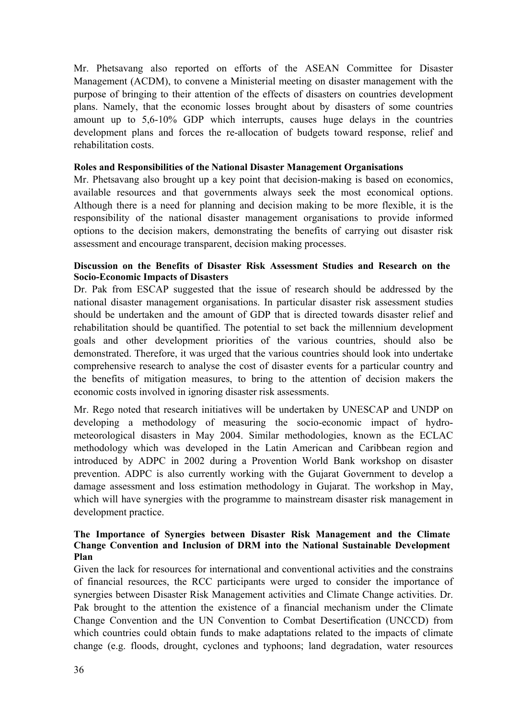Mr. Phetsavang also reported on efforts of the ASEAN Committee for Disaster Management (ACDM), to convene a Ministerial meeting on disaster management with the purpose of bringing to their attention of the effects of disasters on countries development plans. Namely, that the economic losses brought about by disasters of some countries amount up to 5,6-10% GDP which interrupts, causes huge delays in the countries development plans and forces the re-allocation of budgets toward response, relief and rehabilitation costs.

#### **Roles and Responsibilities of the National Disaster Management Organisations**

Mr. Phetsavang also brought up a key point that decision-making is based on economics, available resources and that governments always seek the most economical options. Although there is a need for planning and decision making to be more flexible, it is the responsibility of the national disaster management organisations to provide informed options to the decision makers, demonstrating the benefits of carrying out disaster risk assessment and encourage transparent, decision making processes.

#### **Discussion on the Benefits of Disaster Risk Assessment Studies and Research on the Socio-Economic Impacts of Disasters**

Dr. Pak from ESCAP suggested that the issue of research should be addressed by the national disaster management organisations. In particular disaster risk assessment studies should be undertaken and the amount of GDP that is directed towards disaster relief and rehabilitation should be quantified. The potential to set back the millennium development goals and other development priorities of the various countries, should also be demonstrated. Therefore, it was urged that the various countries should look into undertake comprehensive research to analyse the cost of disaster events for a particular country and the benefits of mitigation measures, to bring to the attention of decision makers the economic costs involved in ignoring disaster risk assessments.

Mr. Rego noted that research initiatives will be undertaken by UNESCAP and UNDP on developing a methodology of measuring the socio-economic impact of hydrometeorological disasters in May 2004. Similar methodologies, known as the ECLAC methodology which was developed in the Latin American and Caribbean region and introduced by ADPC in 2002 during a Provention World Bank workshop on disaster prevention. ADPC is also currently working with the Gujarat Government to develop a damage assessment and loss estimation methodology in Gujarat. The workshop in May, which will have synergies with the programme to mainstream disaster risk management in development practice.

#### **The Importance of Synergies between Disaster Risk Management and the Climate Change Convention and Inclusion of DRM into the National Sustainable Development Plan**

Given the lack for resources for international and conventional activities and the constrains of financial resources, the RCC participants were urged to consider the importance of synergies between Disaster Risk Management activities and Climate Change activities. Dr. Pak brought to the attention the existence of a financial mechanism under the Climate Change Convention and the UN Convention to Combat Desertification (UNCCD) from which countries could obtain funds to make adaptations related to the impacts of climate change (e.g. floods, drought, cyclones and typhoons; land degradation, water resources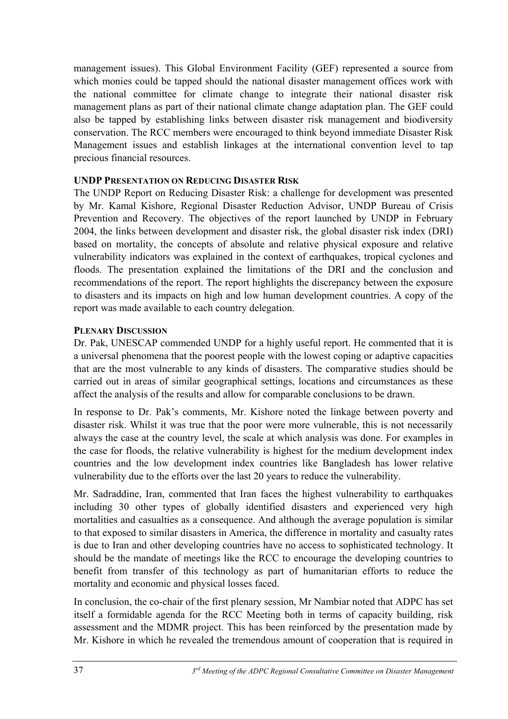management issues). This Global Environment Facility (GEF) represented a source from which monies could be tapped should the national disaster management offices work with the national committee for climate change to integrate their national disaster risk management plans as part of their national climate change adaptation plan. The GEF could also be tapped by establishing links between disaster risk management and biodiversity conservation. The RCC members were encouraged to think beyond immediate Disaster Risk Management issues and establish linkages at the international convention level to tap precious financial resources.

## **UNDP PRESENTATION ON REDUCING DISASTER RISK**

The UNDP Report on Reducing Disaster Risk: a challenge for development was presented by Mr. Kamal Kishore, Regional Disaster Reduction Advisor, UNDP Bureau of Crisis Prevention and Recovery. The objectives of the report launched by UNDP in February 2004, the links between development and disaster risk, the global disaster risk index (DRI) based on mortality, the concepts of absolute and relative physical exposure and relative vulnerability indicators was explained in the context of earthquakes, tropical cyclones and floods. The presentation explained the limitations of the DRI and the conclusion and recommendations of the report. The report highlights the discrepancy between the exposure to disasters and its impacts on high and low human development countries. A copy of the report was made available to each country delegation.

## **PLENARY DISCUSSION**

Dr. Pak, UNESCAP commended UNDP for a highly useful report. He commented that it is a universal phenomena that the poorest people with the lowest coping or adaptive capacities that are the most vulnerable to any kinds of disasters. The comparative studies should be carried out in areas of similar geographical settings, locations and circumstances as these affect the analysis of the results and allow for comparable conclusions to be drawn.

In response to Dr. Pak's comments, Mr. Kishore noted the linkage between poverty and disaster risk. Whilst it was true that the poor were more vulnerable, this is not necessarily always the case at the country level, the scale at which analysis was done. For examples in the case for floods, the relative vulnerability is highest for the medium development index countries and the low development index countries like Bangladesh has lower relative vulnerability due to the efforts over the last 20 years to reduce the vulnerability.

Mr. Sadraddine, Iran, commented that Iran faces the highest vulnerability to earthquakes including 30 other types of globally identified disasters and experienced very high mortalities and casualties as a consequence. And although the average population is similar to that exposed to similar disasters in America, the difference in mortality and casualty rates is due to Iran and other developing countries have no access to sophisticated technology. It should be the mandate of meetings like the RCC to encourage the developing countries to benefit from transfer of this technology as part of humanitarian efforts to reduce the mortality and economic and physical losses faced.

In conclusion, the co-chair of the first plenary session, Mr Nambiar noted that ADPC has set itself a formidable agenda for the RCC Meeting both in terms of capacity building, risk assessment and the MDMR project. This has been reinforced by the presentation made by Mr. Kishore in which he revealed the tremendous amount of cooperation that is required in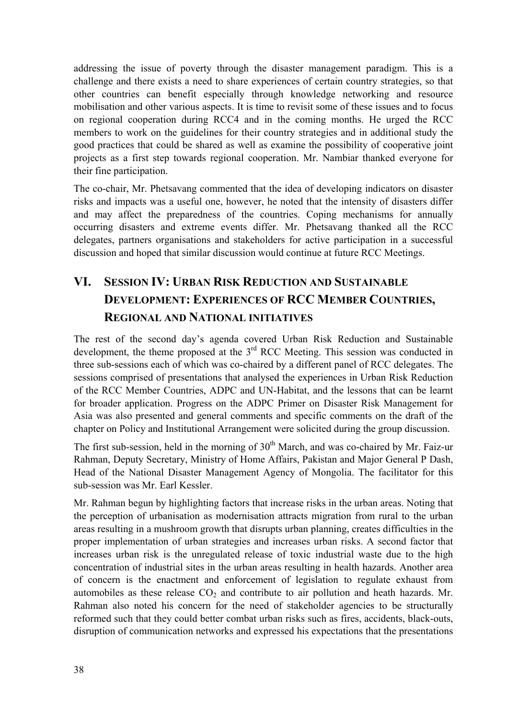addressing the issue of poverty through the disaster management paradigm. This is a challenge and there exists a need to share experiences of certain country strategies, so that other countries can benefit especially through knowledge networking and resource mobilisation and other various aspects. It is time to revisit some of these issues and to focus on regional cooperation during RCC4 and in the coming months. He urged the RCC members to work on the guidelines for their country strategies and in additional study the good practices that could be shared as well as examine the possibility of cooperative joint projects as a first step towards regional cooperation. Mr. Nambiar thanked everyone for their fine participation.

The co-chair, Mr. Phetsavang commented that the idea of developing indicators on disaster risks and impacts was a useful one, however, he noted that the intensity of disasters differ and may affect the preparedness of the countries. Coping mechanisms for annually occurring disasters and extreme events differ. Mr. Phetsavang thanked all the RCC delegates, partners organisations and stakeholders for active participation in a successful discussion and hoped that similar discussion would continue at future RCC Meetings.

# **VI. SESSION IV: URBAN RISK REDUCTION AND SUSTAINABLE DEVELOPMENT: EXPERIENCES OF RCC MEMBER COUNTRIES, REGIONAL AND NATIONAL INITIATIVES**

The rest of the second day's agenda covered Urban Risk Reduction and Sustainable development, the theme proposed at the 3<sup>rd</sup> RCC Meeting. This session was conducted in three sub-sessions each of which was co-chaired by a different panel of RCC delegates. The sessions comprised of presentations that analysed the experiences in Urban Risk Reduction of the RCC Member Countries, ADPC and UN-Habitat, and the lessons that can be learnt for broader application. Progress on the ADPC Primer on Disaster Risk Management for Asia was also presented and general comments and specific comments on the draft of the chapter on Policy and Institutional Arrangement were solicited during the group discussion.

The first sub-session, held in the morning of  $30<sup>th</sup>$  March, and was co-chaired by Mr. Faiz-ur Rahman, Deputy Secretary, Ministry of Home Affairs, Pakistan and Major General P Dash, Head of the National Disaster Management Agency of Mongolia. The facilitator for this sub-session was Mr. Earl Kessler.

Mr. Rahman begun by highlighting factors that increase risks in the urban areas. Noting that the perception of urbanisation as modernisation attracts migration from rural to the urban areas resulting in a mushroom growth that disrupts urban planning, creates difficulties in the proper implementation of urban strategies and increases urban risks. A second factor that increases urban risk is the unregulated release of toxic industrial waste due to the high concentration of industrial sites in the urban areas resulting in health hazards. Another area of concern is the enactment and enforcement of legislation to regulate exhaust from automobiles as these release  $CO<sub>2</sub>$  and contribute to air pollution and heath hazards. Mr. Rahman also noted his concern for the need of stakeholder agencies to be structurally reformed such that they could better combat urban risks such as fires, accidents, black-outs, disruption of communication networks and expressed his expectations that the presentations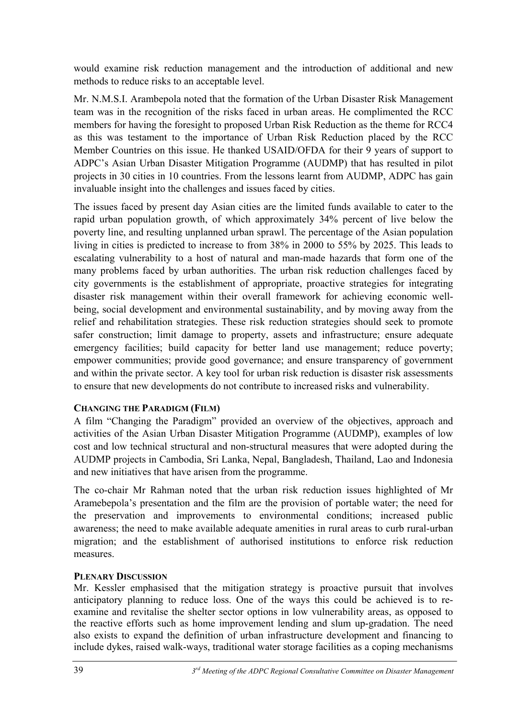would examine risk reduction management and the introduction of additional and new methods to reduce risks to an acceptable level.

Mr. N.M.S.I. Arambepola noted that the formation of the Urban Disaster Risk Management team was in the recognition of the risks faced in urban areas. He complimented the RCC members for having the foresight to proposed Urban Risk Reduction as the theme for RCC4 as this was testament to the importance of Urban Risk Reduction placed by the RCC Member Countries on this issue. He thanked USAID/OFDA for their 9 years of support to ADPC's Asian Urban Disaster Mitigation Programme (AUDMP) that has resulted in pilot projects in 30 cities in 10 countries. From the lessons learnt from AUDMP, ADPC has gain invaluable insight into the challenges and issues faced by cities.

The issues faced by present day Asian cities are the limited funds available to cater to the rapid urban population growth, of which approximately 34% percent of live below the poverty line, and resulting unplanned urban sprawl. The percentage of the Asian population living in cities is predicted to increase to from 38% in 2000 to 55% by 2025. This leads to escalating vulnerability to a host of natural and man-made hazards that form one of the many problems faced by urban authorities. The urban risk reduction challenges faced by city governments is the establishment of appropriate, proactive strategies for integrating disaster risk management within their overall framework for achieving economic wellbeing, social development and environmental sustainability, and by moving away from the relief and rehabilitation strategies. These risk reduction strategies should seek to promote safer construction; limit damage to property, assets and infrastructure; ensure adequate emergency facilities; build capacity for better land use management; reduce poverty; empower communities; provide good governance; and ensure transparency of government and within the private sector. A key tool for urban risk reduction is disaster risk assessments to ensure that new developments do not contribute to increased risks and vulnerability.

#### **CHANGING THE PARADIGM (FILM)**

A film "Changing the Paradigm" provided an overview of the objectives, approach and activities of the Asian Urban Disaster Mitigation Programme (AUDMP), examples of low cost and low technical structural and non-structural measures that were adopted during the AUDMP projects in Cambodia, Sri Lanka, Nepal, Bangladesh, Thailand, Lao and Indonesia and new initiatives that have arisen from the programme.

The co-chair Mr Rahman noted that the urban risk reduction issues highlighted of Mr Aramebepola's presentation and the film are the provision of portable water; the need for the preservation and improvements to environmental conditions; increased public awareness; the need to make available adequate amenities in rural areas to curb rural-urban migration; and the establishment of authorised institutions to enforce risk reduction measures.

#### **PLENARY DISCUSSION**

Mr. Kessler emphasised that the mitigation strategy is proactive pursuit that involves anticipatory planning to reduce loss. One of the ways this could be achieved is to reexamine and revitalise the shelter sector options in low vulnerability areas, as opposed to the reactive efforts such as home improvement lending and slum up-gradation. The need also exists to expand the definition of urban infrastructure development and financing to include dykes, raised walk-ways, traditional water storage facilities as a coping mechanisms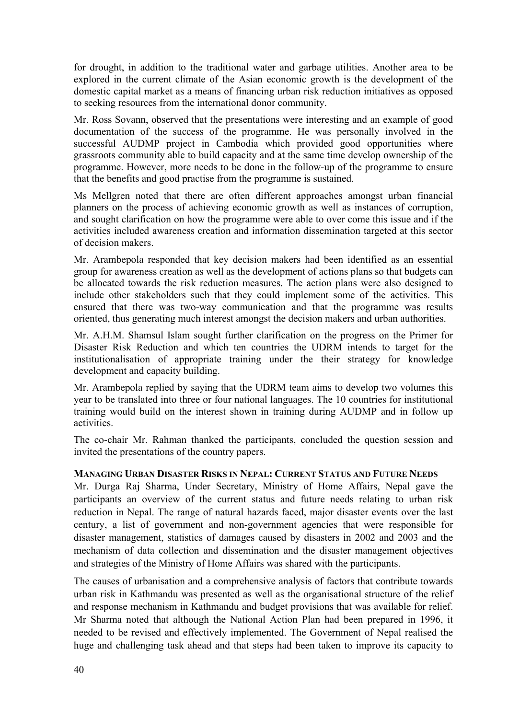for drought, in addition to the traditional water and garbage utilities. Another area to be explored in the current climate of the Asian economic growth is the development of the domestic capital market as a means of financing urban risk reduction initiatives as opposed to seeking resources from the international donor community.

Mr. Ross Sovann, observed that the presentations were interesting and an example of good documentation of the success of the programme. He was personally involved in the successful AUDMP project in Cambodia which provided good opportunities where grassroots community able to build capacity and at the same time develop ownership of the programme. However, more needs to be done in the follow-up of the programme to ensure that the benefits and good practise from the programme is sustained.

Ms Mellgren noted that there are often different approaches amongst urban financial planners on the process of achieving economic growth as well as instances of corruption, and sought clarification on how the programme were able to over come this issue and if the activities included awareness creation and information dissemination targeted at this sector of decision makers.

Mr. Arambepola responded that key decision makers had been identified as an essential group for awareness creation as well as the development of actions plans so that budgets can be allocated towards the risk reduction measures. The action plans were also designed to include other stakeholders such that they could implement some of the activities. This ensured that there was two-way communication and that the programme was results oriented, thus generating much interest amongst the decision makers and urban authorities.

Mr. A.H.M. Shamsul Islam sought further clarification on the progress on the Primer for Disaster Risk Reduction and which ten countries the UDRM intends to target for the institutionalisation of appropriate training under the their strategy for knowledge development and capacity building.

Mr. Arambepola replied by saying that the UDRM team aims to develop two volumes this year to be translated into three or four national languages. The 10 countries for institutional training would build on the interest shown in training during AUDMP and in follow up activities.

The co-chair Mr. Rahman thanked the participants, concluded the question session and invited the presentations of the country papers.

#### **MANAGING URBAN DISASTER RISKS IN NEPAL: CURRENT STATUS AND FUTURE NEEDS**

Mr. Durga Raj Sharma, Under Secretary, Ministry of Home Affairs, Nepal gave the participants an overview of the current status and future needs relating to urban risk reduction in Nepal. The range of natural hazards faced, major disaster events over the last century, a list of government and non-government agencies that were responsible for disaster management, statistics of damages caused by disasters in 2002 and 2003 and the mechanism of data collection and dissemination and the disaster management objectives and strategies of the Ministry of Home Affairs was shared with the participants.

The causes of urbanisation and a comprehensive analysis of factors that contribute towards urban risk in Kathmandu was presented as well as the organisational structure of the relief and response mechanism in Kathmandu and budget provisions that was available for relief. Mr Sharma noted that although the National Action Plan had been prepared in 1996, it needed to be revised and effectively implemented. The Government of Nepal realised the huge and challenging task ahead and that steps had been taken to improve its capacity to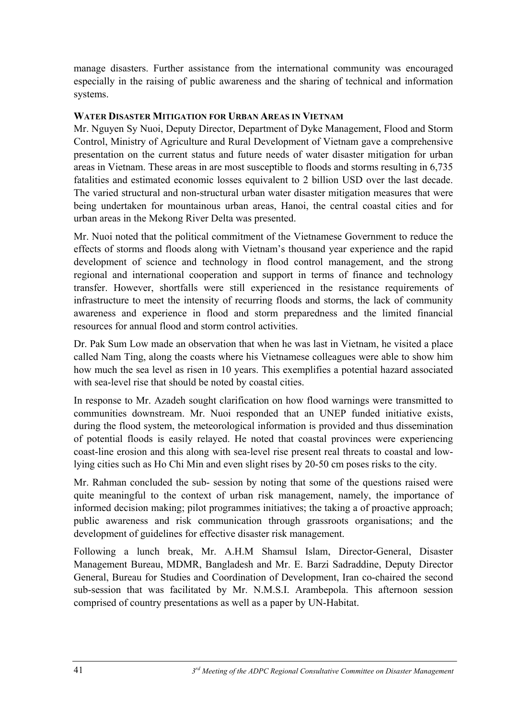manage disasters. Further assistance from the international community was encouraged especially in the raising of public awareness and the sharing of technical and information systems.

## **WATER DISASTER MITIGATION FOR URBAN AREAS IN VIETNAM**

Mr. Nguyen Sy Nuoi, Deputy Director, Department of Dyke Management, Flood and Storm Control, Ministry of Agriculture and Rural Development of Vietnam gave a comprehensive presentation on the current status and future needs of water disaster mitigation for urban areas in Vietnam. These areas in are most susceptible to floods and storms resulting in 6,735 fatalities and estimated economic losses equivalent to 2 billion USD over the last decade. The varied structural and non-structural urban water disaster mitigation measures that were being undertaken for mountainous urban areas, Hanoi, the central coastal cities and for urban areas in the Mekong River Delta was presented.

Mr. Nuoi noted that the political commitment of the Vietnamese Government to reduce the effects of storms and floods along with Vietnam's thousand year experience and the rapid development of science and technology in flood control management, and the strong regional and international cooperation and support in terms of finance and technology transfer. However, shortfalls were still experienced in the resistance requirements of infrastructure to meet the intensity of recurring floods and storms, the lack of community awareness and experience in flood and storm preparedness and the limited financial resources for annual flood and storm control activities.

Dr. Pak Sum Low made an observation that when he was last in Vietnam, he visited a place called Nam Ting, along the coasts where his Vietnamese colleagues were able to show him how much the sea level as risen in 10 years. This exemplifies a potential hazard associated with sea-level rise that should be noted by coastal cities.

In response to Mr. Azadeh sought clarification on how flood warnings were transmitted to communities downstream. Mr. Nuoi responded that an UNEP funded initiative exists, during the flood system, the meteorological information is provided and thus dissemination of potential floods is easily relayed. He noted that coastal provinces were experiencing coast-line erosion and this along with sea-level rise present real threats to coastal and lowlying cities such as Ho Chi Min and even slight rises by 20-50 cm poses risks to the city.

Mr. Rahman concluded the sub- session by noting that some of the questions raised were quite meaningful to the context of urban risk management, namely, the importance of informed decision making; pilot programmes initiatives; the taking a of proactive approach; public awareness and risk communication through grassroots organisations; and the development of guidelines for effective disaster risk management.

Following a lunch break, Mr. A.H.M Shamsul Islam, Director-General, Disaster Management Bureau, MDMR, Bangladesh and Mr. E. Barzi Sadraddine, Deputy Director General, Bureau for Studies and Coordination of Development, Iran co-chaired the second sub-session that was facilitated by Mr. N.M.S.I. Arambepola. This afternoon session comprised of country presentations as well as a paper by UN-Habitat.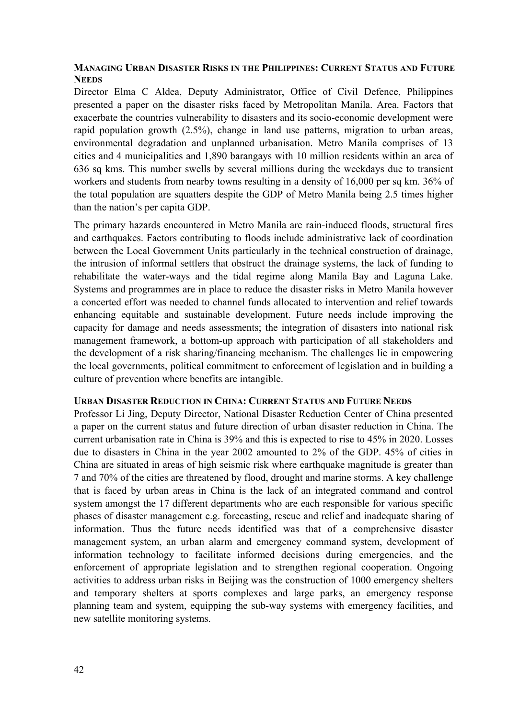#### **MANAGING URBAN DISASTER RISKS IN THE PHILIPPINES: CURRENT STATUS AND FUTURE NEEDS**

Director Elma C Aldea, Deputy Administrator, Office of Civil Defence, Philippines presented a paper on the disaster risks faced by Metropolitan Manila. Area. Factors that exacerbate the countries vulnerability to disasters and its socio-economic development were rapid population growth (2.5%), change in land use patterns, migration to urban areas, environmental degradation and unplanned urbanisation. Metro Manila comprises of 13 cities and 4 municipalities and 1,890 barangays with 10 million residents within an area of 636 sq kms. This number swells by several millions during the weekdays due to transient workers and students from nearby towns resulting in a density of 16,000 per sq km. 36% of the total population are squatters despite the GDP of Metro Manila being 2.5 times higher than the nation's per capita GDP.

The primary hazards encountered in Metro Manila are rain-induced floods, structural fires and earthquakes. Factors contributing to floods include administrative lack of coordination between the Local Government Units particularly in the technical construction of drainage, the intrusion of informal settlers that obstruct the drainage systems, the lack of funding to rehabilitate the water-ways and the tidal regime along Manila Bay and Laguna Lake. Systems and programmes are in place to reduce the disaster risks in Metro Manila however a concerted effort was needed to channel funds allocated to intervention and relief towards enhancing equitable and sustainable development. Future needs include improving the capacity for damage and needs assessments; the integration of disasters into national risk management framework, a bottom-up approach with participation of all stakeholders and the development of a risk sharing/financing mechanism. The challenges lie in empowering the local governments, political commitment to enforcement of legislation and in building a culture of prevention where benefits are intangible.

#### **URBAN DISASTER REDUCTION IN CHINA: CURRENT STATUS AND FUTURE NEEDS**

Professor Li Jing, Deputy Director, National Disaster Reduction Center of China presented a paper on the current status and future direction of urban disaster reduction in China. The current urbanisation rate in China is 39% and this is expected to rise to 45% in 2020. Losses due to disasters in China in the year 2002 amounted to 2% of the GDP. 45% of cities in China are situated in areas of high seismic risk where earthquake magnitude is greater than 7 and 70% of the cities are threatened by flood, drought and marine storms. A key challenge that is faced by urban areas in China is the lack of an integrated command and control system amongst the 17 different departments who are each responsible for various specific phases of disaster management e.g. forecasting, rescue and relief and inadequate sharing of information. Thus the future needs identified was that of a comprehensive disaster management system, an urban alarm and emergency command system, development of information technology to facilitate informed decisions during emergencies, and the enforcement of appropriate legislation and to strengthen regional cooperation. Ongoing activities to address urban risks in Beijing was the construction of 1000 emergency shelters and temporary shelters at sports complexes and large parks, an emergency response planning team and system, equipping the sub-way systems with emergency facilities, and new satellite monitoring systems.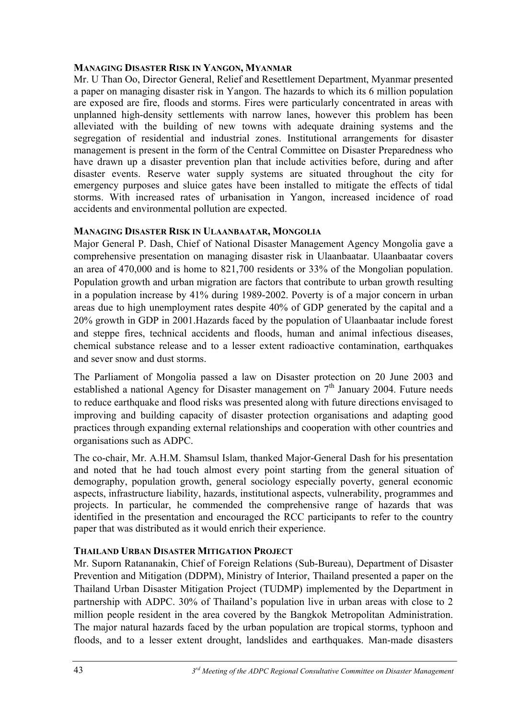### **MANAGING DISASTER RISK IN YANGON, MYANMAR**

Mr. U Than Oo, Director General, Relief and Resettlement Department, Myanmar presented a paper on managing disaster risk in Yangon. The hazards to which its 6 million population are exposed are fire, floods and storms. Fires were particularly concentrated in areas with unplanned high-density settlements with narrow lanes, however this problem has been alleviated with the building of new towns with adequate draining systems and the segregation of residential and industrial zones. Institutional arrangements for disaster management is present in the form of the Central Committee on Disaster Preparedness who have drawn up a disaster prevention plan that include activities before, during and after disaster events. Reserve water supply systems are situated throughout the city for emergency purposes and sluice gates have been installed to mitigate the effects of tidal storms. With increased rates of urbanisation in Yangon, increased incidence of road accidents and environmental pollution are expected.

## **MANAGING DISASTER RISK IN ULAANBAATAR, MONGOLIA**

Major General P. Dash, Chief of National Disaster Management Agency Mongolia gave a comprehensive presentation on managing disaster risk in Ulaanbaatar. Ulaanbaatar covers an area of 470,000 and is home to 821,700 residents or 33% of the Mongolian population. Population growth and urban migration are factors that contribute to urban growth resulting in a population increase by 41% during 1989-2002. Poverty is of a major concern in urban areas due to high unemployment rates despite 40% of GDP generated by the capital and a 20% growth in GDP in 2001.Hazards faced by the population of Ulaanbaatar include forest and steppe fires, technical accidents and floods, human and animal infectious diseases, chemical substance release and to a lesser extent radioactive contamination, earthquakes and sever snow and dust storms.

The Parliament of Mongolia passed a law on Disaster protection on 20 June 2003 and established a national Agency for Disaster management on  $7<sup>th</sup>$  January 2004. Future needs to reduce earthquake and flood risks was presented along with future directions envisaged to improving and building capacity of disaster protection organisations and adapting good practices through expanding external relationships and cooperation with other countries and organisations such as ADPC.

The co-chair, Mr. A.H.M. Shamsul Islam, thanked Major-General Dash for his presentation and noted that he had touch almost every point starting from the general situation of demography, population growth, general sociology especially poverty, general economic aspects, infrastructure liability, hazards, institutional aspects, vulnerability, programmes and projects. In particular, he commended the comprehensive range of hazards that was identified in the presentation and encouraged the RCC participants to refer to the country paper that was distributed as it would enrich their experience.

## **THAILAND URBAN DISASTER MITIGATION PROJECT**

Mr. Suporn Ratananakin, Chief of Foreign Relations (Sub-Bureau), Department of Disaster Prevention and Mitigation (DDPM), Ministry of Interior, Thailand presented a paper on the Thailand Urban Disaster Mitigation Project (TUDMP) implemented by the Department in partnership with ADPC. 30% of Thailand's population live in urban areas with close to 2 million people resident in the area covered by the Bangkok Metropolitan Administration. The major natural hazards faced by the urban population are tropical storms, typhoon and floods, and to a lesser extent drought, landslides and earthquakes. Man-made disasters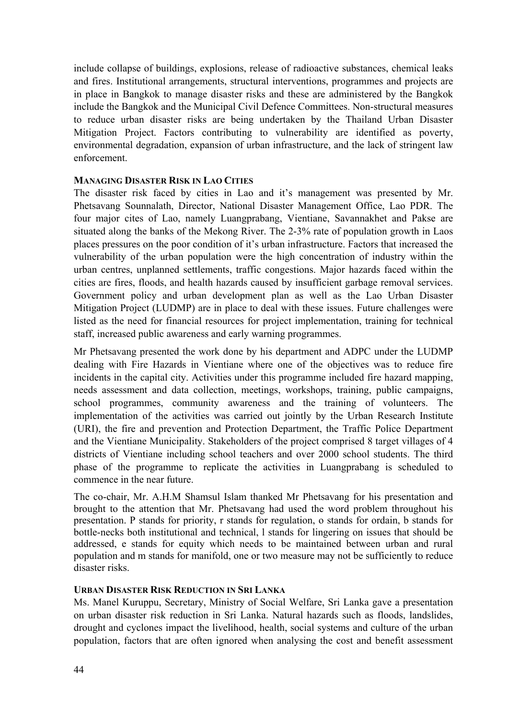include collapse of buildings, explosions, release of radioactive substances, chemical leaks and fires. Institutional arrangements, structural interventions, programmes and projects are in place in Bangkok to manage disaster risks and these are administered by the Bangkok include the Bangkok and the Municipal Civil Defence Committees. Non-structural measures to reduce urban disaster risks are being undertaken by the Thailand Urban Disaster Mitigation Project. Factors contributing to vulnerability are identified as poverty, environmental degradation, expansion of urban infrastructure, and the lack of stringent law enforcement.

#### **MANAGING DISASTER RISK IN LAO CITIES**

The disaster risk faced by cities in Lao and it's management was presented by Mr. Phetsavang Sounnalath, Director, National Disaster Management Office, Lao PDR. The four major cites of Lao, namely Luangprabang, Vientiane, Savannakhet and Pakse are situated along the banks of the Mekong River. The 2-3% rate of population growth in Laos places pressures on the poor condition of it's urban infrastructure. Factors that increased the vulnerability of the urban population were the high concentration of industry within the urban centres, unplanned settlements, traffic congestions. Major hazards faced within the cities are fires, floods, and health hazards caused by insufficient garbage removal services. Government policy and urban development plan as well as the Lao Urban Disaster Mitigation Project (LUDMP) are in place to deal with these issues. Future challenges were listed as the need for financial resources for project implementation, training for technical staff, increased public awareness and early warning programmes.

Mr Phetsavang presented the work done by his department and ADPC under the LUDMP dealing with Fire Hazards in Vientiane where one of the objectives was to reduce fire incidents in the capital city. Activities under this programme included fire hazard mapping, needs assessment and data collection, meetings, workshops, training, public campaigns, school programmes, community awareness and the training of volunteers. The implementation of the activities was carried out jointly by the Urban Research Institute (URI), the fire and prevention and Protection Department, the Traffic Police Department and the Vientiane Municipality. Stakeholders of the project comprised 8 target villages of 4 districts of Vientiane including school teachers and over 2000 school students. The third phase of the programme to replicate the activities in Luangprabang is scheduled to commence in the near future.

The co-chair, Mr. A.H.M Shamsul Islam thanked Mr Phetsavang for his presentation and brought to the attention that Mr. Phetsavang had used the word problem throughout his presentation. P stands for priority, r stands for regulation, o stands for ordain, b stands for bottle-necks both institutional and technical, l stands for lingering on issues that should be addressed, e stands for equity which needs to be maintained between urban and rural population and m stands for manifold, one or two measure may not be sufficiently to reduce disaster risks.

#### **URBAN DISASTER RISK REDUCTION IN SRI LANKA**

Ms. Manel Kuruppu, Secretary, Ministry of Social Welfare, Sri Lanka gave a presentation on urban disaster risk reduction in Sri Lanka. Natural hazards such as floods, landslides, drought and cyclones impact the livelihood, health, social systems and culture of the urban population, factors that are often ignored when analysing the cost and benefit assessment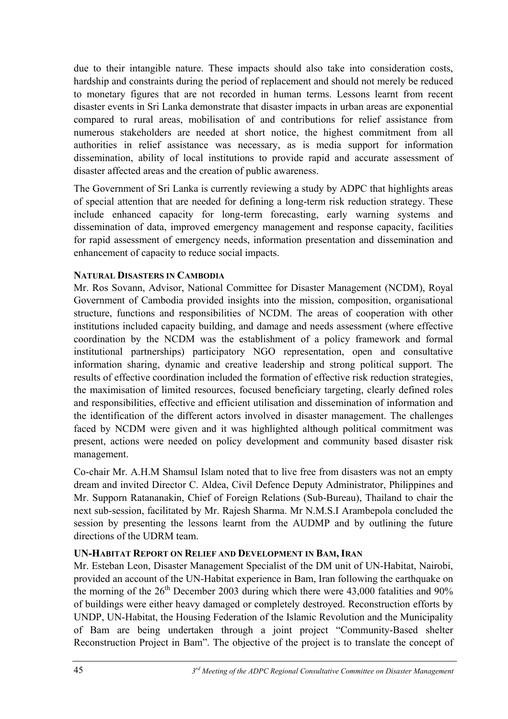due to their intangible nature. These impacts should also take into consideration costs, hardship and constraints during the period of replacement and should not merely be reduced to monetary figures that are not recorded in human terms. Lessons learnt from recent disaster events in Sri Lanka demonstrate that disaster impacts in urban areas are exponential compared to rural areas, mobilisation of and contributions for relief assistance from numerous stakeholders are needed at short notice, the highest commitment from all authorities in relief assistance was necessary, as is media support for information dissemination, ability of local institutions to provide rapid and accurate assessment of disaster affected areas and the creation of public awareness.

The Government of Sri Lanka is currently reviewing a study by ADPC that highlights areas of special attention that are needed for defining a long-term risk reduction strategy. These include enhanced capacity for long-term forecasting, early warning systems and dissemination of data, improved emergency management and response capacity, facilities for rapid assessment of emergency needs, information presentation and dissemination and enhancement of capacity to reduce social impacts.

## **NATURAL DISASTERS IN CAMBODIA**

Mr. Ros Sovann, Advisor, National Committee for Disaster Management (NCDM), Royal Government of Cambodia provided insights into the mission, composition, organisational structure, functions and responsibilities of NCDM. The areas of cooperation with other institutions included capacity building, and damage and needs assessment (where effective coordination by the NCDM was the establishment of a policy framework and formal institutional partnerships) participatory NGO representation, open and consultative information sharing, dynamic and creative leadership and strong political support. The results of effective coordination included the formation of effective risk reduction strategies, the maximisation of limited resources, focused beneficiary targeting, clearly defined roles and responsibilities, effective and efficient utilisation and dissemination of information and the identification of the different actors involved in disaster management. The challenges faced by NCDM were given and it was highlighted although political commitment was present, actions were needed on policy development and community based disaster risk management.

Co-chair Mr. A.H.M Shamsul Islam noted that to live free from disasters was not an empty dream and invited Director C. Aldea, Civil Defence Deputy Administrator, Philippines and Mr. Supporn Ratananakin, Chief of Foreign Relations (Sub-Bureau), Thailand to chair the next sub-session, facilitated by Mr. Rajesh Sharma. Mr N.M.S.I Arambepola concluded the session by presenting the lessons learnt from the AUDMP and by outlining the future directions of the UDRM team.

#### **UN-HABITAT REPORT ON RELIEF AND DEVELOPMENT IN BAM, IRAN**

Mr. Esteban Leon, Disaster Management Specialist of the DM unit of UN-Habitat, Nairobi, provided an account of the UN-Habitat experience in Bam, Iran following the earthquake on the morning of the  $26<sup>th</sup>$  December 2003 during which there were 43,000 fatalities and 90% of buildings were either heavy damaged or completely destroyed. Reconstruction efforts by UNDP, UN-Habitat, the Housing Federation of the Islamic Revolution and the Municipality of Bam are being undertaken through a joint project "Community-Based shelter Reconstruction Project in Bam". The objective of the project is to translate the concept of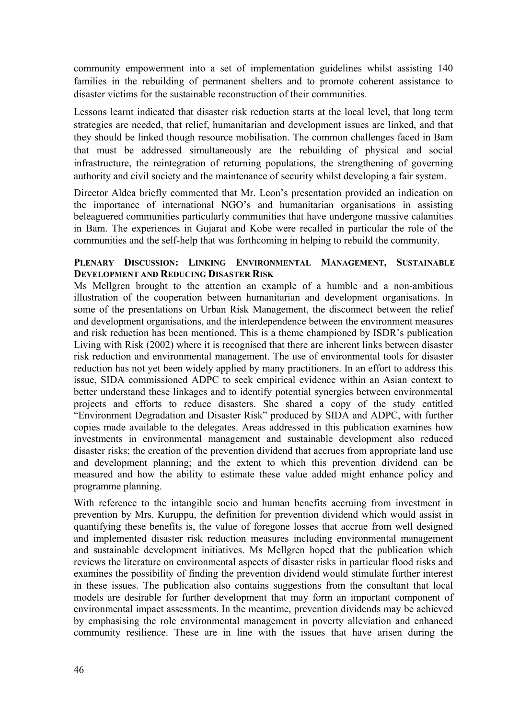community empowerment into a set of implementation guidelines whilst assisting 140 families in the rebuilding of permanent shelters and to promote coherent assistance to disaster victims for the sustainable reconstruction of their communities.

Lessons learnt indicated that disaster risk reduction starts at the local level, that long term strategies are needed, that relief, humanitarian and development issues are linked, and that they should be linked though resource mobilisation. The common challenges faced in Bam that must be addressed simultaneously are the rebuilding of physical and social infrastructure, the reintegration of returning populations, the strengthening of governing authority and civil society and the maintenance of security whilst developing a fair system.

Director Aldea briefly commented that Mr. Leon's presentation provided an indication on the importance of international NGO's and humanitarian organisations in assisting beleaguered communities particularly communities that have undergone massive calamities in Bam. The experiences in Gujarat and Kobe were recalled in particular the role of the communities and the self-help that was forthcoming in helping to rebuild the community.

#### **PLENARY DISCUSSION: LINKING ENVIRONMENTAL MANAGEMENT, SUSTAINABLE DEVELOPMENT AND REDUCING DISASTER RISK**

Ms Mellgren brought to the attention an example of a humble and a non-ambitious illustration of the cooperation between humanitarian and development organisations. In some of the presentations on Urban Risk Management, the disconnect between the relief and development organisations, and the interdependence between the environment measures and risk reduction has been mentioned. This is a theme championed by ISDR's publication Living with Risk (2002) where it is recognised that there are inherent links between disaster risk reduction and environmental management. The use of environmental tools for disaster reduction has not yet been widely applied by many practitioners. In an effort to address this issue, SIDA commissioned ADPC to seek empirical evidence within an Asian context to better understand these linkages and to identify potential synergies between environmental projects and efforts to reduce disasters. She shared a copy of the study entitled "Environment Degradation and Disaster Risk" produced by SIDA and ADPC, with further copies made available to the delegates. Areas addressed in this publication examines how investments in environmental management and sustainable development also reduced disaster risks; the creation of the prevention dividend that accrues from appropriate land use and development planning; and the extent to which this prevention dividend can be measured and how the ability to estimate these value added might enhance policy and programme planning.

With reference to the intangible socio and human benefits accruing from investment in prevention by Mrs. Kuruppu, the definition for prevention dividend which would assist in quantifying these benefits is, the value of foregone losses that accrue from well designed and implemented disaster risk reduction measures including environmental management and sustainable development initiatives. Ms Mellgren hoped that the publication which reviews the literature on environmental aspects of disaster risks in particular flood risks and examines the possibility of finding the prevention dividend would stimulate further interest in these issues. The publication also contains suggestions from the consultant that local models are desirable for further development that may form an important component of environmental impact assessments. In the meantime, prevention dividends may be achieved by emphasising the role environmental management in poverty alleviation and enhanced community resilience. These are in line with the issues that have arisen during the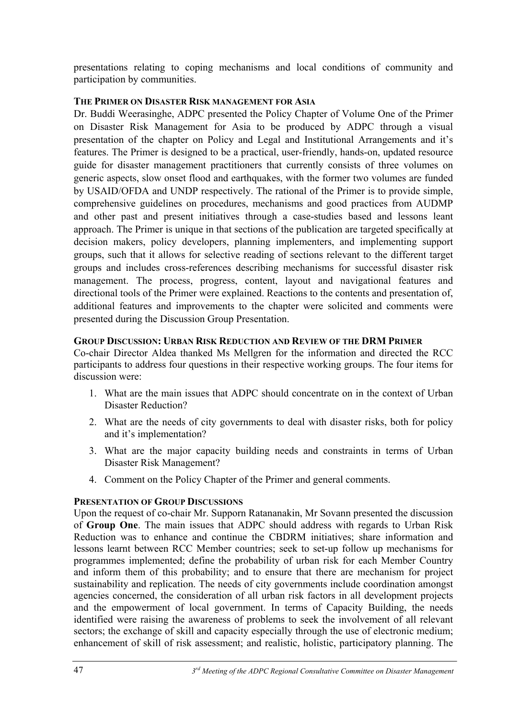presentations relating to coping mechanisms and local conditions of community and participation by communities.

## **THE PRIMER ON DISASTER RISK MANAGEMENT FOR ASIA**

Dr. Buddi Weerasinghe, ADPC presented the Policy Chapter of Volume One of the Primer on Disaster Risk Management for Asia to be produced by ADPC through a visual presentation of the chapter on Policy and Legal and Institutional Arrangements and it's features. The Primer is designed to be a practical, user-friendly, hands-on, updated resource guide for disaster management practitioners that currently consists of three volumes on generic aspects, slow onset flood and earthquakes, with the former two volumes are funded by USAID/OFDA and UNDP respectively. The rational of the Primer is to provide simple, comprehensive guidelines on procedures, mechanisms and good practices from AUDMP and other past and present initiatives through a case-studies based and lessons leant approach. The Primer is unique in that sections of the publication are targeted specifically at decision makers, policy developers, planning implementers, and implementing support groups, such that it allows for selective reading of sections relevant to the different target groups and includes cross-references describing mechanisms for successful disaster risk management. The process, progress, content, layout and navigational features and directional tools of the Primer were explained. Reactions to the contents and presentation of, additional features and improvements to the chapter were solicited and comments were presented during the Discussion Group Presentation.

## **GROUP DISCUSSION: URBAN RISK REDUCTION AND REVIEW OF THE DRM PRIMER**

Co-chair Director Aldea thanked Ms Mellgren for the information and directed the RCC participants to address four questions in their respective working groups. The four items for discussion were:

- 1. What are the main issues that ADPC should concentrate on in the context of Urban Disaster Reduction?
- 2. What are the needs of city governments to deal with disaster risks, both for policy and it's implementation?
- 3. What are the major capacity building needs and constraints in terms of Urban Disaster Risk Management?
- 4. Comment on the Policy Chapter of the Primer and general comments.

## **PRESENTATION OF GROUP DISCUSSIONS**

Upon the request of co-chair Mr. Supporn Ratananakin, Mr Sovann presented the discussion of **Group One**. The main issues that ADPC should address with regards to Urban Risk Reduction was to enhance and continue the CBDRM initiatives; share information and lessons learnt between RCC Member countries; seek to set-up follow up mechanisms for programmes implemented; define the probability of urban risk for each Member Country and inform them of this probability; and to ensure that there are mechanism for project sustainability and replication. The needs of city governments include coordination amongst agencies concerned, the consideration of all urban risk factors in all development projects and the empowerment of local government. In terms of Capacity Building, the needs identified were raising the awareness of problems to seek the involvement of all relevant sectors; the exchange of skill and capacity especially through the use of electronic medium; enhancement of skill of risk assessment; and realistic, holistic, participatory planning. The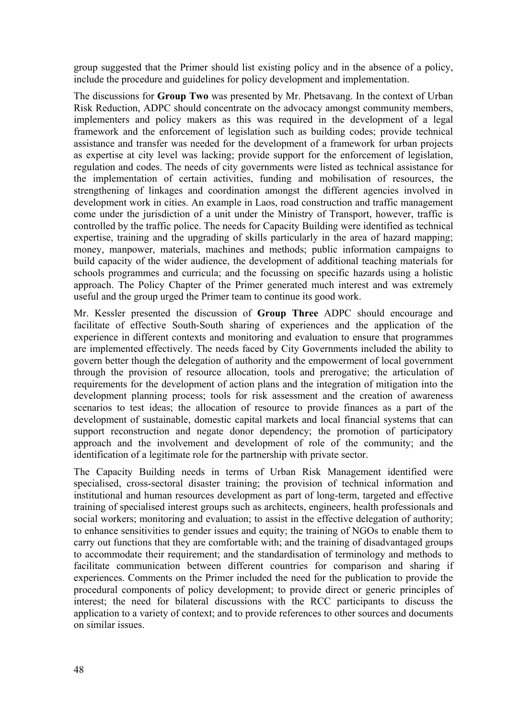group suggested that the Primer should list existing policy and in the absence of a policy, include the procedure and guidelines for policy development and implementation.

The discussions for **Group Two** was presented by Mr. Phetsavang. In the context of Urban Risk Reduction, ADPC should concentrate on the advocacy amongst community members, implementers and policy makers as this was required in the development of a legal framework and the enforcement of legislation such as building codes; provide technical assistance and transfer was needed for the development of a framework for urban projects as expertise at city level was lacking; provide support for the enforcement of legislation, regulation and codes. The needs of city governments were listed as technical assistance for the implementation of certain activities, funding and mobilisation of resources, the strengthening of linkages and coordination amongst the different agencies involved in development work in cities. An example in Laos, road construction and traffic management come under the jurisdiction of a unit under the Ministry of Transport, however, traffic is controlled by the traffic police. The needs for Capacity Building were identified as technical expertise, training and the upgrading of skills particularly in the area of hazard mapping; money, manpower, materials, machines and methods; public information campaigns to build capacity of the wider audience, the development of additional teaching materials for schools programmes and curricula; and the focussing on specific hazards using a holistic approach. The Policy Chapter of the Primer generated much interest and was extremely useful and the group urged the Primer team to continue its good work.

Mr. Kessler presented the discussion of **Group Three** ADPC should encourage and facilitate of effective South-South sharing of experiences and the application of the experience in different contexts and monitoring and evaluation to ensure that programmes are implemented effectively. The needs faced by City Governments included the ability to govern better though the delegation of authority and the empowerment of local government through the provision of resource allocation, tools and prerogative; the articulation of requirements for the development of action plans and the integration of mitigation into the development planning process; tools for risk assessment and the creation of awareness scenarios to test ideas; the allocation of resource to provide finances as a part of the development of sustainable, domestic capital markets and local financial systems that can support reconstruction and negate donor dependency; the promotion of participatory approach and the involvement and development of role of the community; and the identification of a legitimate role for the partnership with private sector.

The Capacity Building needs in terms of Urban Risk Management identified were specialised, cross-sectoral disaster training; the provision of technical information and institutional and human resources development as part of long-term, targeted and effective training of specialised interest groups such as architects, engineers, health professionals and social workers; monitoring and evaluation; to assist in the effective delegation of authority; to enhance sensitivities to gender issues and equity; the training of NGOs to enable them to carry out functions that they are comfortable with; and the training of disadvantaged groups to accommodate their requirement; and the standardisation of terminology and methods to facilitate communication between different countries for comparison and sharing if experiences. Comments on the Primer included the need for the publication to provide the procedural components of policy development; to provide direct or generic principles of interest; the need for bilateral discussions with the RCC participants to discuss the application to a variety of context; and to provide references to other sources and documents on similar issues.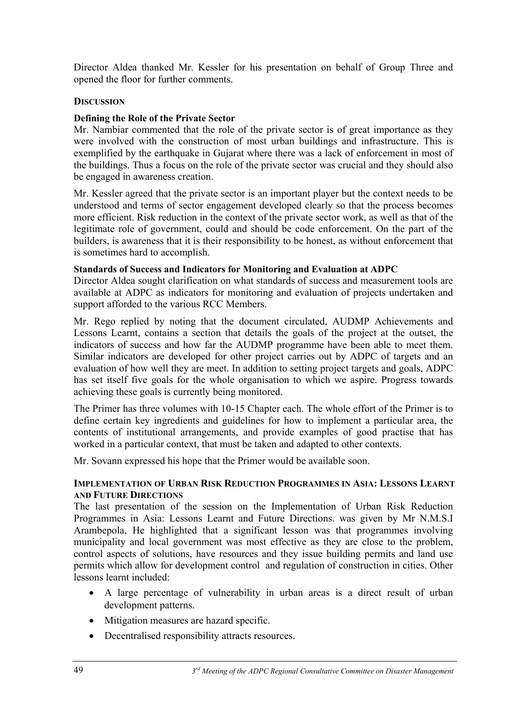Director Aldea thanked Mr. Kessler for his presentation on behalf of Group Three and opened the floor for further comments.

#### **DISCUSSION**

#### **Defining the Role of the Private Sector**

Mr. Nambiar commented that the role of the private sector is of great importance as they were involved with the construction of most urban buildings and infrastructure. This is exemplified by the earthquake in Gujarat where there was a lack of enforcement in most of the buildings. Thus a focus on the role of the private sector was crucial and they should also be engaged in awareness creation.

Mr. Kessler agreed that the private sector is an important player but the context needs to be understood and terms of sector engagement developed clearly so that the process becomes more efficient. Risk reduction in the context of the private sector work, as well as that of the legitimate role of government, could and should be code enforcement. On the part of the builders, is awareness that it is their responsibility to be honest, as without enforcement that is sometimes hard to accomplish.

#### **Standards of Success and Indicators for Monitoring and Evaluation at ADPC**

Director Aldea sought clarification on what standards of success and measurement tools are available at ADPC as indicators for monitoring and evaluation of projects undertaken and support afforded to the various RCC Members.

Mr. Rego replied by noting that the document circulated, AUDMP Achievements and Lessons Learnt, contains a section that details the goals of the project at the outset, the indicators of success and how far the AUDMP programme have been able to meet them. Similar indicators are developed for other project carries out by ADPC of targets and an evaluation of how well they are meet. In addition to setting project targets and goals, ADPC has set itself five goals for the whole organisation to which we aspire. Progress towards achieving these goals is currently being monitored.

The Primer has three volumes with 10-15 Chapter each. The whole effort of the Primer is to define certain key ingredients and guidelines for how to implement a particular area, the contents of institutional arrangements, and provide examples of good practise that has worked in a particular context, that must be taken and adapted to other contexts.

Mr. Sovann expressed his hope that the Primer would be available soon.

#### **IMPLEMENTATION OF URBAN RISK REDUCTION PROGRAMMES IN ASIA: LESSONS LEARNT AND FUTURE DIRECTIONS**

The last presentation of the session on the Implementation of Urban Risk Reduction Programmes in Asia: Lessons Learnt and Future Directions. was given by Mr N.M.S.I Arambepola, He highlighted that a significant lesson was that programmes involving municipality and local government was most effective as they are close to the problem, control aspects of solutions, have resources and they issue building permits and land use permits which allow for development control and regulation of construction in cities. Other lessons learnt included:

- A large percentage of vulnerability in urban areas is a direct result of urban development patterns.
- Mitigation measures are hazard specific.
- Decentralised responsibility attracts resources.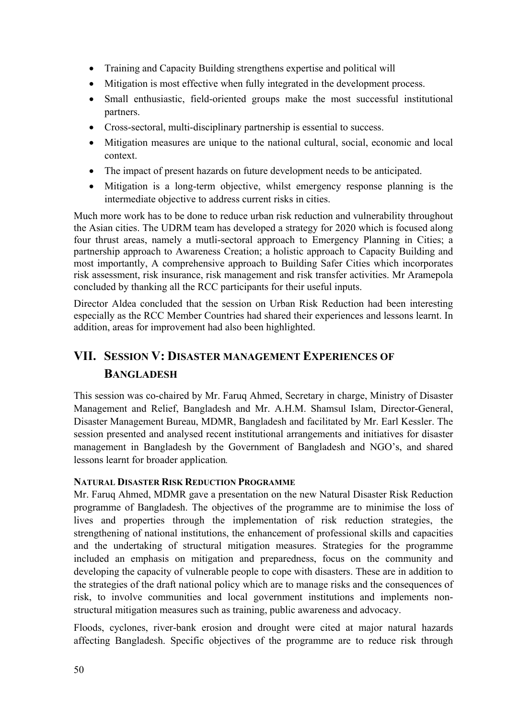- Training and Capacity Building strengthens expertise and political will
- Mitigation is most effective when fully integrated in the development process.
- Small enthusiastic, field-oriented groups make the most successful institutional partners.
- Cross-sectoral, multi-disciplinary partnership is essential to success.
- Mitigation measures are unique to the national cultural, social, economic and local context.
- The impact of present hazards on future development needs to be anticipated.
- Mitigation is a long-term objective, whilst emergency response planning is the intermediate objective to address current risks in cities.

Much more work has to be done to reduce urban risk reduction and vulnerability throughout the Asian cities. The UDRM team has developed a strategy for 2020 which is focused along four thrust areas, namely a mutli-sectoral approach to Emergency Planning in Cities; a partnership approach to Awareness Creation; a holistic approach to Capacity Building and most importantly, A comprehensive approach to Building Safer Cities which incorporates risk assessment, risk insurance, risk management and risk transfer activities. Mr Aramepola concluded by thanking all the RCC participants for their useful inputs.

Director Aldea concluded that the session on Urban Risk Reduction had been interesting especially as the RCC Member Countries had shared their experiences and lessons learnt. In addition, areas for improvement had also been highlighted.

# **VII. SESSION V: DISASTER MANAGEMENT EXPERIENCES OF BANGLADESH**

This session was co-chaired by Mr. Faruq Ahmed, Secretary in charge, Ministry of Disaster Management and Relief, Bangladesh and Mr. A.H.M. Shamsul Islam, Director-General, Disaster Management Bureau, MDMR, Bangladesh and facilitated by Mr. Earl Kessler. The session presented and analysed recent institutional arrangements and initiatives for disaster management in Bangladesh by the Government of Bangladesh and NGO's, and shared lessons learnt for broader application*.*

#### **NATURAL DISASTER RISK REDUCTION PROGRAMME**

Mr. Faruq Ahmed, MDMR gave a presentation on the new Natural Disaster Risk Reduction programme of Bangladesh. The objectives of the programme are to minimise the loss of lives and properties through the implementation of risk reduction strategies, the strengthening of national institutions, the enhancement of professional skills and capacities and the undertaking of structural mitigation measures. Strategies for the programme included an emphasis on mitigation and preparedness, focus on the community and developing the capacity of vulnerable people to cope with disasters. These are in addition to the strategies of the draft national policy which are to manage risks and the consequences of risk, to involve communities and local government institutions and implements nonstructural mitigation measures such as training, public awareness and advocacy.

Floods, cyclones, river-bank erosion and drought were cited at major natural hazards affecting Bangladesh. Specific objectives of the programme are to reduce risk through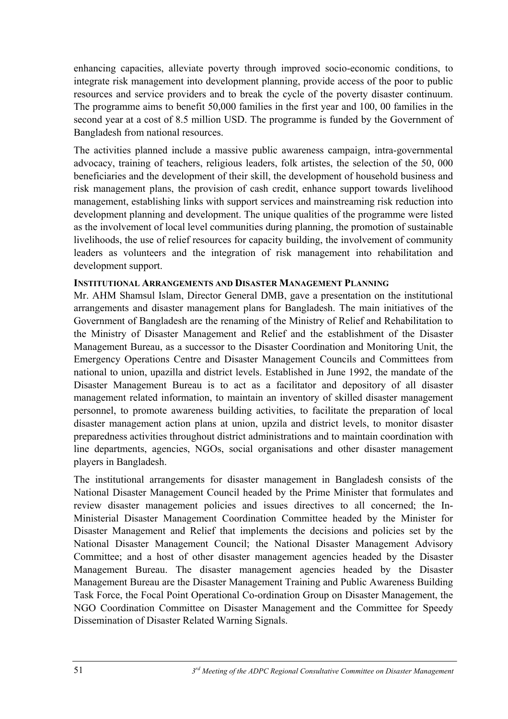enhancing capacities, alleviate poverty through improved socio-economic conditions, to integrate risk management into development planning, provide access of the poor to public resources and service providers and to break the cycle of the poverty disaster continuum. The programme aims to benefit 50,000 families in the first year and 100, 00 families in the second year at a cost of 8.5 million USD. The programme is funded by the Government of Bangladesh from national resources.

The activities planned include a massive public awareness campaign, intra-governmental advocacy, training of teachers, religious leaders, folk artistes, the selection of the 50, 000 beneficiaries and the development of their skill, the development of household business and risk management plans, the provision of cash credit, enhance support towards livelihood management, establishing links with support services and mainstreaming risk reduction into development planning and development. The unique qualities of the programme were listed as the involvement of local level communities during planning, the promotion of sustainable livelihoods, the use of relief resources for capacity building, the involvement of community leaders as volunteers and the integration of risk management into rehabilitation and development support.

## **INSTITUTIONAL ARRANGEMENTS AND DISASTER MANAGEMENT PLANNING**

Mr. AHM Shamsul Islam, Director General DMB, gave a presentation on the institutional arrangements and disaster management plans for Bangladesh. The main initiatives of the Government of Bangladesh are the renaming of the Ministry of Relief and Rehabilitation to the Ministry of Disaster Management and Relief and the establishment of the Disaster Management Bureau, as a successor to the Disaster Coordination and Monitoring Unit, the Emergency Operations Centre and Disaster Management Councils and Committees from national to union, upazilla and district levels. Established in June 1992, the mandate of the Disaster Management Bureau is to act as a facilitator and depository of all disaster management related information, to maintain an inventory of skilled disaster management personnel, to promote awareness building activities, to facilitate the preparation of local disaster management action plans at union, upzila and district levels, to monitor disaster preparedness activities throughout district administrations and to maintain coordination with line departments, agencies, NGOs, social organisations and other disaster management players in Bangladesh.

The institutional arrangements for disaster management in Bangladesh consists of the National Disaster Management Council headed by the Prime Minister that formulates and review disaster management policies and issues directives to all concerned; the In-Ministerial Disaster Management Coordination Committee headed by the Minister for Disaster Management and Relief that implements the decisions and policies set by the National Disaster Management Council; the National Disaster Management Advisory Committee; and a host of other disaster management agencies headed by the Disaster Management Bureau. The disaster management agencies headed by the Disaster Management Bureau are the Disaster Management Training and Public Awareness Building Task Force, the Focal Point Operational Co-ordination Group on Disaster Management, the NGO Coordination Committee on Disaster Management and the Committee for Speedy Dissemination of Disaster Related Warning Signals.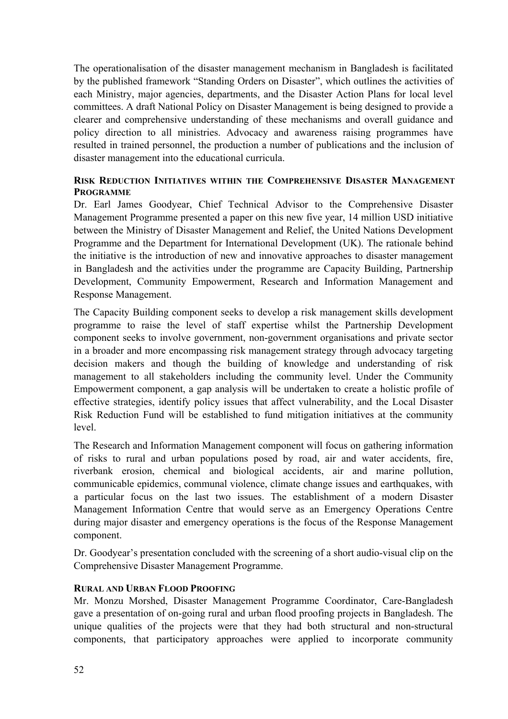The operationalisation of the disaster management mechanism in Bangladesh is facilitated by the published framework "Standing Orders on Disaster", which outlines the activities of each Ministry, major agencies, departments, and the Disaster Action Plans for local level committees. A draft National Policy on Disaster Management is being designed to provide a clearer and comprehensive understanding of these mechanisms and overall guidance and policy direction to all ministries. Advocacy and awareness raising programmes have resulted in trained personnel, the production a number of publications and the inclusion of disaster management into the educational curricula.

#### **RISK REDUCTION INITIATIVES WITHIN THE COMPREHENSIVE DISASTER MANAGEMENT PROGRAMME**

Dr. Earl James Goodyear, Chief Technical Advisor to the Comprehensive Disaster Management Programme presented a paper on this new five year, 14 million USD initiative between the Ministry of Disaster Management and Relief, the United Nations Development Programme and the Department for International Development (UK). The rationale behind the initiative is the introduction of new and innovative approaches to disaster management in Bangladesh and the activities under the programme are Capacity Building, Partnership Development, Community Empowerment, Research and Information Management and Response Management.

The Capacity Building component seeks to develop a risk management skills development programme to raise the level of staff expertise whilst the Partnership Development component seeks to involve government, non-government organisations and private sector in a broader and more encompassing risk management strategy through advocacy targeting decision makers and though the building of knowledge and understanding of risk management to all stakeholders including the community level. Under the Community Empowerment component, a gap analysis will be undertaken to create a holistic profile of effective strategies, identify policy issues that affect vulnerability, and the Local Disaster Risk Reduction Fund will be established to fund mitigation initiatives at the community level.

The Research and Information Management component will focus on gathering information of risks to rural and urban populations posed by road, air and water accidents, fire, riverbank erosion, chemical and biological accidents, air and marine pollution, communicable epidemics, communal violence, climate change issues and earthquakes, with a particular focus on the last two issues. The establishment of a modern Disaster Management Information Centre that would serve as an Emergency Operations Centre during major disaster and emergency operations is the focus of the Response Management component.

Dr. Goodyear's presentation concluded with the screening of a short audio-visual clip on the Comprehensive Disaster Management Programme.

#### **RURAL AND URBAN FLOOD PROOFING**

Mr. Monzu Morshed, Disaster Management Programme Coordinator, Care-Bangladesh gave a presentation of on-going rural and urban flood proofing projects in Bangladesh. The unique qualities of the projects were that they had both structural and non-structural components, that participatory approaches were applied to incorporate community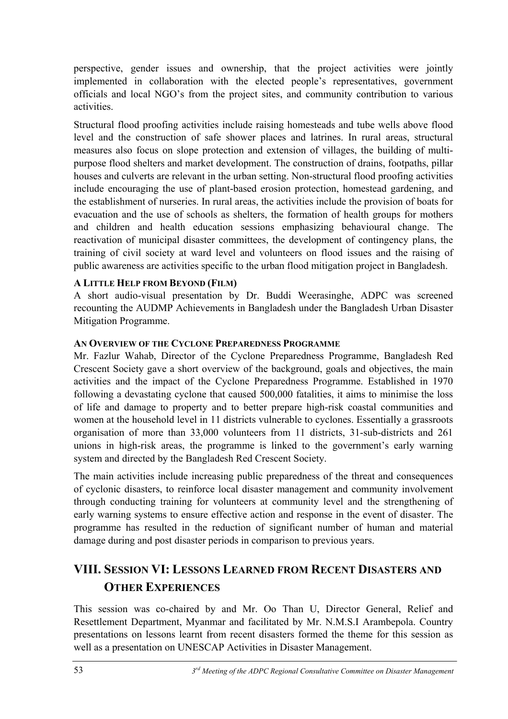perspective, gender issues and ownership, that the project activities were jointly implemented in collaboration with the elected people's representatives, government officials and local NGO's from the project sites, and community contribution to various activities.

Structural flood proofing activities include raising homesteads and tube wells above flood level and the construction of safe shower places and latrines. In rural areas, structural measures also focus on slope protection and extension of villages, the building of multipurpose flood shelters and market development. The construction of drains, footpaths, pillar houses and culverts are relevant in the urban setting. Non-structural flood proofing activities include encouraging the use of plant-based erosion protection, homestead gardening, and the establishment of nurseries. In rural areas, the activities include the provision of boats for evacuation and the use of schools as shelters, the formation of health groups for mothers and children and health education sessions emphasizing behavioural change. The reactivation of municipal disaster committees, the development of contingency plans, the training of civil society at ward level and volunteers on flood issues and the raising of public awareness are activities specific to the urban flood mitigation project in Bangladesh.

## **A LITTLE HELP FROM BEYOND (FILM)**

A short audio-visual presentation by Dr. Buddi Weerasinghe, ADPC was screened recounting the AUDMP Achievements in Bangladesh under the Bangladesh Urban Disaster Mitigation Programme.

## **AN OVERVIEW OF THE CYCLONE PREPAREDNESS PROGRAMME**

Mr. Fazlur Wahab, Director of the Cyclone Preparedness Programme, Bangladesh Red Crescent Society gave a short overview of the background, goals and objectives, the main activities and the impact of the Cyclone Preparedness Programme. Established in 1970 following a devastating cyclone that caused 500,000 fatalities, it aims to minimise the loss of life and damage to property and to better prepare high-risk coastal communities and women at the household level in 11 districts vulnerable to cyclones. Essentially a grassroots organisation of more than 33,000 volunteers from 11 districts, 31-sub-districts and 261 unions in high-risk areas, the programme is linked to the government's early warning system and directed by the Bangladesh Red Crescent Society.

The main activities include increasing public preparedness of the threat and consequences of cyclonic disasters, to reinforce local disaster management and community involvement through conducting training for volunteers at community level and the strengthening of early warning systems to ensure effective action and response in the event of disaster. The programme has resulted in the reduction of significant number of human and material damage during and post disaster periods in comparison to previous years.

# **VIII. SESSION VI: LESSONS LEARNED FROM RECENT DISASTERS AND OTHER EXPERIENCES**

This session was co-chaired by and Mr. Oo Than U, Director General, Relief and Resettlement Department, Myanmar and facilitated by Mr. N.M.S.I Arambepola. Country presentations on lessons learnt from recent disasters formed the theme for this session as well as a presentation on UNESCAP Activities in Disaster Management.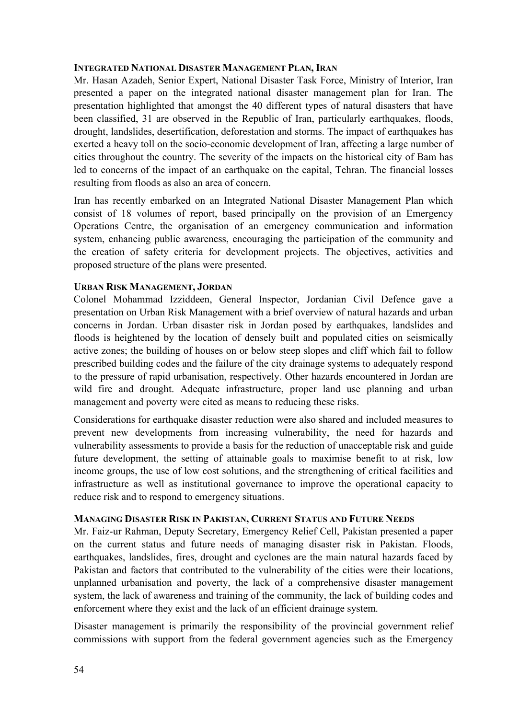#### **INTEGRATED NATIONAL DISASTER MANAGEMENT PLAN, IRAN**

Mr. Hasan Azadeh, Senior Expert, National Disaster Task Force, Ministry of Interior, Iran presented a paper on the integrated national disaster management plan for Iran. The presentation highlighted that amongst the 40 different types of natural disasters that have been classified, 31 are observed in the Republic of Iran, particularly earthquakes, floods, drought, landslides, desertification, deforestation and storms. The impact of earthquakes has exerted a heavy toll on the socio-economic development of Iran, affecting a large number of cities throughout the country. The severity of the impacts on the historical city of Bam has led to concerns of the impact of an earthquake on the capital, Tehran. The financial losses resulting from floods as also an area of concern.

Iran has recently embarked on an Integrated National Disaster Management Plan which consist of 18 volumes of report, based principally on the provision of an Emergency Operations Centre, the organisation of an emergency communication and information system, enhancing public awareness, encouraging the participation of the community and the creation of safety criteria for development projects. The objectives, activities and proposed structure of the plans were presented.

#### **URBAN RISK MANAGEMENT, JORDAN**

Colonel Mohammad Izziddeen, General Inspector, Jordanian Civil Defence gave a presentation on Urban Risk Management with a brief overview of natural hazards and urban concerns in Jordan. Urban disaster risk in Jordan posed by earthquakes, landslides and floods is heightened by the location of densely built and populated cities on seismically active zones; the building of houses on or below steep slopes and cliff which fail to follow prescribed building codes and the failure of the city drainage systems to adequately respond to the pressure of rapid urbanisation, respectively. Other hazards encountered in Jordan are wild fire and drought. Adequate infrastructure, proper land use planning and urban management and poverty were cited as means to reducing these risks.

Considerations for earthquake disaster reduction were also shared and included measures to prevent new developments from increasing vulnerability, the need for hazards and vulnerability assessments to provide a basis for the reduction of unacceptable risk and guide future development, the setting of attainable goals to maximise benefit to at risk, low income groups, the use of low cost solutions, and the strengthening of critical facilities and infrastructure as well as institutional governance to improve the operational capacity to reduce risk and to respond to emergency situations.

#### **MANAGING DISASTER RISK IN PAKISTAN, CURRENT STATUS AND FUTURE NEEDS**

Mr. Faiz-ur Rahman, Deputy Secretary, Emergency Relief Cell, Pakistan presented a paper on the current status and future needs of managing disaster risk in Pakistan. Floods, earthquakes, landslides, fires, drought and cyclones are the main natural hazards faced by Pakistan and factors that contributed to the vulnerability of the cities were their locations, unplanned urbanisation and poverty, the lack of a comprehensive disaster management system, the lack of awareness and training of the community, the lack of building codes and enforcement where they exist and the lack of an efficient drainage system.

Disaster management is primarily the responsibility of the provincial government relief commissions with support from the federal government agencies such as the Emergency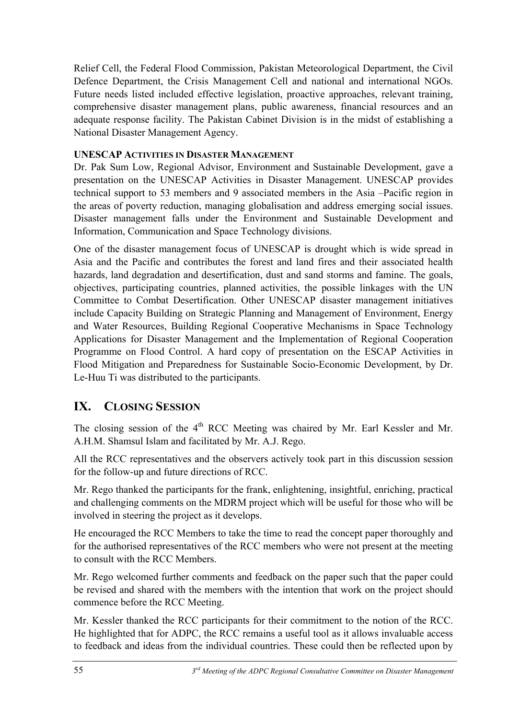Relief Cell, the Federal Flood Commission, Pakistan Meteorological Department, the Civil Defence Department, the Crisis Management Cell and national and international NGOs. Future needs listed included effective legislation, proactive approaches, relevant training, comprehensive disaster management plans, public awareness, financial resources and an adequate response facility. The Pakistan Cabinet Division is in the midst of establishing a National Disaster Management Agency.

## **UNESCAP ACTIVITIES IN DISASTER MANAGEMENT**

Dr. Pak Sum Low, Regional Advisor, Environment and Sustainable Development, gave a presentation on the UNESCAP Activities in Disaster Management. UNESCAP provides technical support to 53 members and 9 associated members in the Asia –Pacific region in the areas of poverty reduction, managing globalisation and address emerging social issues. Disaster management falls under the Environment and Sustainable Development and Information, Communication and Space Technology divisions.

One of the disaster management focus of UNESCAP is drought which is wide spread in Asia and the Pacific and contributes the forest and land fires and their associated health hazards, land degradation and desertification, dust and sand storms and famine. The goals, objectives, participating countries, planned activities, the possible linkages with the UN Committee to Combat Desertification. Other UNESCAP disaster management initiatives include Capacity Building on Strategic Planning and Management of Environment, Energy and Water Resources, Building Regional Cooperative Mechanisms in Space Technology Applications for Disaster Management and the Implementation of Regional Cooperation Programme on Flood Control. A hard copy of presentation on the ESCAP Activities in Flood Mitigation and Preparedness for Sustainable Socio-Economic Development, by Dr. Le-Huu Ti was distributed to the participants.

# **IX. CLOSING SESSION**

The closing session of the  $4<sup>th</sup>$  RCC Meeting was chaired by Mr. Earl Kessler and Mr. A.H.M. Shamsul Islam and facilitated by Mr. A.J. Rego.

All the RCC representatives and the observers actively took part in this discussion session for the follow-up and future directions of RCC.

Mr. Rego thanked the participants for the frank, enlightening, insightful, enriching, practical and challenging comments on the MDRM project which will be useful for those who will be involved in steering the project as it develops.

He encouraged the RCC Members to take the time to read the concept paper thoroughly and for the authorised representatives of the RCC members who were not present at the meeting to consult with the RCC Members.

Mr. Rego welcomed further comments and feedback on the paper such that the paper could be revised and shared with the members with the intention that work on the project should commence before the RCC Meeting.

Mr. Kessler thanked the RCC participants for their commitment to the notion of the RCC. He highlighted that for ADPC, the RCC remains a useful tool as it allows invaluable access to feedback and ideas from the individual countries. These could then be reflected upon by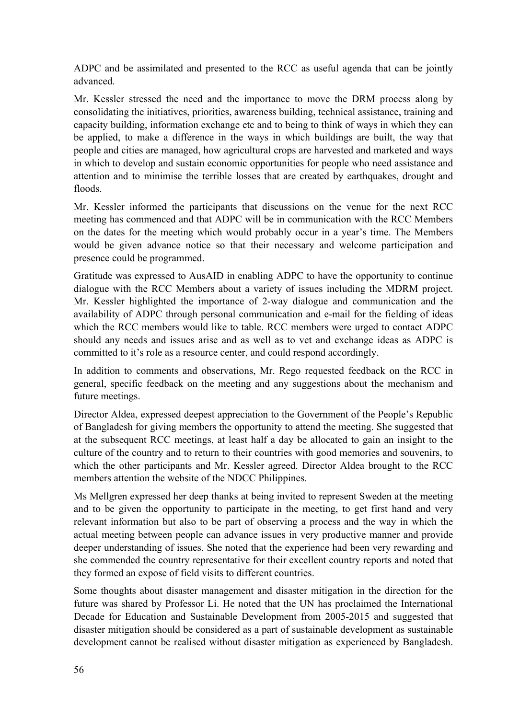ADPC and be assimilated and presented to the RCC as useful agenda that can be jointly advanced.

Mr. Kessler stressed the need and the importance to move the DRM process along by consolidating the initiatives, priorities, awareness building, technical assistance, training and capacity building, information exchange etc and to being to think of ways in which they can be applied, to make a difference in the ways in which buildings are built, the way that people and cities are managed, how agricultural crops are harvested and marketed and ways in which to develop and sustain economic opportunities for people who need assistance and attention and to minimise the terrible losses that are created by earthquakes, drought and floods.

Mr. Kessler informed the participants that discussions on the venue for the next RCC meeting has commenced and that ADPC will be in communication with the RCC Members on the dates for the meeting which would probably occur in a year's time. The Members would be given advance notice so that their necessary and welcome participation and presence could be programmed.

Gratitude was expressed to AusAID in enabling ADPC to have the opportunity to continue dialogue with the RCC Members about a variety of issues including the MDRM project. Mr. Kessler highlighted the importance of 2-way dialogue and communication and the availability of ADPC through personal communication and e-mail for the fielding of ideas which the RCC members would like to table. RCC members were urged to contact ADPC should any needs and issues arise and as well as to vet and exchange ideas as ADPC is committed to it's role as a resource center, and could respond accordingly.

In addition to comments and observations, Mr. Rego requested feedback on the RCC in general, specific feedback on the meeting and any suggestions about the mechanism and future meetings.

Director Aldea, expressed deepest appreciation to the Government of the People's Republic of Bangladesh for giving members the opportunity to attend the meeting. She suggested that at the subsequent RCC meetings, at least half a day be allocated to gain an insight to the culture of the country and to return to their countries with good memories and souvenirs, to which the other participants and Mr. Kessler agreed. Director Aldea brought to the RCC members attention the website of the NDCC Philippines.

Ms Mellgren expressed her deep thanks at being invited to represent Sweden at the meeting and to be given the opportunity to participate in the meeting, to get first hand and very relevant information but also to be part of observing a process and the way in which the actual meeting between people can advance issues in very productive manner and provide deeper understanding of issues. She noted that the experience had been very rewarding and she commended the country representative for their excellent country reports and noted that they formed an expose of field visits to different countries.

Some thoughts about disaster management and disaster mitigation in the direction for the future was shared by Professor Li. He noted that the UN has proclaimed the International Decade for Education and Sustainable Development from 2005-2015 and suggested that disaster mitigation should be considered as a part of sustainable development as sustainable development cannot be realised without disaster mitigation as experienced by Bangladesh.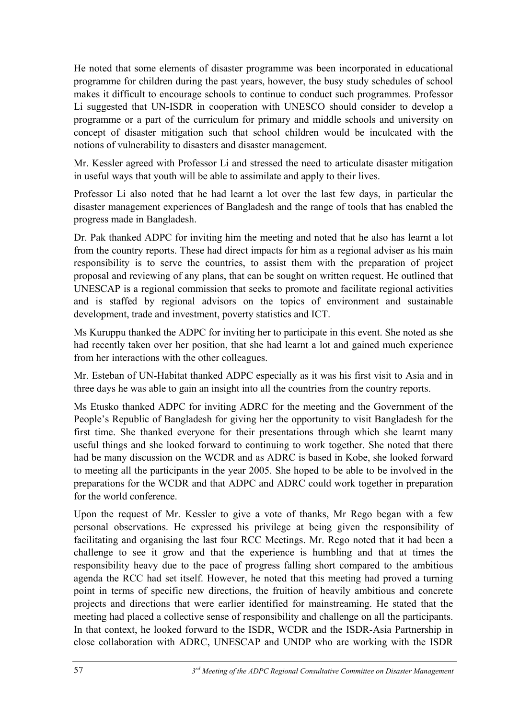He noted that some elements of disaster programme was been incorporated in educational programme for children during the past years, however, the busy study schedules of school makes it difficult to encourage schools to continue to conduct such programmes. Professor Li suggested that UN-ISDR in cooperation with UNESCO should consider to develop a programme or a part of the curriculum for primary and middle schools and university on concept of disaster mitigation such that school children would be inculcated with the notions of vulnerability to disasters and disaster management.

Mr. Kessler agreed with Professor Li and stressed the need to articulate disaster mitigation in useful ways that youth will be able to assimilate and apply to their lives.

Professor Li also noted that he had learnt a lot over the last few days, in particular the disaster management experiences of Bangladesh and the range of tools that has enabled the progress made in Bangladesh.

Dr. Pak thanked ADPC for inviting him the meeting and noted that he also has learnt a lot from the country reports. These had direct impacts for him as a regional adviser as his main responsibility is to serve the countries, to assist them with the preparation of project proposal and reviewing of any plans, that can be sought on written request. He outlined that UNESCAP is a regional commission that seeks to promote and facilitate regional activities and is staffed by regional advisors on the topics of environment and sustainable development, trade and investment, poverty statistics and ICT.

Ms Kuruppu thanked the ADPC for inviting her to participate in this event. She noted as she had recently taken over her position, that she had learnt a lot and gained much experience from her interactions with the other colleagues.

Mr. Esteban of UN-Habitat thanked ADPC especially as it was his first visit to Asia and in three days he was able to gain an insight into all the countries from the country reports.

Ms Etusko thanked ADPC for inviting ADRC for the meeting and the Government of the People's Republic of Bangladesh for giving her the opportunity to visit Bangladesh for the first time. She thanked everyone for their presentations through which she learnt many useful things and she looked forward to continuing to work together. She noted that there had be many discussion on the WCDR and as ADRC is based in Kobe, she looked forward to meeting all the participants in the year 2005. She hoped to be able to be involved in the preparations for the WCDR and that ADPC and ADRC could work together in preparation for the world conference.

Upon the request of Mr. Kessler to give a vote of thanks, Mr Rego began with a few personal observations. He expressed his privilege at being given the responsibility of facilitating and organising the last four RCC Meetings. Mr. Rego noted that it had been a challenge to see it grow and that the experience is humbling and that at times the responsibility heavy due to the pace of progress falling short compared to the ambitious agenda the RCC had set itself. However, he noted that this meeting had proved a turning point in terms of specific new directions, the fruition of heavily ambitious and concrete projects and directions that were earlier identified for mainstreaming. He stated that the meeting had placed a collective sense of responsibility and challenge on all the participants. In that context, he looked forward to the ISDR, WCDR and the ISDR-Asia Partnership in close collaboration with ADRC, UNESCAP and UNDP who are working with the ISDR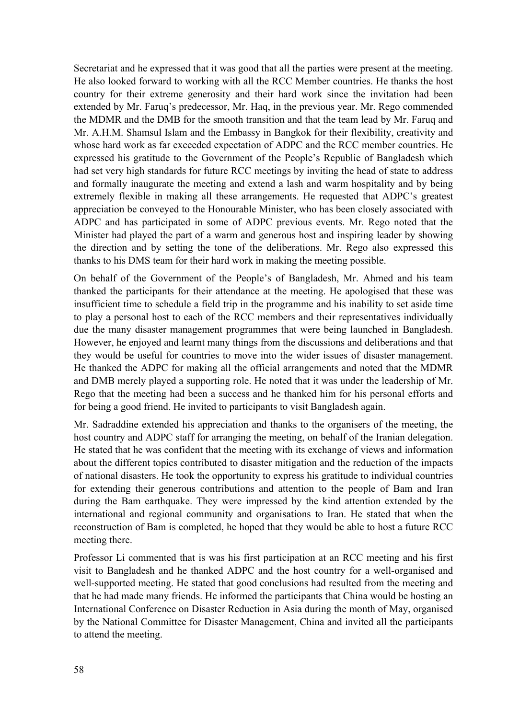Secretariat and he expressed that it was good that all the parties were present at the meeting. He also looked forward to working with all the RCC Member countries. He thanks the host country for their extreme generosity and their hard work since the invitation had been extended by Mr. Faruq's predecessor, Mr. Haq, in the previous year. Mr. Rego commended the MDMR and the DMB for the smooth transition and that the team lead by Mr. Faruq and Mr. A.H.M. Shamsul Islam and the Embassy in Bangkok for their flexibility, creativity and whose hard work as far exceeded expectation of ADPC and the RCC member countries. He expressed his gratitude to the Government of the People's Republic of Bangladesh which had set very high standards for future RCC meetings by inviting the head of state to address and formally inaugurate the meeting and extend a lash and warm hospitality and by being extremely flexible in making all these arrangements. He requested that ADPC's greatest appreciation be conveyed to the Honourable Minister, who has been closely associated with ADPC and has participated in some of ADPC previous events. Mr. Rego noted that the Minister had played the part of a warm and generous host and inspiring leader by showing the direction and by setting the tone of the deliberations. Mr. Rego also expressed this thanks to his DMS team for their hard work in making the meeting possible.

On behalf of the Government of the People's of Bangladesh, Mr. Ahmed and his team thanked the participants for their attendance at the meeting. He apologised that these was insufficient time to schedule a field trip in the programme and his inability to set aside time to play a personal host to each of the RCC members and their representatives individually due the many disaster management programmes that were being launched in Bangladesh. However, he enjoyed and learnt many things from the discussions and deliberations and that they would be useful for countries to move into the wider issues of disaster management. He thanked the ADPC for making all the official arrangements and noted that the MDMR and DMB merely played a supporting role. He noted that it was under the leadership of Mr. Rego that the meeting had been a success and he thanked him for his personal efforts and for being a good friend. He invited to participants to visit Bangladesh again.

Mr. Sadraddine extended his appreciation and thanks to the organisers of the meeting, the host country and ADPC staff for arranging the meeting, on behalf of the Iranian delegation. He stated that he was confident that the meeting with its exchange of views and information about the different topics contributed to disaster mitigation and the reduction of the impacts of national disasters. He took the opportunity to express his gratitude to individual countries for extending their generous contributions and attention to the people of Bam and Iran during the Bam earthquake. They were impressed by the kind attention extended by the international and regional community and organisations to Iran. He stated that when the reconstruction of Bam is completed, he hoped that they would be able to host a future RCC meeting there.

Professor Li commented that is was his first participation at an RCC meeting and his first visit to Bangladesh and he thanked ADPC and the host country for a well-organised and well-supported meeting. He stated that good conclusions had resulted from the meeting and that he had made many friends. He informed the participants that China would be hosting an International Conference on Disaster Reduction in Asia during the month of May, organised by the National Committee for Disaster Management, China and invited all the participants to attend the meeting.